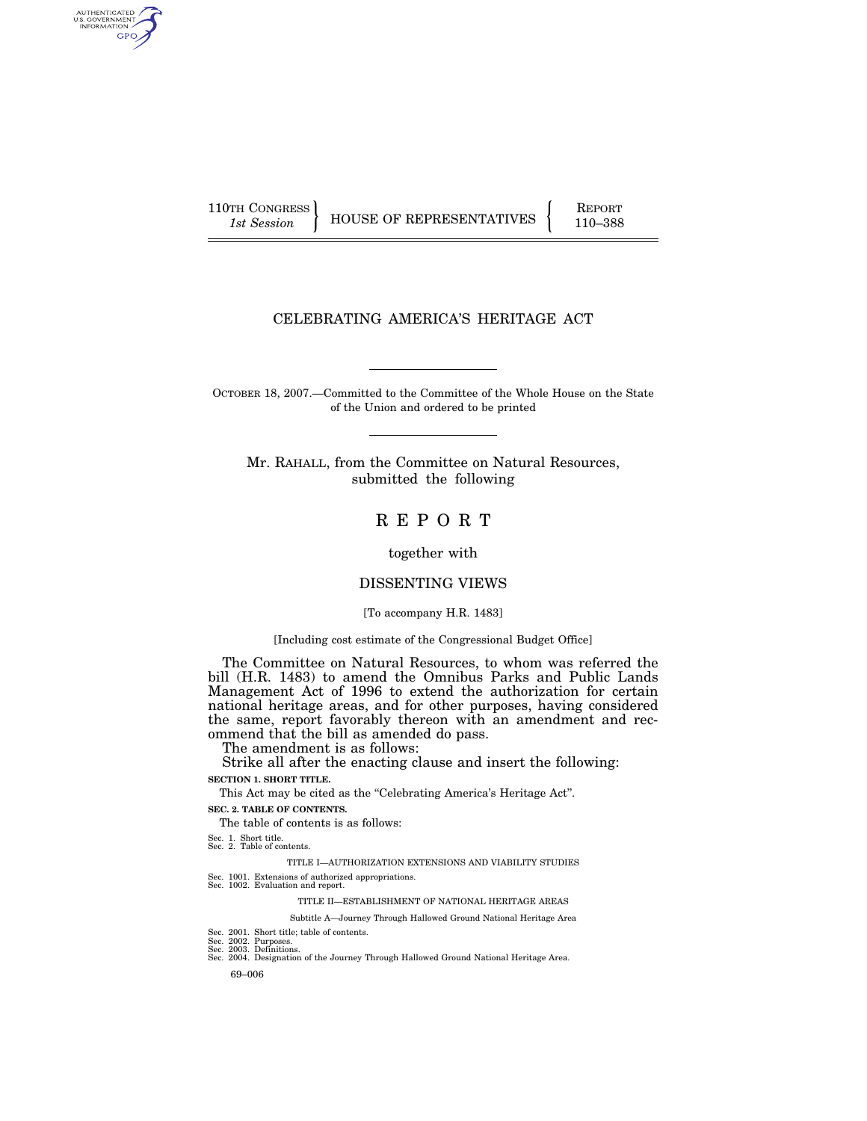110TH CONGRESS REPORT

AUTHENTICATED<br>U.S. GOVERNMENT<br>INFORMATION GPO

1st Session **HOUSE OF REPRESENTATIVES** 110–388

### CELEBRATING AMERICA'S HERITAGE ACT

OCTOBER 18, 2007.—Committed to the Committee of the Whole House on the State of the Union and ordered to be printed

Mr. RAHALL, from the Committee on Natural Resources, submitted the following

### R E P O R T

together with

#### DISSENTING VIEWS

#### [To accompany H.R. 1483]

#### [Including cost estimate of the Congressional Budget Office]

The Committee on Natural Resources, to whom was referred the bill (H.R. 1483) to amend the Omnibus Parks and Public Lands Management Act of 1996 to extend the authorization for certain national heritage areas, and for other purposes, having considered the same, report favorably thereon with an amendment and recommend that the bill as amended do pass.

The amendment is as follows:

Strike all after the enacting clause and insert the following: **SECTION 1. SHORT TITLE.** 

This Act may be cited as the "Celebrating America's Heritage Act".

### **SEC. 2. TABLE OF CONTENTS.**

The table of contents is as follows:

Sec. 1. Short title. Sec. 2. Table of contents.

TITLE I—AUTHORIZATION EXTENSIONS AND VIABILITY STUDIES

- Sec. 1001. Extensions of authorized appropriations. Sec. 1002. Evaluation and report.
	-

TITLE II—ESTABLISHMENT OF NATIONAL HERITAGE AREAS

Subtitle A—Journey Through Hallowed Ground National Heritage Area

Sec. 2001. Short title; table of contents. Sec. 2002. Purposes. Sec. 2003. Definitions.

- Sec. 2004. Designation of the Journey Through Hallowed Ground National Heritage Area.
	- 69–006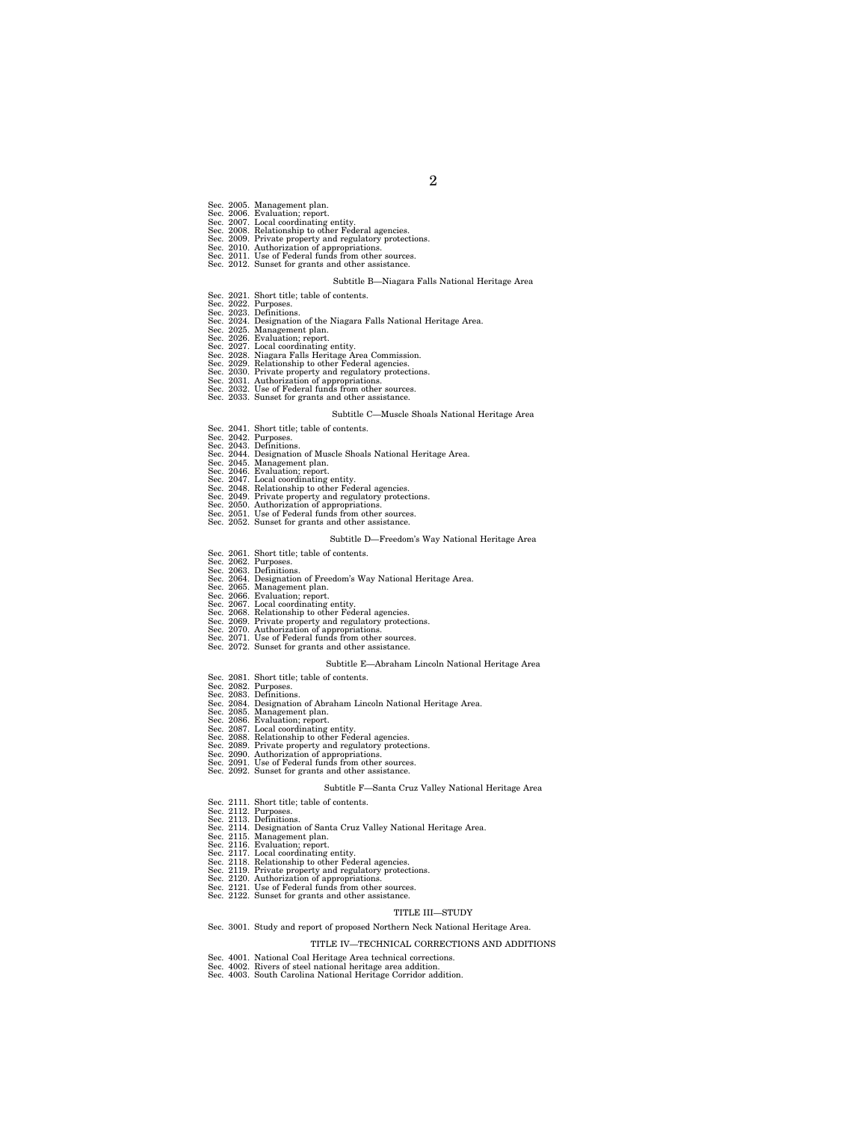- 
- 
- 
- Sec. 2005. Management plan.<br>Sec. 2006. Evaluation; report.<br>Sec. 2007. Local coordinating entity.<br>Sec. 2007. Local coordinating entity.<br>Sec. 2008. Relationship to other Federal agencies.<br>Sec. 2010. Authorization of appropri
- 
- - Subtitle B—Niagara Falls National Heritage Area
	-
- 
- 
- Sec. 2021. Short title; table of contents.<br>Sec. 2022. Purposes.<br>Sec. 2022. Designation of the Niagara Falls National Heritage Area.<br>Sec. 2024. Designation of the Niagara Falls National Heritage Area.<br>Sec. 2025. Management
- 
- 
- 
- 
- 
- 
- 
- 

#### Subtitle C—Muscle Shoals National Heritage Area

- Sec. 2041. Short title; table of contents. Sec. 2042. Purposes. Sec. 2043. Definitions.
- 
- 
- Sec. 2044. Designation of Muscle Shoals National Heritage Area.<br>Sec. 2045. Management plan.<br>Sec. 2046. Evaluation; report.<br>Sec. 2047. Local coordinating entity.<br>Sec. 2047. Local coordinating entity.<br>Sec. 2048. Relationship
- 
- 
- 
- 
- 
- 

#### Subtitle D—Freedom's Way National Heritage Area

- 
- 
- Sec. 2061. Short title; table of contents.<br>Sec. 2062. Purposes.<br>Sec. 2063. Designation of Freedom's Way National Heritage Area.<br>Sec. 2064. Designation of Freedom's Way National Heritage Area.<br>Sec. 2066. Evaluation; report.
- 
- 
- 
- 
- 
- 
- 

#### Subtitle E—Abraham Lincoln National Heritage Area

- 
- 
- Sec. 2081. Short title; table of contents.<br>Sec. 2082. Purposes.<br>Sec. 2083. Definitions.<br>Sec. 2084. Designation of Abraham Lincoln National Heritage Area.<br>Sec. 2085. Evaluation; report.<br>Sec. 2085. Evaluation; report.<br>Sec. 2
- 
- 
- 
- 
- 
- 
- 

#### Subtitle F—Santa Cruz Valley National Heritage Area

- Sec. 2111. Short title; table of contents. Sec. 2112. Purposes. Sec. 2113. Definitions.
- 
- 
- 
- 
- 
- Sec. 2114. Designation of Santa Cruz Valley National Heritage Area.<br>Sec. 2115. Management plan.<br>Sec. 2115. Management plan.<br>Sec. 2117. Local coordinating entity.<br>Sec. 2117. Local coordinating entity.<br>Sec. 2118. Relationshi
- -

#### TITLE III—STUDY

Sec. 3001. Study and report of proposed Northern Neck National Heritage Area.

#### TITLE IV—TECHNICAL CORRECTIONS AND ADDITIONS

- 
- Sec. 4001. National Coal Heritage Area technical corrections. Sec. 4002. Rivers of steel national heritage area addition. Sec. 4003. South Carolina National Heritage Corridor addition.
-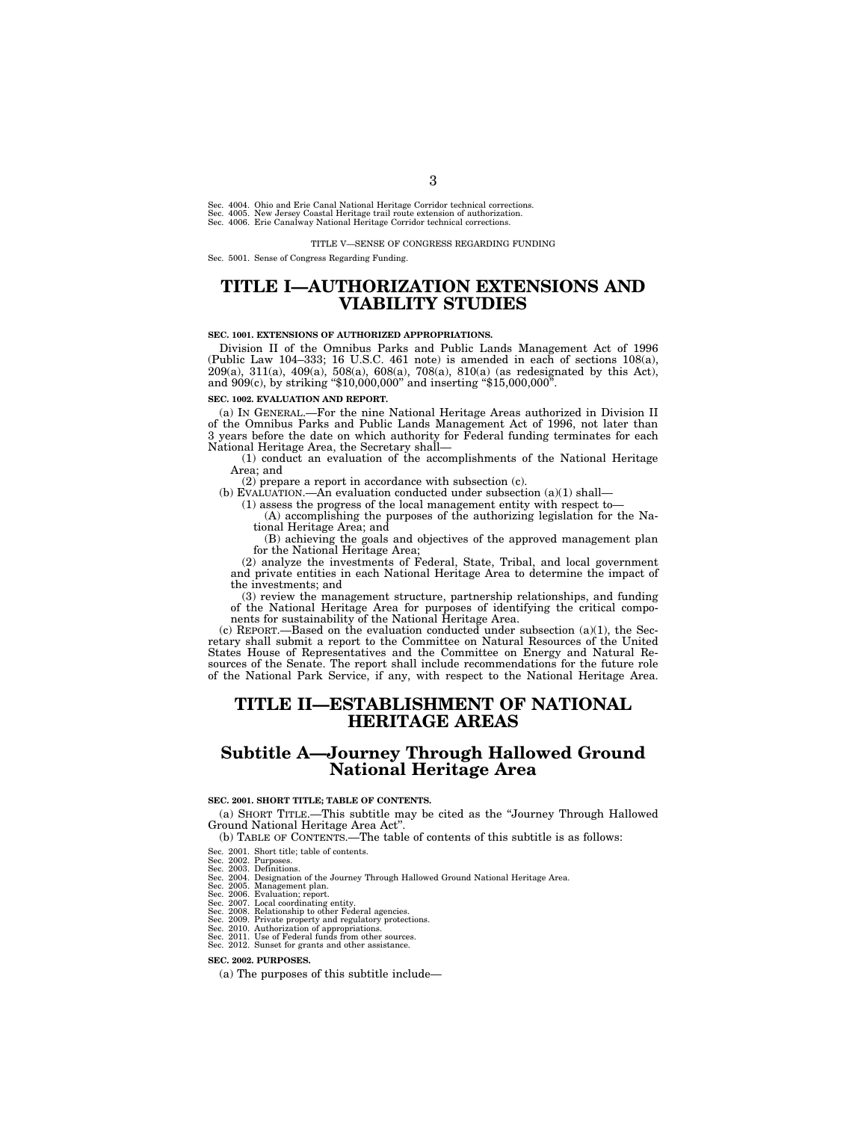Sec. 4004. Ohio and Erie Canal National Heritage Corridor technical corrections.<br>Sec. 4005. New Jersey Coastal Heritage trail route extension of authorization.<br>Sec. 4006. Erie Canalway National Heritage Corridor technical

TITLE V—SENSE OF CONGRESS REGARDING FUNDING

Sec. 5001. Sense of Congress Regarding Funding.

### **TITLE I—AUTHORIZATION EXTENSIONS AND VIABILITY STUDIES**

#### **SEC. 1001. EXTENSIONS OF AUTHORIZED APPROPRIATIONS.**

Division II of the Omnibus Parks and Public Lands Management Act of 1996 (Public Law 104–333; 16 U.S.C. 461 note) is amended in each of sections 108(a), 209(a), 311(a), 409(a), 508(a), 608(a), 708(a), 810(a) (as redesignated by this Act), and 909(c), by striking "\$10,000,000" and inserting "\$15,000,000".

#### **SEC. 1002. EVALUATION AND REPORT.**

(a) IN GENERAL.—For the nine National Heritage Areas authorized in Division II of the Omnibus Parks and Public Lands Management Act of 1996, not later than 3 years before the date on which authority for Federal funding terminates for each National Heritage Area, the Secretary shall—

(1) conduct an evaluation of the accomplishments of the National Heritage Area; and

 $(2)$  prepare a report in accordance with subsection (c).

(b) EVALUATION.—An evaluation conducted under subsection  $(a)(1)$  shall-

(1) assess the progress of the local management entity with respect to—

(A) accomplishing the purposes of the authorizing legislation for the National Heritage Area; and

(B) achieving the goals and objectives of the approved management plan for the National Heritage Area;

(2) analyze the investments of Federal, State, Tribal, and local government and private entities in each National Heritage Area to determine the impact of the investments; and

(3) review the management structure, partnership relationships, and funding of the National Heritage Area for purposes of identifying the critical components for sustainability of the National Heritage Area.

(c) REPORT.—Based on the evaluation conducted under subsection (a)(1), the Secretary shall submit a report to the Committee on Natural Resources of the United States House of Representatives and the Committee on Energy and Natural Resources of the Senate. The report shall include recommendations for the future role of the National Park Service, if any, with respect to the National Heritage Area.

### **TITLE II—ESTABLISHMENT OF NATIONAL HERITAGE AREAS**

### **Subtitle A—Journey Through Hallowed Ground National Heritage Area**

#### **SEC. 2001. SHORT TITLE; TABLE OF CONTENTS.**

(a) SHORT TITLE.—This subtitle may be cited as the ''Journey Through Hallowed Ground National Heritage Area Act''.

- (b) TABLE OF CONTENTS.—The table of contents of this subtitle is as follows:
- 
- 
- Sec. 2001. Short title; table of contents. Sec. 2002. Purposes. Sec. 2003. Definitions. Sec. 2004. Designation of the Journey Through Hallowed Ground National Heritage Area. Sec. 2005. Management plan.
- 
- 
- 
- 
- 
- Sec. 2006. Evaluation; report.<br>Sec. 2006. Evaluation; report<br>Sec. 2007. Local coordinating entity.<br>Sec. 2008. Relationship to other Federal agencies.<br>Sec. 2010. Authorization of appropriations.<br>Sec. 2011. Use of Federal fu
- 

#### **SEC. 2002. PURPOSES.**

(a) The purposes of this subtitle include—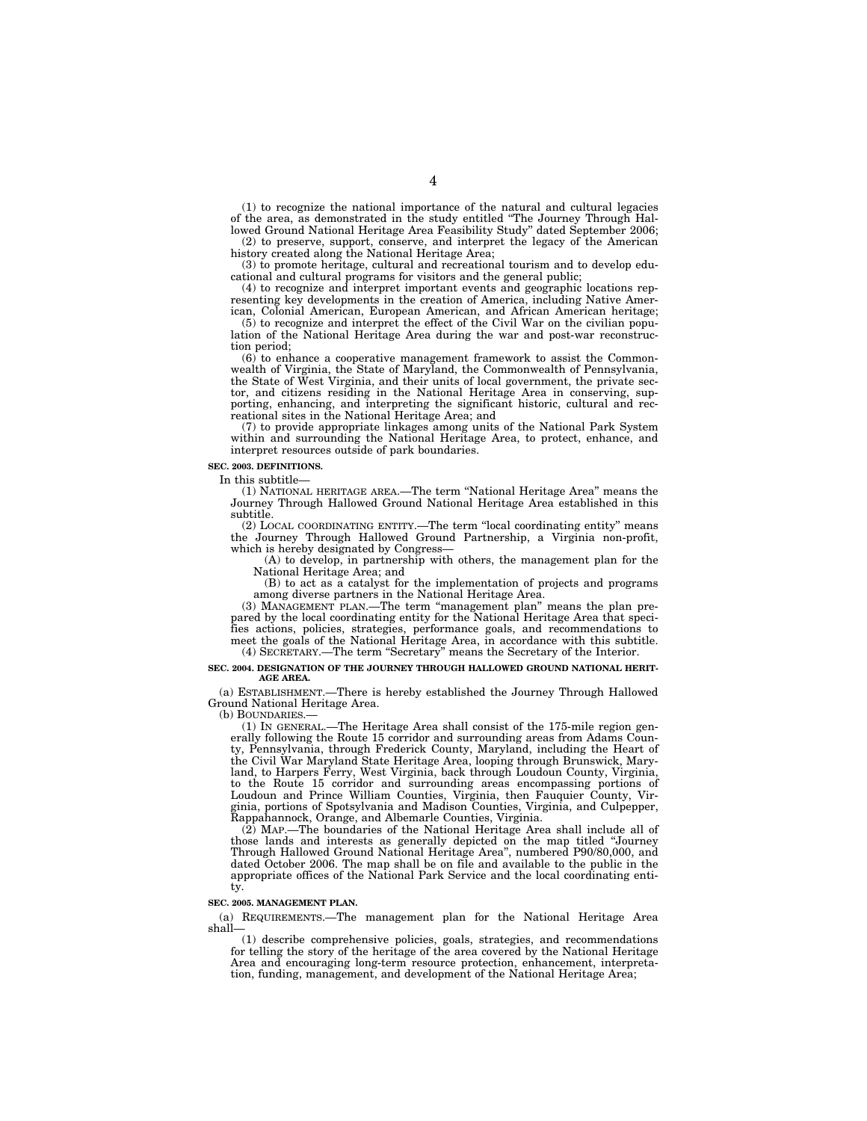(1) to recognize the national importance of the natural and cultural legacies of the area, as demonstrated in the study entitled ''The Journey Through Hallowed Ground National Heritage Area Feasibility Study'' dated September 2006;

(2) to preserve, support, conserve, and interpret the legacy of the American history created along the National Heritage Area;

(3) to promote heritage, cultural and recreational tourism and to develop educational and cultural programs for visitors and the general public;

(4) to recognize and interpret important events and geographic locations representing key developments in the creation of America, including Native American, Colonial American, European American, and African American heritage;

(5) to recognize and interpret the effect of the Civil War on the civilian population of the National Heritage Area during the war and post-war reconstruction period;

(6) to enhance a cooperative management framework to assist the Commonwealth of Virginia, the State of Maryland, the Commonwealth of Pennsylvania, the State of West Virginia, and their units of local government, the private sector, and citizens residing in the National Heritage Area in conserving, supporting, enhancing, and interpreting the significant historic, cultural and recreational sites in the National Heritage Area; and

(7) to provide appropriate linkages among units of the National Park System within and surrounding the National Heritage Area, to protect, enhance, and interpret resources outside of park boundaries.

#### **SEC. 2003. DEFINITIONS.**

In this subtitle—

(1) NATIONAL HERITAGE AREA.—The term ''National Heritage Area'' means the Journey Through Hallowed Ground National Heritage Area established in this subtitle.

(2) LOCAL COORDINATING ENTITY.—The term ''local coordinating entity'' means the Journey Through Hallowed Ground Partnership, a Virginia non-profit, which is hereby designated by Congress—

(A) to develop, in partnership with others, the management plan for the National Heritage Area; and

(B) to act as a catalyst for the implementation of projects and programs among diverse partners in the National Heritage Area.

(3) MANAGEMENT PLAN.—The term ''management plan'' means the plan prepared by the local coordinating entity for the National Heritage Area that specifies actions, policies, strategies, performance goals, and recommendations to meet the goals of the National Heritage Area, in accordance with this subtitle. (4) SECRETARY.—The term ''Secretary'' means the Secretary of the Interior.

#### **SEC. 2004. DESIGNATION OF THE JOURNEY THROUGH HALLOWED GROUND NATIONAL HERIT-AGE AREA.**

(a) ESTABLISHMENT.—There is hereby established the Journey Through Hallowed Ground National Heritage Area.

(b) BOUNDARIES.—

(1) IN GENERAL.—The Heritage Area shall consist of the 175-mile region generally following the Route 15 corridor and surrounding areas from Adams County, Pennsylvania, through Frederick County, Maryland, including the Heart of the Civil War Maryland State Heritage Area, looping through Brunswick, Maryland, to Harpers Ferry, West Virginia, back through Loudoun County, Virginia, to the Route 15 corridor and surrounding areas encompassing portions of Loudoun and Prince William Counties, Virginia, then Fauquier County, Virginia, portions of Spotsylvania and Madison Counties, Virginia, and Culpepper, Rappahannock, Orange, and Albemarle Counties, Virginia.

(2) MAP.—The boundaries of the National Heritage Area shall include all of those lands and interests as generally depicted on the map titled ''Journey Through Hallowed Ground National Heritage Area'', numbered P90/80,000, and dated October 2006. The map shall be on file and available to the public in the appropriate offices of the National Park Service and the local coordinating entity.

#### **SEC. 2005. MANAGEMENT PLAN.**

(a) REQUIREMENTS.—The management plan for the National Heritage Area shall—

(1) describe comprehensive policies, goals, strategies, and recommendations for telling the story of the heritage of the area covered by the National Heritage Area and encouraging long-term resource protection, enhancement, interpretation, funding, management, and development of the National Heritage Area;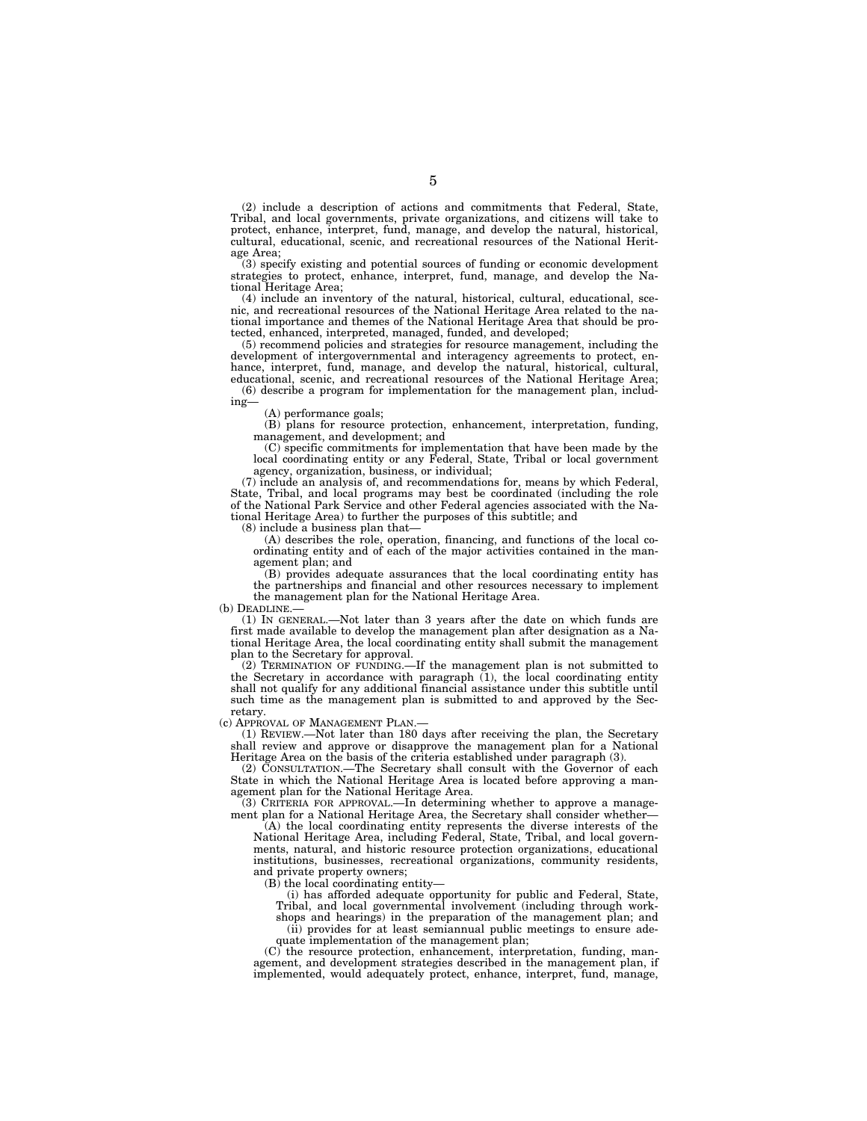(2) include a description of actions and commitments that Federal, State, Tribal, and local governments, private organizations, and citizens will take to protect, enhance, interpret, fund, manage, and develop the natural, historical, cultural, educational, scenic, and recreational resources of the National Heritage Area;

(3) specify existing and potential sources of funding or economic development strategies to protect, enhance, interpret, fund, manage, and develop the National Heritage Area;

(4) include an inventory of the natural, historical, cultural, educational, scenic, and recreational resources of the National Heritage Area related to the national importance and themes of the National Heritage Area that should be protected, enhanced, interpreted, managed, funded, and developed;

(5) recommend policies and strategies for resource management, including the development of intergovernmental and interagency agreements to protect, enhance, interpret, fund, manage, and develop the natural, historical, cultural, educational, scenic, and recreational resources of the National Heritage Area;

(6) describe a program for implementation for the management plan, including—

(A) performance goals;

(B) plans for resource protection, enhancement, interpretation, funding, management, and development; and

(C) specific commitments for implementation that have been made by the local coordinating entity or any Federal, State, Tribal or local government agency, organization, business, or individual;

(7) include an analysis of, and recommendations for, means by which Federal, State, Tribal, and local programs may best be coordinated (including the role of the National Park Service and other Federal agencies associated with the National Heritage Area) to further the purposes of this subtitle; and

(8) include a business plan that—

(A) describes the role, operation, financing, and functions of the local coordinating entity and of each of the major activities contained in the management plan; and

(B) provides adequate assurances that the local coordinating entity has the partnerships and financial and other resources necessary to implement the management plan for the National Heritage Area.

(b) DEADLINE.—

(1) IN GENERAL.—Not later than 3 years after the date on which funds are first made available to develop the management plan after designation as a National Heritage Area, the local coordinating entity shall submit the management plan to the Secretary for approval.

(2) TERMINATION OF FUNDING.—If the management plan is not submitted to the Secretary in accordance with paragraph (1), the local coordinating entity shall not qualify for any additional financial assistance under this subtitle until such time as the management plan is submitted to and approved by the Secretary.

(c) APPROVAL OF MANAGEMENT PLAN.—

(1) REVIEW.—Not later than 180 days after receiving the plan, the Secretary shall review and approve or disapprove the management plan for a National Heritage Area on the basis of the criteria established under paragraph (3).

(2) CONSULTATION.—The Secretary shall consult with the Governor of each State in which the National Heritage Area is located before approving a management plan for the National Heritage Area.

(3) CRITERIA FOR APPROVAL.—In determining whether to approve a management plan for a National Heritage Area, the Secretary shall consider whether—

(A) the local coordinating entity represents the diverse interests of the National Heritage Area, including Federal, State, Tribal, and local governments, natural, and historic resource protection organizations, educational institutions, businesses, recreational organizations, community residents, and private property owners;

 $(B)$  the local coordinating entity—

(i) has afforded adequate opportunity for public and Federal, State,

Tribal, and local governmental involvement (including through work-

shops and hearings) in the preparation of the management plan; and (ii) provides for at least semiannual public meetings to ensure adequate implementation of the management plan;

(C) the resource protection, enhancement, interpretation, funding, management, and development strategies described in the management plan, if implemented, would adequately protect, enhance, interpret, fund, manage,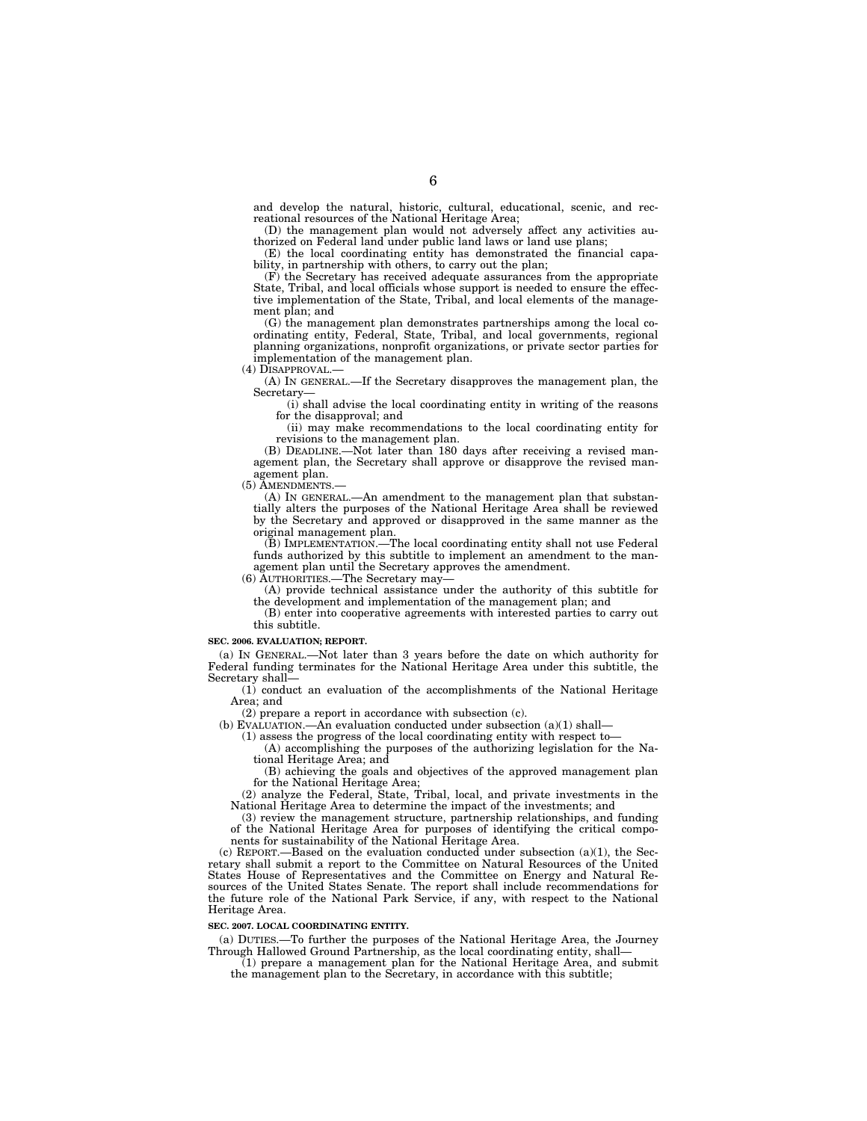and develop the natural, historic, cultural, educational, scenic, and recreational resources of the National Heritage Area;

(D) the management plan would not adversely affect any activities authorized on Federal land under public land laws or land use plans;

(E) the local coordinating entity has demonstrated the financial capability, in partnership with others, to carry out the plan;

(F) the Secretary has received adequate assurances from the appropriate State, Tribal, and local officials whose support is needed to ensure the effective implementation of the State, Tribal, and local elements of the management plan; and

(G) the management plan demonstrates partnerships among the local coordinating entity, Federal, State, Tribal, and local governments, regional planning organizations, nonprofit organizations, or private sector parties for implementation of the management plan.

(4) DISAPPROVAL.—

(A) IN GENERAL.—If the Secretary disapproves the management plan, the Secretary—

(i) shall advise the local coordinating entity in writing of the reasons for the disapproval; and

(ii) may make recommendations to the local coordinating entity for revisions to the management plan.

(B) DEADLINE.—Not later than 180 days after receiving a revised management plan, the Secretary shall approve or disapprove the revised management plan.

(5) AMENDMENTS.—

(A) IN GENERAL.—An amendment to the management plan that substantially alters the purposes of the National Heritage Area shall be reviewed by the Secretary and approved or disapproved in the same manner as the original management plan.

(B) IMPLEMENTATION.—The local coordinating entity shall not use Federal funds authorized by this subtitle to implement an amendment to the management plan until the Secretary approves the amendment.

(6) AUTHORITIES.—The Secretary may—

(A) provide technical assistance under the authority of this subtitle for the development and implementation of the management plan; and

(B) enter into cooperative agreements with interested parties to carry out this subtitle.

#### **SEC. 2006. EVALUATION; REPORT.**

(a) IN GENERAL.—Not later than 3 years before the date on which authority for Federal funding terminates for the National Heritage Area under this subtitle, the Secretary shall—

(1) conduct an evaluation of the accomplishments of the National Heritage Area; and

(2) prepare a report in accordance with subsection (c).

(b) EVALUATION.—An evaluation conducted under subsection (a)(1) shall—

(1) assess the progress of the local coordinating entity with respect to—

(A) accomplishing the purposes of the authorizing legislation for the National Heritage Area; and

(B) achieving the goals and objectives of the approved management plan for the National Heritage Area;

(2) analyze the Federal, State, Tribal, local, and private investments in the National Heritage Area to determine the impact of the investments; and

(3) review the management structure, partnership relationships, and funding of the National Heritage Area for purposes of identifying the critical components for sustainability of the National Heritage Area.

(c) REPORT.—Based on the evaluation conducted under subsection (a)(1), the Secretary shall submit a report to the Committee on Natural Resources of the United States House of Representatives and the Committee on Energy and Natural Resources of the United States Senate. The report shall include recommendations for the future role of the National Park Service, if any, with respect to the National Heritage Area.

#### **SEC. 2007. LOCAL COORDINATING ENTITY.**

(a) DUTIES.—To further the purposes of the National Heritage Area, the Journey Through Hallowed Ground Partnership, as the local coordinating entity, shall—

 $(1)$  prepare a management plan for the National Heritage Area, and submit the management plan to the Secretary, in accordance with this subtitle;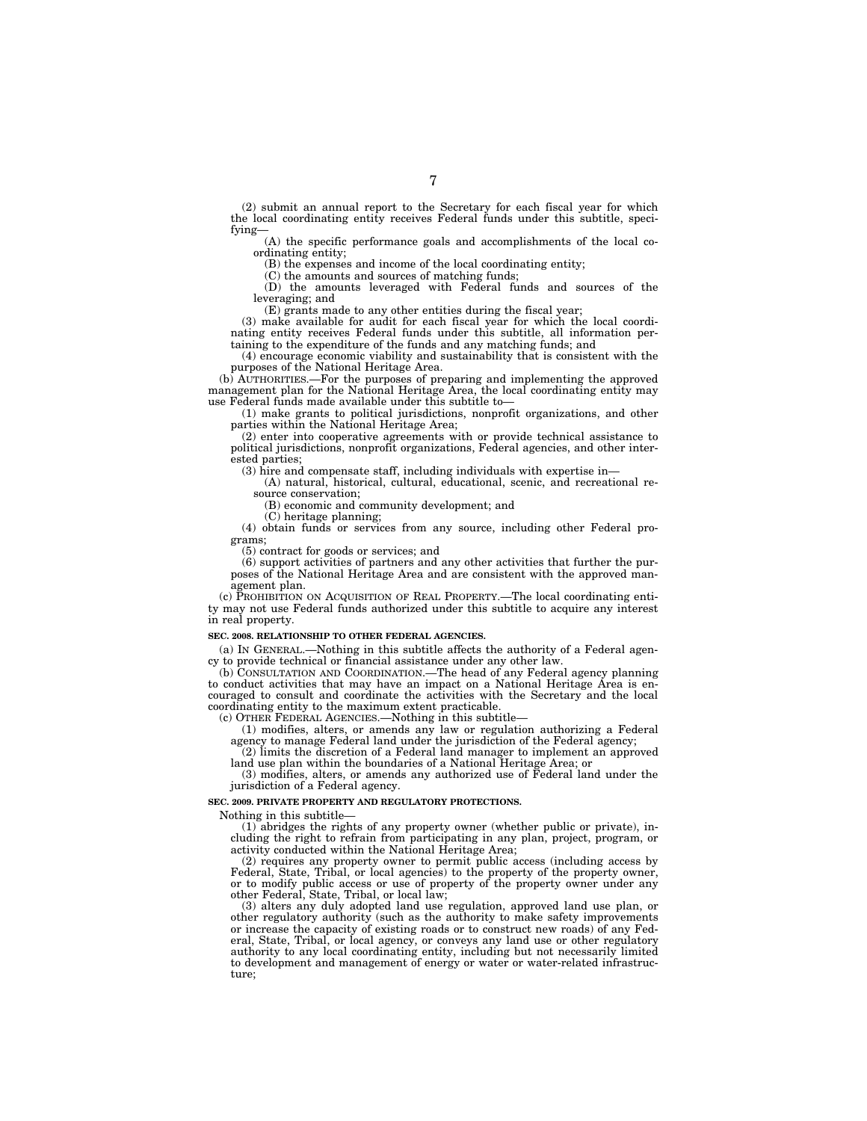(2) submit an annual report to the Secretary for each fiscal year for which the local coordinating entity receives Federal funds under this subtitle, specifying—

(A) the specific performance goals and accomplishments of the local coordinating entity;

(B) the expenses and income of the local coordinating entity;

(C) the amounts and sources of matching funds;

(D) the amounts leveraged with Federal funds and sources of the leveraging; and

(E) grants made to any other entities during the fiscal year;

(3) make available for audit for each fiscal year for which the local coordinating entity receives Federal funds under this subtitle, all information pertaining to the expenditure of the funds and any matching funds; and

(4) encourage economic viability and sustainability that is consistent with the purposes of the National Heritage Area.

(b) AUTHORITIES.—For the purposes of preparing and implementing the approved management plan for the National Heritage Area, the local coordinating entity may use Federal funds made available under this subtitle to—

(1) make grants to political jurisdictions, nonprofit organizations, and other parties within the National Heritage Area;

(2) enter into cooperative agreements with or provide technical assistance to political jurisdictions, nonprofit organizations, Federal agencies, and other interested parties;

(3) hire and compensate staff, including individuals with expertise in—

(A) natural, historical, cultural, educational, scenic, and recreational resource conservation;

(B) economic and community development; and

(C) heritage planning;

(4) obtain funds or services from any source, including other Federal programs;

(5) contract for goods or services; and

(6) support activities of partners and any other activities that further the purposes of the National Heritage Area and are consistent with the approved management plan.

(c) PROHIBITION ON ACQUISITION OF REAL PROPERTY.—The local coordinating entity may not use Federal funds authorized under this subtitle to acquire any interest in real property.

#### **SEC. 2008. RELATIONSHIP TO OTHER FEDERAL AGENCIES.**

(a) IN GENERAL.—Nothing in this subtitle affects the authority of a Federal agency to provide technical or financial assistance under any other law.

(b) CONSULTATION AND COORDINATION.—The head of any Federal agency planning to conduct activities that may have an impact on a National Heritage Area is encouraged to consult and coordinate the activities with the Secretary and the local coordinating entity to the maximum extent practicable.

(c) OTHER FEDERAL AGENCIES.—Nothing in this subtitle—

(1) modifies, alters, or amends any law or regulation authorizing a Federal agency to manage Federal land under the jurisdiction of the Federal agency;

(2) limits the discretion of a Federal land manager to implement an approved land use plan within the boundaries of a National Heritage Area; or

(3) modifies, alters, or amends any authorized use of Federal land under the jurisdiction of a Federal agency.

#### **SEC. 2009. PRIVATE PROPERTY AND REGULATORY PROTECTIONS.**

Nothing in this subtitle—

(1) abridges the rights of any property owner (whether public or private), including the right to refrain from participating in any plan, project, program, or activity conducted within the National Heritage Area;

(2) requires any property owner to permit public access (including access by Federal, State, Tribal, or local agencies) to the property of the property owner, or to modify public access or use of property of the property owner under any other Federal, State, Tribal, or local law;

(3) alters any duly adopted land use regulation, approved land use plan, or other regulatory authority (such as the authority to make safety improvements or increase the capacity of existing roads or to construct new roads) of any Federal, State, Tribal, or local agency, or conveys any land use or other regulatory authority to any local coordinating entity, including but not necessarily limited to development and management of energy or water or water-related infrastructure;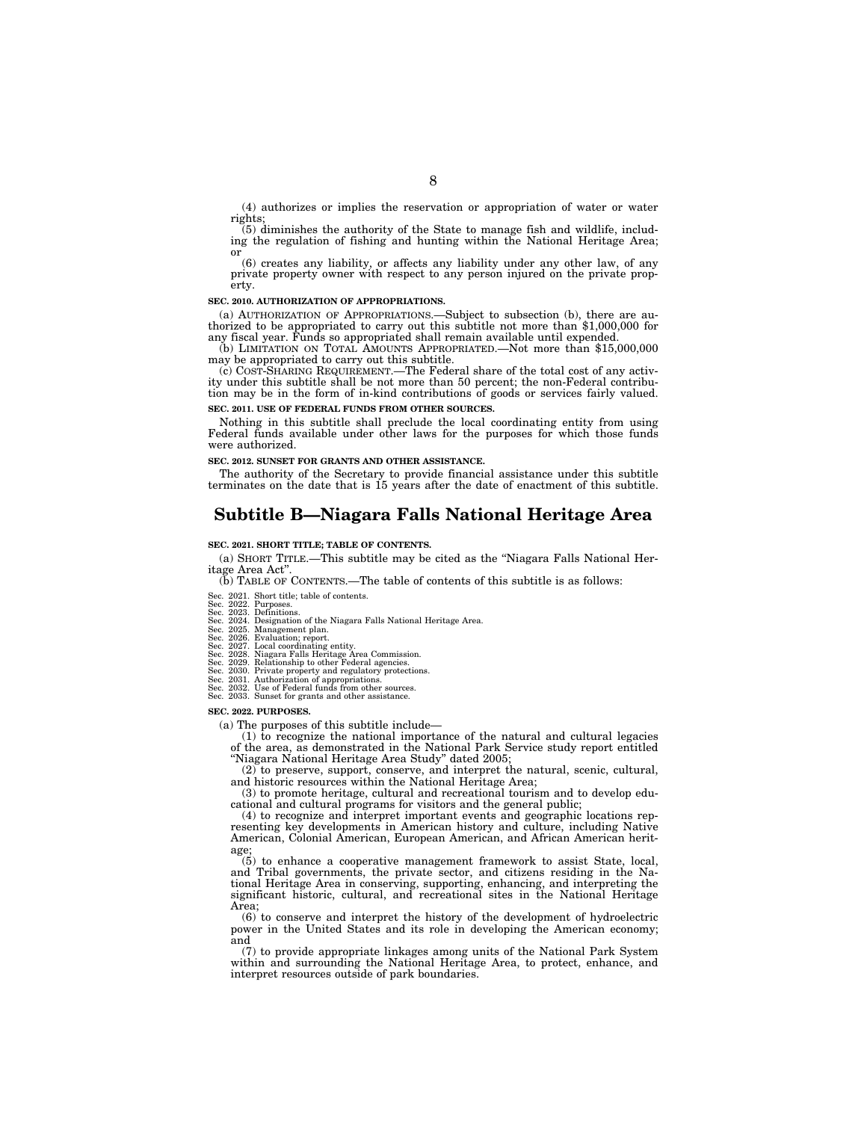(4) authorizes or implies the reservation or appropriation of water or water rights;

(5) diminishes the authority of the State to manage fish and wildlife, includ-ing the regulation of fishing and hunting within the National Heritage Area;

or (6) creates any liability, or affects any liability under any other law, of any private property owner with respect to any person injured on the private property.

#### **SEC. 2010. AUTHORIZATION OF APPROPRIATIONS.**

(a) AUTHORIZATION OF APPROPRIATIONS.—Subject to subsection (b), there are authorized to be appropriated to carry out this subtitle not more than \$1,000,000 for any fiscal year. Funds so appropriated shall remain available

(b) LIMITATION ON TOTAL AMOUNTS APPROPRIATED.—Not more than \$15,000,000 may be appropriated to carry out this subtitle.

(c) COST-SHARING REQUIREMENT.—The Federal share of the total cost of any activity under this subtitle shall be not more than 50 percent; the non-Federal contribution may be in the form of in-kind contributions of goods or services fairly valued. **SEC. 2011. USE OF FEDERAL FUNDS FROM OTHER SOURCES.** 

Nothing in this subtitle shall preclude the local coordinating entity from using Federal funds available under other laws for the purposes for which those funds were authorized.

#### **SEC. 2012. SUNSET FOR GRANTS AND OTHER ASSISTANCE.**

The authority of the Secretary to provide financial assistance under this subtitle terminates on the date that is 15 years after the date of enactment of this subtitle.

### **Subtitle B—Niagara Falls National Heritage Area**

#### **SEC. 2021. SHORT TITLE; TABLE OF CONTENTS.**

(a) SHORT TITLE.—This subtitle may be cited as the ''Niagara Falls National Her-

 $(b)$  TABLE OF CONTENTS.—The table of contents of this subtitle is as follows:

- 
- Sec. 2021. Short title; table of contents.<br>Sec. 2022. Purposes.<br>Sec. 2022. Designation of the Niagara Falls National Heritage Area.<br>Sec. 2024. Designation of the Niagara Falls National Heritage Area.<br>Sec. 2025. Management
- 
- 

- 
- 

#### **SEC. 2022. PURPOSES.**

(a) The purposes of this subtitle include—

 $(1)$  to recognize the national importance of the natural and cultural legacies of the area, as demonstrated in the National Park Service study report entitled ''Niagara National Heritage Area Study'' dated 2005;

(2) to preserve, support, conserve, and interpret the natural, scenic, cultural, and historic resources within the National Heritage Area;

(3) to promote heritage, cultural and recreational tourism and to develop educational and cultural programs for visitors and the general public;

(4) to recognize and interpret important events and geographic locations representing key developments in American history and culture, including Native American, Colonial American, European American, and African American heritage;

(5) to enhance a cooperative management framework to assist State, local, and Tribal governments, the private sector, and citizens residing in the National Heritage Area in conserving, supporting, enhancing, and interpreting the significant historic, cultural, and recreational sites in the National Heritage Area;

(6) to conserve and interpret the history of the development of hydroelectric power in the United States and its role in developing the American economy; and

(7) to provide appropriate linkages among units of the National Park System within and surrounding the National Heritage Area, to protect, enhance, and interpret resources outside of park boundaries.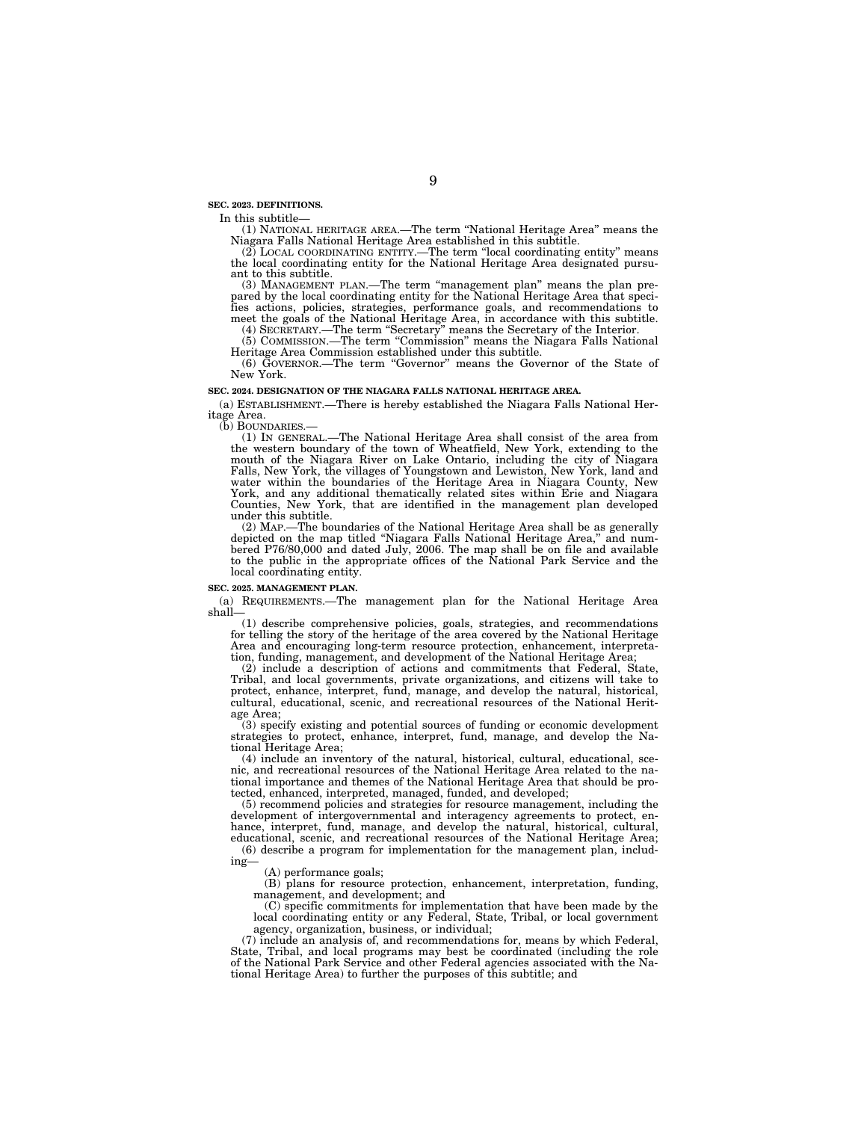**SEC. 2023. DEFINITIONS.** 

In this subtitle— (1) NATIONAL HERITAGE AREA.—The term ''National Heritage Area'' means the Niagara Falls National Heritage Area established in this subtitle.<br>
(2) LOCAL COORDINATING ENTITY.—The term "local coordinating entity" means

the local coordinating entity for the National Heritage Area designated pursuant to this subtitle.

(3) MANAGEMENT PLAN.—The term ''management plan'' means the plan prepared by the local coordinating entity for the National Heritage Area that specifies actions, policies, strategies, performance goals, and recommendations to meet the goals of the National Heritage Area, in accordance with

(4) SECRETARY.—The term ''Secretary'' means the Secretary of the Interior. (5) COMMISSION.—The term ''Commission'' means the Niagara Falls National

Heritage Area Commission established under this subtitle. (6) GOVERNOR.—The term ''Governor'' means the Governor of the State of New York.

#### **SEC. 2024. DESIGNATION OF THE NIAGARA FALLS NATIONAL HERITAGE AREA.**

(a) ESTABLISHMENT.—There is hereby established the Niagara Falls National Heritage Area.<br>(b) BOUNDARIES.-

(1) IN GENERAL.—The National Heritage Area shall consist of the area from the western boundary of the town of Wheatfield, New York, extending to the mouth of the Niagara River on Lake Ontario, including the city of Niagara Falls, New York, the villages of Youngstown and Lewiston, New York, land and water within the boundaries of the Heritage Area in Niagara County, New York, and any additional thematically related sites within Erie and Niagara Counties, New York, that are identified in the management plan developed under this subtitle.

(2) MAP.—The boundaries of the National Heritage Area shall be as generally depicted on the map titled ''Niagara Falls National Heritage Area,'' and num-bered P76/80,000 and dated July, 2006. The map shall be on file and available to the public in the appropriate offices of the National Park Service and the local coordinating entity.

#### **SEC. 2025. MANAGEMENT PLAN.**

(a) REQUIREMENTS.—The management plan for the National Heritage Area shall—

(1) describe comprehensive policies, goals, strategies, and recommendations for telling the story of the heritage of the area covered by the National Heritage Area and encouraging long-term resource protection, enhancement, interpretation, funding, management, and development of the National Heritage Area;

(2) include a description of actions and commitments that Federal, State, Tribal, and local governments, private organizations, and citizens will take to protect, enhance, interpret, fund, manage, and develop the natural, historical, cultural, educational, scenic, and recreational resources of the National Heritage Area;

(3) specify existing and potential sources of funding or economic development strategies to protect, enhance, interpret, fund, manage, and develop the National Heritage Area;

(4) include an inventory of the natural, historical, cultural, educational, scenic, and recreational resources of the National Heritage Area related to the national importance and themes of the National Heritage Area that should be protected, enhanced, interpreted, managed, funded, and developed;

(5) recommend policies and strategies for resource management, including the development of intergovernmental and interagency agreements to protect, enhance, interpret, fund, manage, and develop the natural, historical, cultural, educational, scenic, and recreational resources of the National Heritage Area;

(6) describe a program for implementation for the management plan, including—

(A) performance goals;

(B) plans for resource protection, enhancement, interpretation, funding, management, and development; and

(C) specific commitments for implementation that have been made by the local coordinating entity or any Federal, State, Tribal, or local government agency, organization, business, or individual;

(7) include an analysis of, and recommendations for, means by which Federal, State, Tribal, and local programs may best be coordinated (including the role of the National Park Service and other Federal agencies associated with the National Heritage Area) to further the purposes of this subtitle; and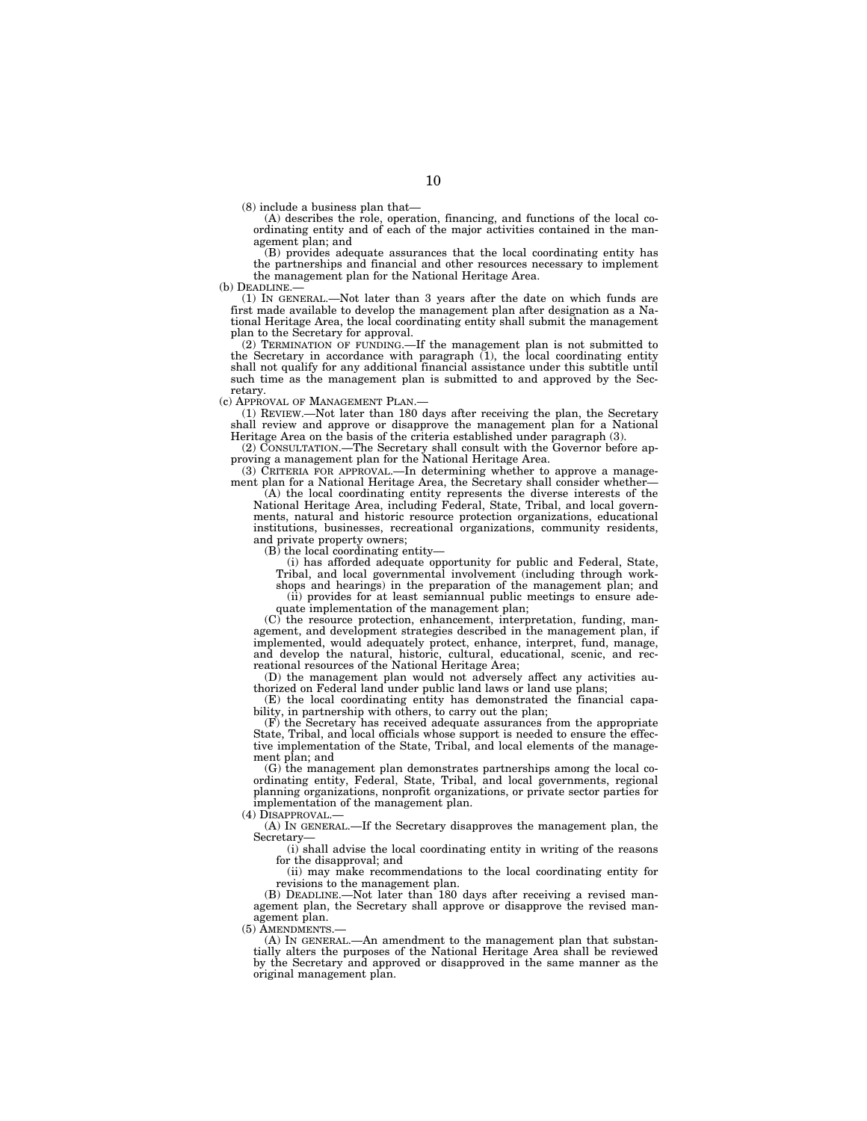(8) include a business plan that—

(A) describes the role, operation, financing, and functions of the local coordinating entity and of each of the major activities contained in the management plan; and

(B) provides adequate assurances that the local coordinating entity has the partnerships and financial and other resources necessary to implement the management plan for the National Heritage Area.

(b) DEADLINE.—

(1) IN GENERAL.—Not later than 3 years after the date on which funds are first made available to develop the management plan after designation as a National Heritage Area, the local coordinating entity shall submit the management plan to the Secretary for approval.

(2) TERMINATION OF FUNDING.—If the management plan is not submitted to the Secretary in accordance with paragraph (1), the local coordinating entity shall not qualify for any additional financial assistance under this subtitle until such time as the management plan is submitted to and approved by the Secretary.

(c) APPROVAL OF MANAGEMENT PLAN.—

(1) REVIEW.—Not later than 180 days after receiving the plan, the Secretary shall review and approve or disapprove the management plan for a National Heritage Area on the basis of the criteria established under paragraph (3).

(2) CONSULTATION.—The Secretary shall consult with the Governor before approving a management plan for the National Heritage Area.

(3) CRITERIA FOR APPROVAL.—In determining whether to approve a management plan for a National Heritage Area, the Secretary shall consider whether-

(A) the local coordinating entity represents the diverse interests of the National Heritage Area, including Federal, State, Tribal, and local governments, natural and historic resource protection organizations, educational institutions, businesses, recreational organizations, community residents, and private property owners;

(B) the local coordinating entity—

(i) has afforded adequate opportunity for public and Federal, State, Tribal, and local governmental involvement (including through work-

shops and hearings) in the preparation of the management plan; and (ii) provides for at least semiannual public meetings to ensure ade-

quate implementation of the management plan;

(C) the resource protection, enhancement, interpretation, funding, management, and development strategies described in the management plan, if implemented, would adequately protect, enhance, interpret, fund, manage, and develop the natural, historic, cultural, educational, scenic, and recreational resources of the National Heritage Area;

(D) the management plan would not adversely affect any activities authorized on Federal land under public land laws or land use plans;

(E) the local coordinating entity has demonstrated the financial capability, in partnership with others, to carry out the plan;

(F) the Secretary has received adequate assurances from the appropriate State, Tribal, and local officials whose support is needed to ensure the effective implementation of the State, Tribal, and local elements of the management plan; and

(G) the management plan demonstrates partnerships among the local coordinating entity, Federal, State, Tribal, and local governments, regional planning organizations, nonprofit organizations, or private sector parties for implementation of the management plan.

 $(4)$  DISAPPROVAL.

(A) IN GENERAL.—If the Secretary disapproves the management plan, the Secretary—

(i) shall advise the local coordinating entity in writing of the reasons for the disapproval; and

(ii) may make recommendations to the local coordinating entity for revisions to the management plan.

(B) DEADLINE.—Not later than 180 days after receiving a revised management plan, the Secretary shall approve or disapprove the revised management plan.

(5) AMENDMENTS

(A) IN GENERAL.—An amendment to the management plan that substantially alters the purposes of the National Heritage Area shall be reviewed by the Secretary and approved or disapproved in the same manner as the original management plan.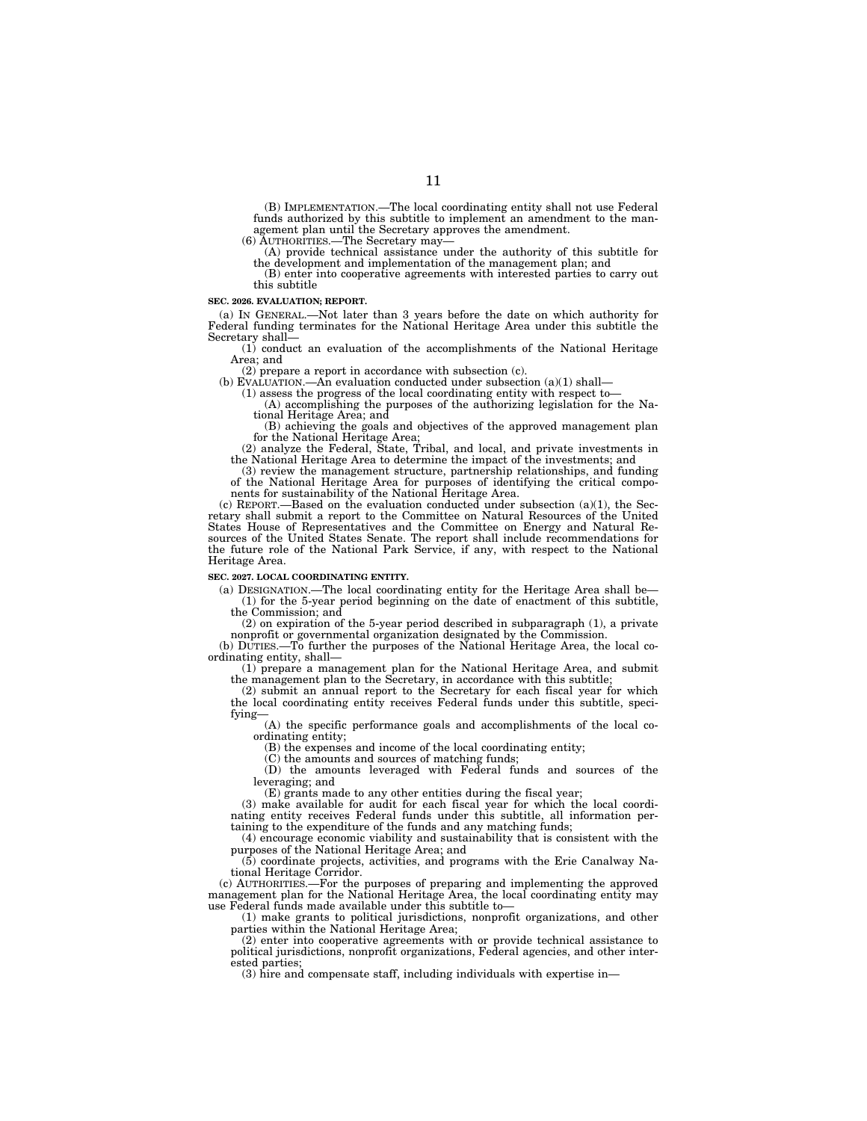(B) IMPLEMENTATION.—The local coordinating entity shall not use Federal funds authorized by this subtitle to implement an amendment to the management plan until the Secretary approves the amendment.<br>(6) AUTHORITIES.—The Secretary may—

(A) provide technical assistance under the authority of this subtitle for the development and implementation of the management plan; and (B) enter into cooperative agreements with interested parties to carry out

this subtitle

#### **SEC. 2026. EVALUATION; REPORT.**

(a) IN GENERAL.—Not later than 3 years before the date on which authority for Federal funding terminates for the National Heritage Area under this subtitle the Secretary shall— (1) conduct an evaluation of the accomplishments of the National Heritage

Area; and

(2) prepare a report in accordance with subsection (c).<br>(b) EVALUATION.—An evaluation conducted under subsection (a)(1) shall—

(b) EVALUATION.—An evaluation conducted under subsection  $(a)(1)$  shall—<br>(1) assess the progress of the local coordinating entity with respect to—<br>(A) accomplishing the purposes of the authorizing legislation for the Nation

(B) achieving the goals and objectives of the approved management plan for the National Heritage Area;

(2) analyze the Federal, State, Tribal, and local, and private investments in the National Heritage Area to determine the impact of the investments; and

(3) review the management structure, partnership relationships, and funding of the National Heritage Area for purposes of identifying the critical compo-

nents for sustainability of the National Heritage Area.<br>(c) REPORT.—Based on the evaluation conducted under subsection (a)(1), the Secretary shall submit a report to the Committee on Natural Resources of the United States House of Representatives and the Committee on Energy and Natural Resources of the United States Senate. The report shall include recommendations for the future role of the National Park Service, if any, with respect to the National Heritage Area.

#### **SEC. 2027. LOCAL COORDINATING ENTITY.**

(a) DESIGNATION.—The local coordinating entity for the Heritage Area shall be— (1) for the 5-year period beginning on the date of enactment of this subtitle, the Commission; and

(2) on expiration of the 5-year period described in subparagraph (1), a private

nonprofit or governmental organization designated by the Commission.<br>(b) DUTIES.—To further the purposes of the National Heritage Area, the local coordinating entity, shall— (1) prepare a management plan for the National Heritage Area, and submit

the management plan to the Secretary, in accordance with this subtitle;

(2) submit an annual report to the Secretary for each fiscal year for which the local coordinating entity receives Federal funds under this subtitle, specifying—

(A) the specific performance goals and accomplishments of the local coordinating entity;

(B) the expenses and income of the local coordinating entity;

(C) the amounts and sources of matching funds;

(D) the amounts leveraged with Federal funds and sources of the leveraging; and

(E) grants made to any other entities during the fiscal year;

(3) make available for audit for each fiscal year for which the local coordinating entity receives Federal funds under this subtitle, all information pertaining to the expenditure of the funds and any matching funds;

(4) encourage economic viability and sustainability that is consistent with the purposes of the National Heritage Area; and

(5) coordinate projects, activities, and programs with the Erie Canalway National Heritage Corridor.

(c) AUTHORITIES.—For the purposes of preparing and implementing the approved management plan for the National Heritage Area, the local coordinating entity may use Federal funds made available under this subtitle to—

(1) make grants to political jurisdictions, nonprofit organizations, and other parties within the National Heritage Area;

(2) enter into cooperative agreements with or provide technical assistance to political jurisdictions, nonprofit organizations, Federal agencies, and other interested parties;

(3) hire and compensate staff, including individuals with expertise in—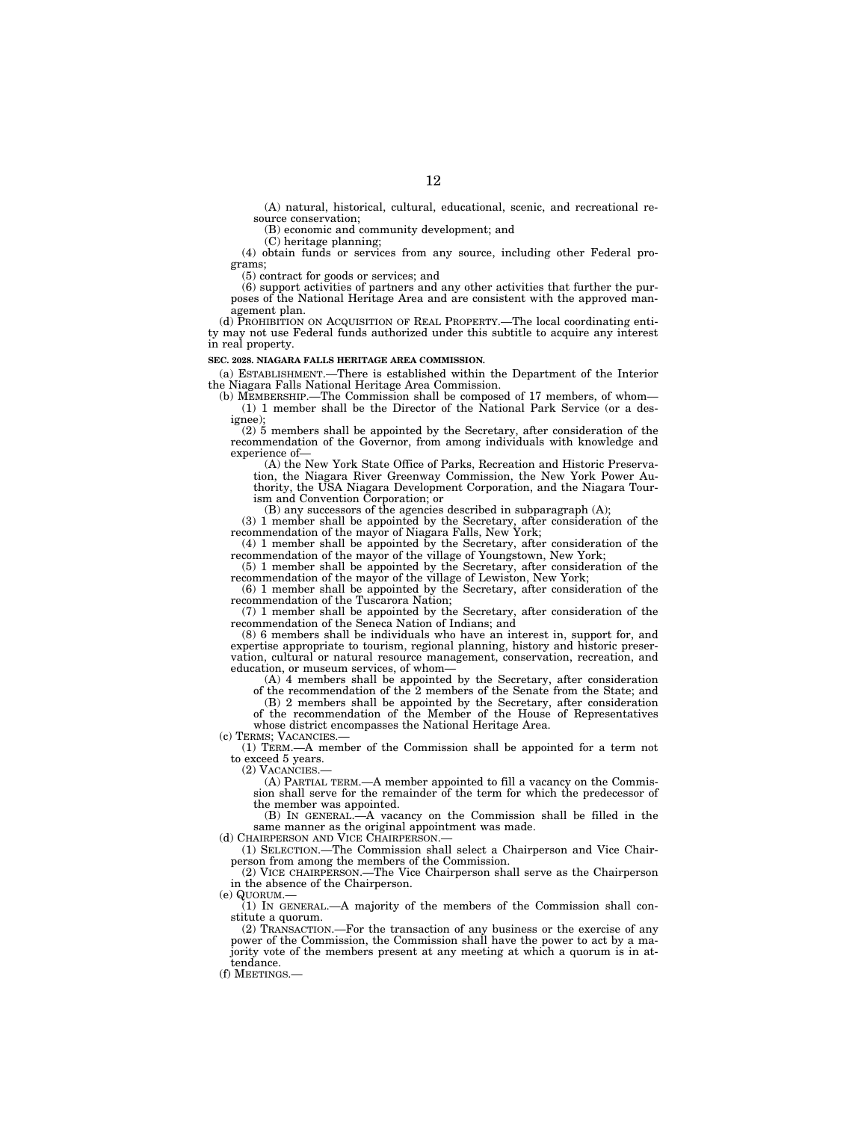(A) natural, historical, cultural, educational, scenic, and recreational resource conservation;

(B) economic and community development; and

(C) heritage planning;

(4) obtain funds or services from any source, including other Federal programs;

(5) contract for goods or services; and

(6) support activities of partners and any other activities that further the purposes of the National Heritage Area and are consistent with the approved management plan.

(d) PROHIBITION ON ACQUISITION OF REAL PROPERTY.—The local coordinating entity may not use Federal funds authorized under this subtitle to acquire any interest in real property.

#### **SEC. 2028. NIAGARA FALLS HERITAGE AREA COMMISSION.**

(a) ESTABLISHMENT.—There is established within the Department of the Interior the Niagara Falls National Heritage Area Commission.

(b) MEMBERSHIP.—The Commission shall be composed of 17 members, of whom— (1) 1 member shall be the Director of the National Park Service (or a designee);

(2) 5 members shall be appointed by the Secretary, after consideration of the recommendation of the Governor, from among individuals with knowledge and experience of—

(A) the New York State Office of Parks, Recreation and Historic Preservation, the Niagara River Greenway Commission, the New York Power Authority, the USA Niagara Development Corporation, and the Niagara Tourism and Convention Corporation; or

(B) any successors of the agencies described in subparagraph (A);

(3) 1 member shall be appointed by the Secretary, after consideration of the recommendation of the mayor of Niagara Falls, New York;

(4) 1 member shall be appointed by the Secretary, after consideration of the recommendation of the mayor of the village of Youngstown, New York;

(5) 1 member shall be appointed by the Secretary, after consideration of the recommendation of the mayor of the village of Lewiston, New York;

(6) 1 member shall be appointed by the Secretary, after consideration of the recommendation of the Tuscarora Nation;

(7) 1 member shall be appointed by the Secretary, after consideration of the recommendation of the Seneca Nation of Indians; and

(8) 6 members shall be individuals who have an interest in, support for, and expertise appropriate to tourism, regional planning, history and historic preservation, cultural or natural resource management, conservation, recreation, and education, or museum services, of whom—

(A) 4 members shall be appointed by the Secretary, after consideration of the recommendation of the 2 members of the Senate from the State; and

(B) 2 members shall be appointed by the Secretary, after consideration of the recommendation of the Member of the House of Representatives whose district encompasses the National Heritage Area.

(c) TERMS; VACANCIES.—

(1) TERM.—A member of the Commission shall be appointed for a term not to exceed 5 years.

(2) VACANCIES.—

(A) PARTIAL TERM.—A member appointed to fill a vacancy on the Commission shall serve for the remainder of the term for which the predecessor of the member was appointed.

(B) IN GENERAL.—A vacancy on the Commission shall be filled in the same manner as the original appointment was made. (d) CHAIRPERSON AND VICE CHAIRPERSON.

(1) SELECTION.—The Commission shall select a Chairperson and Vice Chairperson from among the members of the Commission.

(2) VICE CHAIRPERSON.—The Vice Chairperson shall serve as the Chairperson in the absence of the Chairperson.

(e) QUORUM.—

(1) IN GENERAL.—A majority of the members of the Commission shall constitute a quorum.

(2) TRANSACTION.—For the transaction of any business or the exercise of any power of the Commission, the Commission shall have the power to act by a majority vote of the members present at any meeting at which a quorum is in attendance.

(f) MEETINGS.—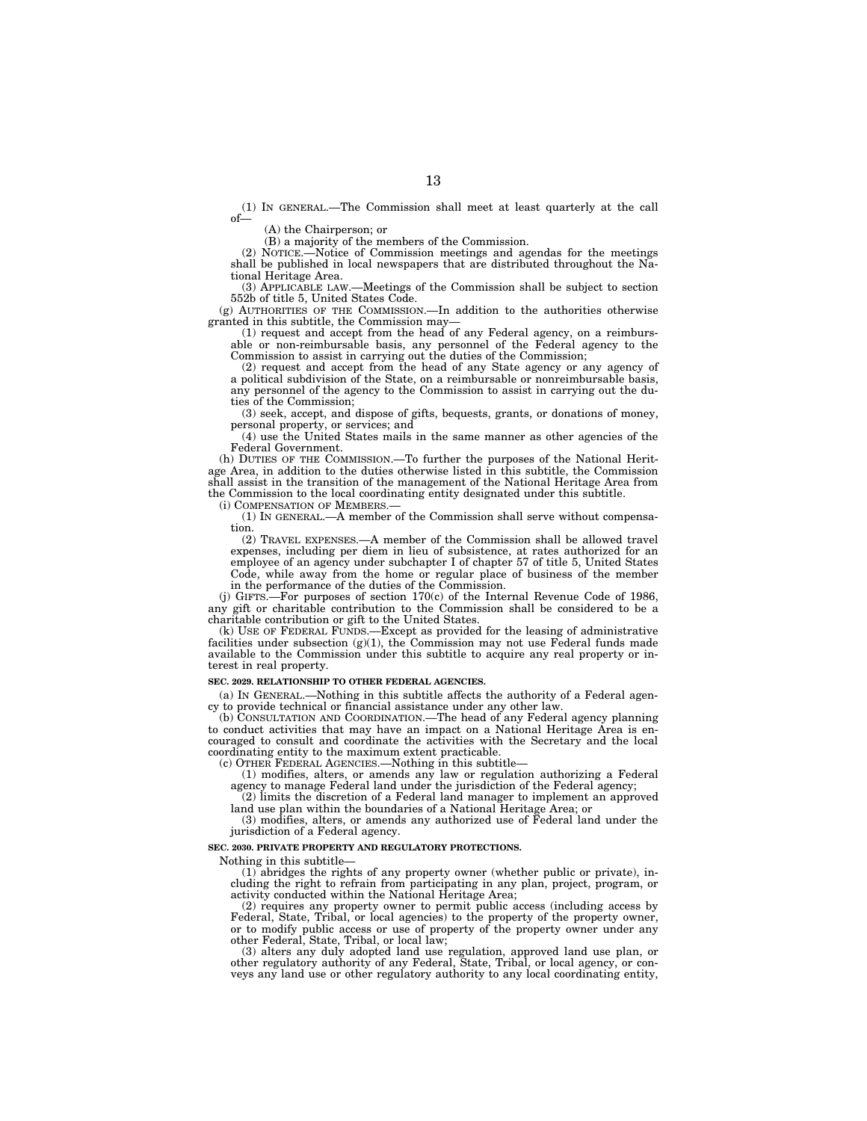(1) IN GENERAL.—The Commission shall meet at least quarterly at the call of—

(A) the Chairperson; or

 $(B)$  a majority of the members of the Commission.<br>NOTICE.—Notice of Commission meetings and ag

(2) NOTICE.—Notice of Commission meetings and agendas for the meetings shall be published in local newspapers that are distributed throughout the National Heritage Area.

(3) APPLICABLE LAW.—Meetings of the Commission shall be subject to section 552b of title 5, United States Code.

(g) AUTHORITIES OF THE COMMISSION.—In addition to the authorities otherwise granted in this subtitle, the Commission may—

(1) request and accept from the head of any Federal agency, on a reimbursable or non-reimbursable basis, any personnel of the Federal agency to the Commission to assist in carrying out the duties of the Commission;

(2) request and accept from the head of any State agency or any agency of a political subdivision of the State, on a reimbursable or nonreimbursable basis, any personnel of the agency to the Commission to assist in carrying out the duties of the Commission;

(3) seek, accept, and dispose of gifts, bequests, grants, or donations of money, personal property, or services; and

(4) use the United States mails in the same manner as other agencies of the Federal Government.

(h) DUTIES OF THE COMMISSION.—To further the purposes of the National Heritage Area, in addition to the duties otherwise listed in this subtitle, the Commission shall assist in the transition of the management of the National Heritage Area from the Commission to the local coordinating entity designated under this subtitle.

(i) COMPENSATION OF MEMBERS.—

(1) IN GENERAL.—A member of the Commission shall serve without compensation.

(2) TRAVEL EXPENSES.—A member of the Commission shall be allowed travel expenses, including per diem in lieu of subsistence, at rates authorized for an employee of an agency under subchapter I of chapter 57 of title 5, United States Code, while away from the home or regular place of business of the member in the performance of the duties of the Commission.

(j) GIFTS.—For purposes of section 170(c) of the Internal Revenue Code of 1986, any gift or charitable contribution to the Commission shall be considered to be a charitable contribution or gift to the United States.

(k) USE OF FEDERAL FUNDS.—Except as provided for the leasing of administrative facilities under subsection  $(g)(1)$ , the Commission may not use Federal funds made available to the Commission under this subtitle to acquire any real property or interest in real property.

#### **SEC. 2029. RELATIONSHIP TO OTHER FEDERAL AGENCIES.**

(a) IN GENERAL.—Nothing in this subtitle affects the authority of a Federal agency to provide technical or financial assistance under any other law.

(b) CONSULTATION AND COORDINATION.—The head of any Federal agency planning to conduct activities that may have an impact on a National Heritage Area is encouraged to consult and coordinate the activities with the Secretary and the local coordinating entity to the maximum extent practicable.

(c) OTHER FEDERAL AGENCIES.—Nothing in this subtitle—

(1) modifies, alters, or amends any law or regulation authorizing a Federal agency to manage Federal land under the jurisdiction of the Federal agency;

(2) limits the discretion of a Federal land manager to implement an approved land use plan within the boundaries of a National Heritage Area; or

(3) modifies, alters, or amends any authorized use of Federal land under the jurisdiction of a Federal agency.

#### **SEC. 2030. PRIVATE PROPERTY AND REGULATORY PROTECTIONS.**

Nothing in this subtitle—

(1) abridges the rights of any property owner (whether public or private), including the right to refrain from participating in any plan, project, program, or activity conducted within the National Heritage Area;

(2) requires any property owner to permit public access (including access by Federal, State, Tribal, or local agencies) to the property of the property owner, or to modify public access or use of property of the property owner under any other Federal, State, Tribal, or local law;

(3) alters any duly adopted land use regulation, approved land use plan, or other regulatory authority of any Federal, State, Tribal, or local agency, or conveys any land use or other regulatory authority to any local coordinating entity,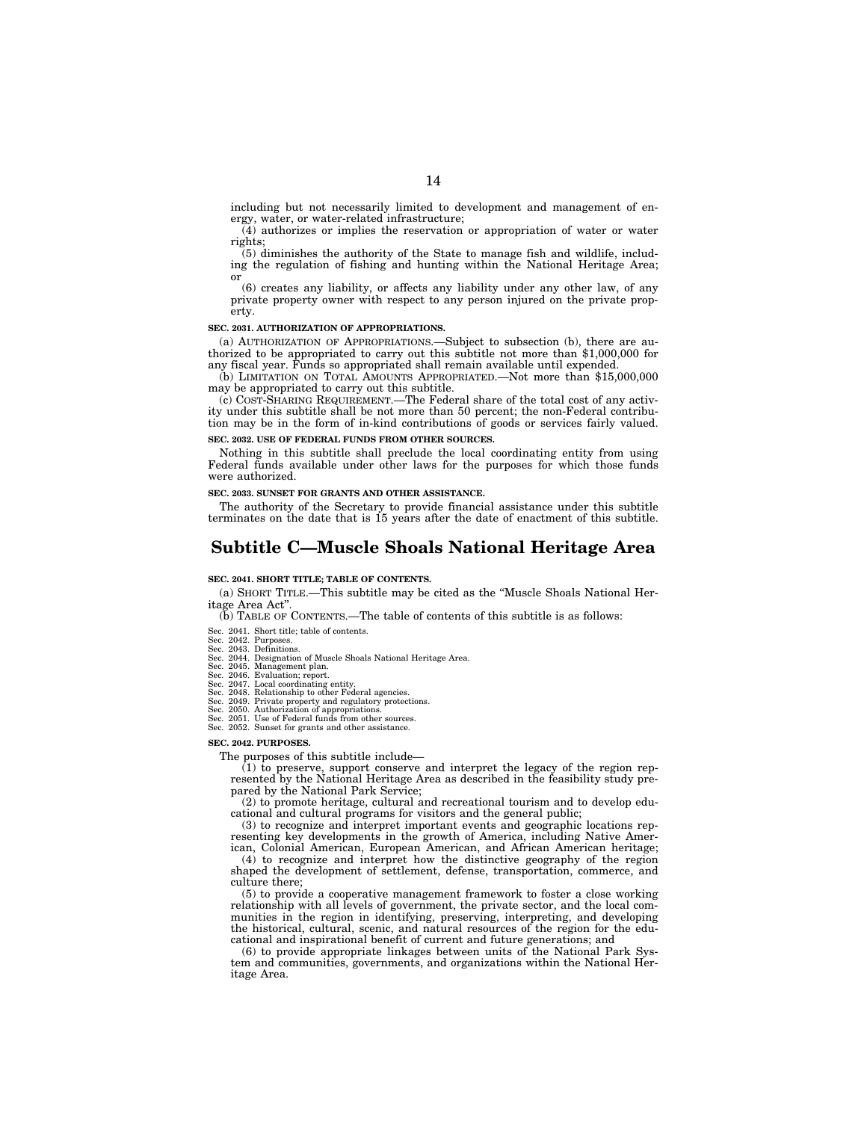including but not necessarily limited to development and management of energy, water, or water-related infrastructure;

(4) authorizes or implies the reservation or appropriation of water or water rights;

(5) diminishes the authority of the State to manage fish and wildlife, including the regulation of fishing and hunting within the National Heritage Area; or

(6) creates any liability, or affects any liability under any other law, of any private property owner with respect to any person injured on the private property.

#### **SEC. 2031. AUTHORIZATION OF APPROPRIATIONS.**

(a) AUTHORIZATION OF APPROPRIATIONS.—Subject to subsection (b), there are authorized to be appropriated to carry out this subtitle not more than \$1,000,000 for any fiscal year. Funds so appropriated shall remain available until expended.

(b) LIMITATION ON TOTAL AMOUNTS APPROPRIATED.—Not more than \$15,000,000 may be appropriated to carry out this subtitle.

(c) COST-SHARING REQUIREMENT.—The Federal share of the total cost of any activity under this subtitle shall be not more than 50 percent; the non-Federal contribution may be in the form of in-kind contributions of goods or services fairly valued.

#### **SEC. 2032. USE OF FEDERAL FUNDS FROM OTHER SOURCES.**

Nothing in this subtitle shall preclude the local coordinating entity from using Federal funds available under other laws for the purposes for which those funds were authorized.

**SEC. 2033. SUNSET FOR GRANTS AND OTHER ASSISTANCE.** 

The authority of the Secretary to provide financial assistance under this subtitle terminates on the date that is 15 years after the date of enactment of this subtitle.

### **Subtitle C—Muscle Shoals National Heritage Area**

#### **SEC. 2041. SHORT TITLE; TABLE OF CONTENTS.**

(a) SHORT TITLE.—This subtitle may be cited as the ''Muscle Shoals National Heritage Area Act''.

(b) TABLE OF CONTENTS.—The table of contents of this subtitle is as follows:

#### Sec. 2041. Short title; table of contents.

- 
- Sec. 2042. Purposes. Sec. 2043. Definitions. Sec. 2044. Designation of Muscle Shoals National Heritage Area.
- 
- 
- Sec. 2046. Management plan.<br>Sec. 2046. Evaluation; report.<br>Sec. 2047. Local coordinating entity.<br>Sec. 2048. Relationship to other Federal agencies.<br>Sec. 2049. Private property and regulatory protections.
- 
- 
- Sec. 2050. Authorization of appropriations. Sec. 2051. Use of Federal funds from other sources. Sec. 2052. Sunset for grants and other assistance.

#### **SEC. 2042. PURPOSES.**

The purposes of this subtitle include—

 $(1)$  to preserve, support conserve and interpret the legacy of the region represented by the National Heritage Area as described in the feasibility study prepared by the National Park Service;

(2) to promote heritage, cultural and recreational tourism and to develop educational and cultural programs for visitors and the general public;

(3) to recognize and interpret important events and geographic locations representing key developments in the growth of America, including Native Amer-

ican, Colonial American, European American, and African American heritage;  $(4)$  to recognize and interpret how the distinctive geography of the region shaped the development of settlement, defense, transportation, commerce, and culture there;

(5) to provide a cooperative management framework to foster a close working relationship with all levels of government, the private sector, and the local communities in the region in identifying, preserving, interpreting, and developing the historical, cultural, scenic, and natural resources of the region for the educational and inspirational benefit of current and future generations; and

(6) to provide appropriate linkages between units of the National Park System and communities, governments, and organizations within the National Heritage Area.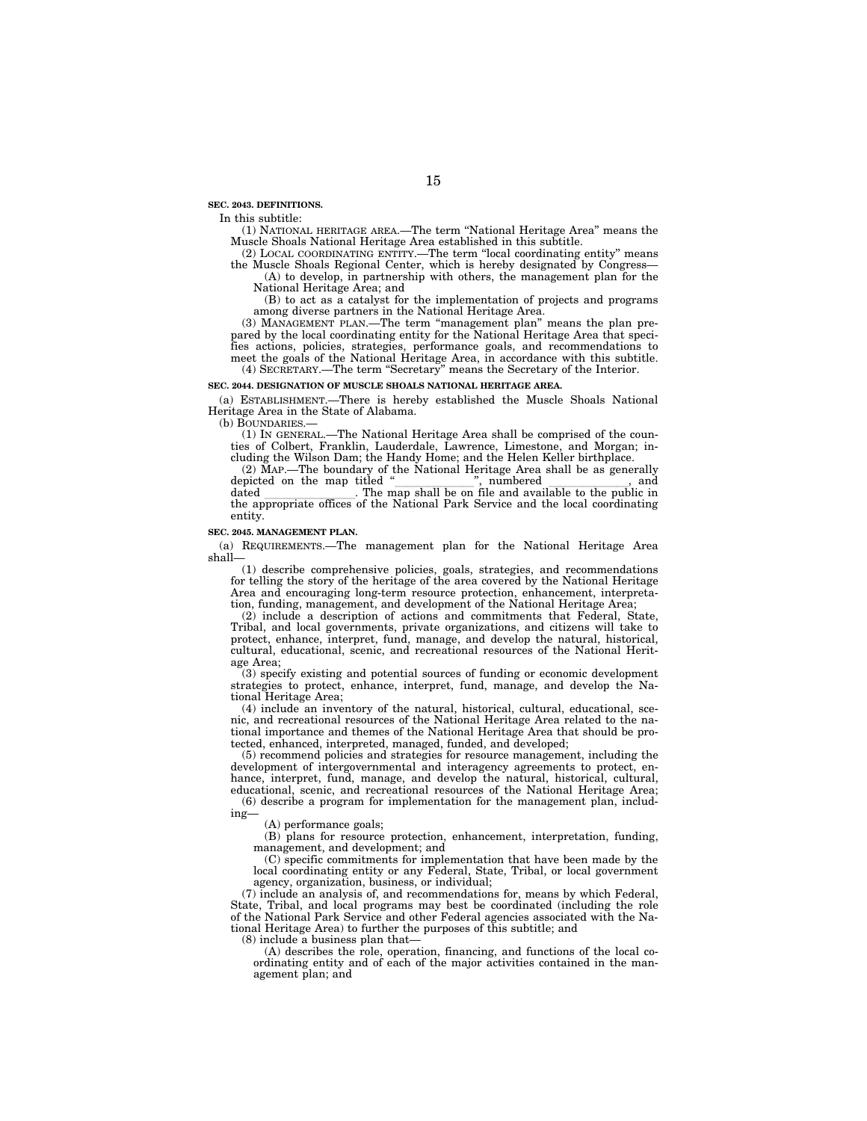**SEC. 2043. DEFINITIONS.** 

In this subtitle:

(1) NATIONAL HERITAGE AREA.—The term ''National Heritage Area'' means the Muscle Shoals National Heritage Area established in this subtitle.

(2) LOCAL COORDINATING ENTITY.—The term ''local coordinating entity'' means the Muscle Shoals Regional Center, which is hereby designated by Congress— (A) to develop, in partnership with others, the management plan for the National Heritage Area; and

(B) to act as a catalyst for the implementation of projects and programs among diverse partners in the National Heritage Area.

(3) MANAGEMENT PLAN.—The term ''management plan'' means the plan prepared by the local coordinating entity for the National Heritage Area that specifies actions, policies, strategies, performance goals, and recommendations to meet the goals of the National Heritage Area, in accordance with this subtitle. (4) SECRETARY.—The term ''Secretary'' means the Secretary of the Interior.

#### **SEC. 2044. DESIGNATION OF MUSCLE SHOALS NATIONAL HERITAGE AREA.**

(a) ESTABLISHMENT.—There is hereby established the Muscle Shoals National Heritage Area in the State of Alabama.

(b) BOUNDARIES.—

(1) IN GENERAL.—The National Heritage Area shall be comprised of the counties of Colbert, Franklin, Lauderdale, Lawrence, Limestone, and Morgan; including the Wilson Dam; the Handy Home; and the Helen Keller birthplace.

(2) MAP.—The boundary of the National Heritage Area shall be as generally dated The map shall be on file and available to the public in dated \_\_\_\_\_\_\_\_\_\_\_\_\_\_\_. The map shall be on file and available to the public in the appropriate offices of the National Park Service and the local coordinating

entity.

#### **SEC. 2045. MANAGEMENT PLAN.**

(a) REQUIREMENTS.—The management plan for the National Heritage Area shall-

(1) describe comprehensive policies, goals, strategies, and recommendations for telling the story of the heritage of the area covered by the National Heritage Area and encouraging long-term resource protection, enhancement, interpretation, funding, management, and development of the National Heritage Area;

(2) include a description of actions and commitments that Federal, State, Tribal, and local governments, private organizations, and citizens will take to protect, enhance, interpret, fund, manage, and develop the natural, historical, cultural, educational, scenic, and recreational resources of the National Heritage Area;

(3) specify existing and potential sources of funding or economic development strategies to protect, enhance, interpret, fund, manage, and develop the National Heritage Area;

(4) include an inventory of the natural, historical, cultural, educational, scenic, and recreational resources of the National Heritage Area related to the national importance and themes of the National Heritage Area that should be protected, enhanced, interpreted, managed, funded, and developed;

(5) recommend policies and strategies for resource management, including the development of intergovernmental and interagency agreements to protect, enhance, interpret, fund, manage, and develop the natural, historical, cultural, educational, scenic, and recreational resources of the National Heritage Area; (6) describe a program for implementation for the management plan, includ-

(A) performance goals;

ing—

(B) plans for resource protection, enhancement, interpretation, funding, management, and development; and

(C) specific commitments for implementation that have been made by the

local coordinating entity or any Federal, State, Tribal, or local government agency, organization, business, or individual;

(7) include an analysis of, and recommendations for, means by which Federal, State, Tribal, and local programs may best be coordinated (including the role of the National Park Service and other Federal agencies associated with the National Heritage Area) to further the purposes of this subtitle; and

(8) include a business plan that—

(A) describes the role, operation, financing, and functions of the local coordinating entity and of each of the major activities contained in the management plan; and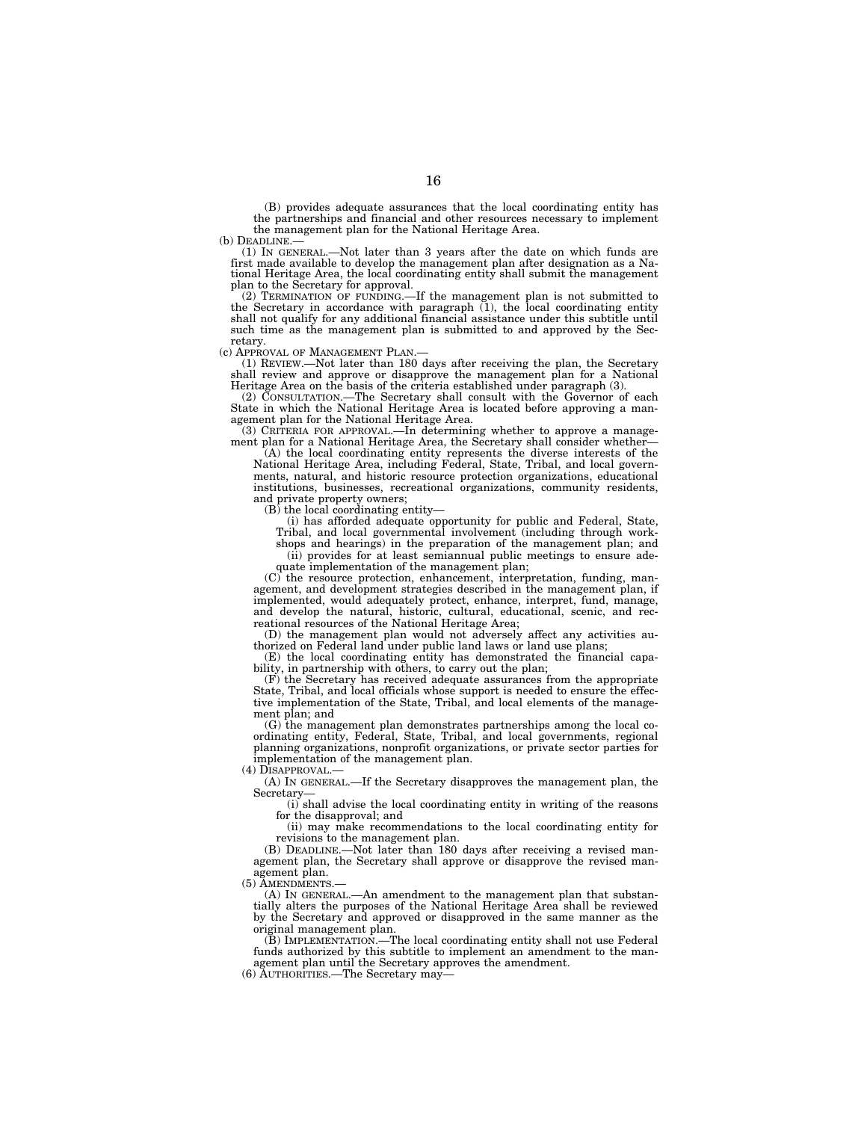(B) provides adequate assurances that the local coordinating entity has the partnerships and financial and other resources necessary to implement the management plan for the National Heritage Area.<br>(b) DEADLINE.—

 $(1)$  IN GENERAL.—Not later than 3 years after the date on which funds are first made available to develop the management plan after designation as a National Heritage Area, the local coordinating entity shall submit the management plan to the Secretary for approval.

(2) TERMINATION OF FUNDING.—If the management plan is not submitted to the Secretary in accordance with paragraph (1), the local coordinating entity shall not qualify for any additional financial assistance under this subtitle until such time as the management plan is submitted to and approved by the Secretary.

(c) APPROVAL OF MANAGEMENT PLAN.— (1) REVIEW.—Not later than 180 days after receiving the plan, the Secretary shall review and approve or disapprove the management plan for a National Heritage Area on the basis of the criteria established under paragraph (3).

(2) CONSULTATION.—The Secretary shall consult with the Governor of each State in which the National Heritage Area is located before approving a management plan for the National Heritage Area. (3) CRITERIA FOR APPROVAL.—In determining whether to approve a manage-

ment plan for a National Heritage Area, the Secretary shall consider whether-

(A) the local coordinating entity represents the diverse interests of the National Heritage Area, including Federal, State, Tribal, and local governments, natural, and historic resource protection organizations, educational institutions, businesses, recreational organizations, community residents, and private property owners;

(B) the local coordinating entity—

(i) has afforded adequate opportunity for public and Federal, State, Tribal, and local governmental involvement (including through work-

shops and hearings) in the preparation of the management plan; and (ii) provides for at least semiannual public meetings to ensure ade-

quate implementation of the management plan;

(C) the resource protection, enhancement, interpretation, funding, management, and development strategies described in the management plan, if implemented, would adequately protect, enhance, interpret, fund, manage, and develop the natural, historic, cultural, educational, scenic, and recreational resources of the National Heritage Area;

(D) the management plan would not adversely affect any activities authorized on Federal land under public land laws or land use plans;

(E) the local coordinating entity has demonstrated the financial capability, in partnership with others, to carry out the plan;

 $(F)$  the Secretary has received adequate assurances from the appropriate State, Tribal, and local officials whose support is needed to ensure the effective implementation of the State, Tribal, and local elements of the management plan; and

(G) the management plan demonstrates partnerships among the local coordinating entity, Federal, State, Tribal, and local governments, regional planning organizations, nonprofit organizations, or private sector parties for implementation of the management plan.

(4) DISAPPROVAL.

(A) IN GENERAL.—If the Secretary disapproves the management plan, the Secretary—

(i) shall advise the local coordinating entity in writing of the reasons for the disapproval; and

(ii) may make recommendations to the local coordinating entity for revisions to the management plan.

(B) DEADLINE.—Not later than 180 days after receiving a revised management plan, the Secretary shall approve or disapprove the revised management plan.

(5) AMENDMENTS.—

(A) IN GENERAL.—An amendment to the management plan that substantially alters the purposes of the National Heritage Area shall be reviewed by the Secretary and approved or disapproved in the same manner as the original management plan.

(B) IMPLEMENTATION.—The local coordinating entity shall not use Federal funds authorized by this subtitle to implement an amendment to the management plan until the Secretary approves the amendment.

(6) AUTHORITIES.—The Secretary may—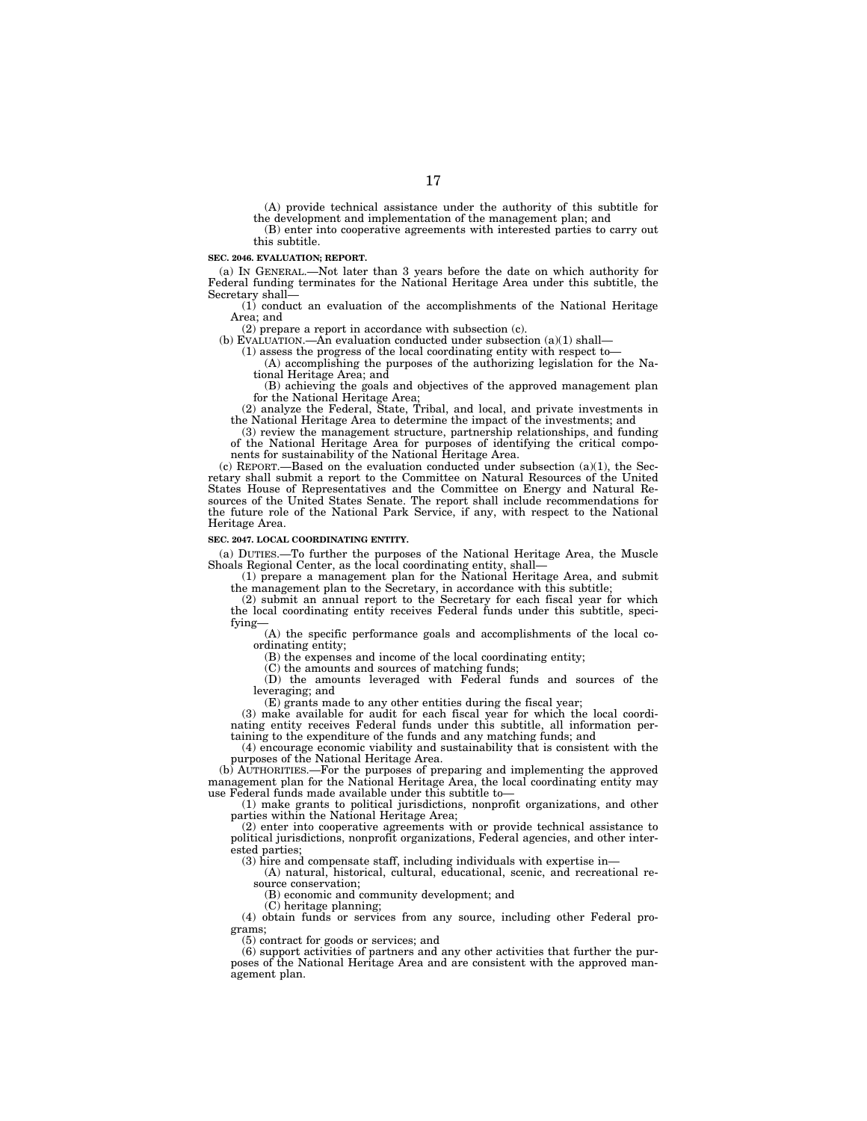(A) provide technical assistance under the authority of this subtitle for the development and implementation of the management plan; and

(B) enter into cooperative agreements with interested parties to carry out this subtitle.

#### **SEC. 2046. EVALUATION; REPORT.**

(a) IN GENERAL.—Not later than 3 years before the date on which authority for Federal funding terminates for the National Heritage Area under this subtitle, the Secretary shall—

(1) conduct an evaluation of the accomplishments of the National Heritage Area; and

(2) prepare a report in accordance with subsection (c).

(b) EVALUATION.—An evaluation conducted under subsection  $(a)(1)$  shall—

(1) assess the progress of the local coordinating entity with respect to—

(A) accomplishing the purposes of the authorizing legislation for the National Heritage Area; and

(B) achieving the goals and objectives of the approved management plan for the National Heritage Area;

(2) analyze the Federal, State, Tribal, and local, and private investments in the National Heritage Area to determine the impact of the investments; and

(3) review the management structure, partnership relationships, and funding of the National Heritage Area for purposes of identifying the critical components for sustainability of the National Heritage Area.

(c) REPORT.—Based on the evaluation conducted under subsection (a)(1), the Secretary shall submit a report to the Committee on Natural Resources of the United States House of Representatives and the Committee on Energy and Natural Resources of the United States Senate. The report shall include recommendations for the future role of the National Park Service, if any, with respect to the National Heritage Area.

#### **SEC. 2047. LOCAL COORDINATING ENTITY.**

(a) DUTIES.—To further the purposes of the National Heritage Area, the Muscle Shoals Regional Center, as the local coordinating entity, shall—

(1) prepare a management plan for the National Heritage Area, and submit the management plan to the Secretary, in accordance with this subtitle;

(2) submit an annual report to the Secretary for each fiscal year for which the local coordinating entity receives Federal funds under this subtitle, specifying—

(A) the specific performance goals and accomplishments of the local coordinating entity;

(B) the expenses and income of the local coordinating entity;

(C) the amounts and sources of matching funds;

(D) the amounts leveraged with Federal funds and sources of the leveraging; and

(E) grants made to any other entities during the fiscal year;

(3) make available for audit for each fiscal year for which the local coordinating entity receives Federal funds under this subtitle, all information pertaining to the expenditure of the funds and any matching funds; and

(4) encourage economic viability and sustainability that is consistent with the purposes of the National Heritage Area.

(b) AUTHORITIES.—For the purposes of preparing and implementing the approved management plan for the National Heritage Area, the local coordinating entity may use Federal funds made available under this subtitle to—

(1) make grants to political jurisdictions, nonprofit organizations, and other parties within the National Heritage Area;

(2) enter into cooperative agreements with or provide technical assistance to political jurisdictions, nonprofit organizations, Federal agencies, and other interested parties;

(3) hire and compensate staff, including individuals with expertise in—

(A) natural, historical, cultural, educational, scenic, and recreational resource conservation;

(B) economic and community development; and

(C) heritage planning;

(4) obtain funds or services from any source, including other Federal programs;

(5) contract for goods or services; and

(6) support activities of partners and any other activities that further the purposes of the National Heritage Area and are consistent with the approved management plan.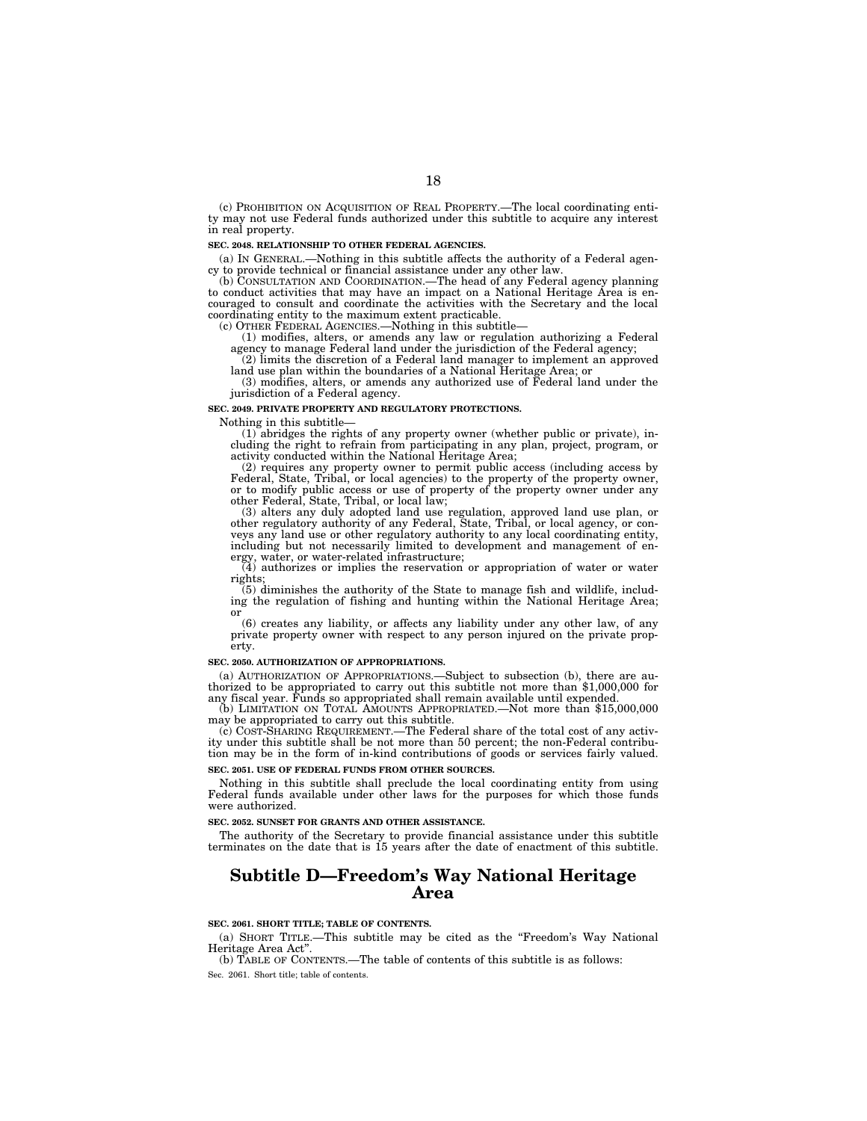(c) PROHIBITION ON ACQUISITION OF REAL PROPERTY.—The local coordinating entity may not use Federal funds authorized under this subtitle to acquire any interest in real property.

#### **SEC. 2048. RELATIONSHIP TO OTHER FEDERAL AGENCIES.**

(a) IN GENERAL.—Nothing in this subtitle affects the authority of a Federal agency to provide technical or financial assistance under any other law.

(b) CONSULTATION AND COORDINATION.—The head of any Federal agency planning to conduct activities that may have an impact on a National Heritage Area is encouraged to consult and coordinate the activities with the Secretary and the local coordinating entity to the maximum extent practicable.

(c) OTHER FEDERAL AGENCIES.—Nothing in this subtitle— (1) modifies, alters, or amends any law or regulation authorizing a Federal agency to manage Federal land under the jurisdiction of the Federal agency;

(2) limits the discretion of a Federal land manager to implement an approved

land use plan within the boundaries of a National Heritage Area; or (3) modifies, alters, or amends any authorized use of Federal land under the jurisdiction of a Federal agency.

#### **SEC. 2049. PRIVATE PROPERTY AND REGULATORY PROTECTIONS.**

Nothing in this subtitle— (1) abridges the rights of any property owner (whether public or private), including the right to refrain from participating in any plan, project, program, or activity conducted within the National Heritage Area;

(2) requires any property owner to permit public access (including access by Federal, State, Tribal, or local agencies) to the property of the property owner, or to modify public access or use of property of the property o

(3) alters any duly adopted land use regulation, approved land use plan, or other regulatory authority of any Federal, State, Tribal, or local agency, or conveys any land use or other regulatory authority to any local coordinating entity, including but not necessarily limited to development and management of energy, water, or water-related infrastructure;

(4) authorizes or implies the reservation or appropriation of water or water rights;

(5) diminishes the authority of the State to manage fish and wildlife, includ-ing the regulation of fishing and hunting within the National Heritage Area;

or (6) creates any liability, or affects any liability under any other law, of any private property owner with respect to any person injured on the private property.

#### **SEC. 2050. AUTHORIZATION OF APPROPRIATIONS.**

(a) AUTHORIZATION OF APPROPRIATIONS.—Subject to subsection (b), there are au- thorized to be appropriated to carry out this subtitle not more than \$1,000,000 for any fiscal year. Funds so appropriated shall remain available until expended

(b) LIMITATION ON TOTAL AMOUNTS APPROPRIATED.—Not more than \$15,000,000 may be appropriated to carry out this subtitle.

(c) COST-SHARING REQUIREMENT.—The Federal share of the total cost of any activity under this subtitle shall be not more than 50 percent; the non-Federal contribution may be in the form of in-kind contributions of goods or services fairly valued. **SEC. 2051. USE OF FEDERAL FUNDS FROM OTHER SOURCES.** 

Nothing in this subtitle shall preclude the local coordinating entity from using Federal funds available under other laws for the purposes for which those funds were authorized.

**SEC. 2052. SUNSET FOR GRANTS AND OTHER ASSISTANCE.** 

The authority of the Secretary to provide financial assistance under this subtitle terminates on the date that is 15 years after the date of enactment of this subtitle.

### **Subtitle D—Freedom's Way National Heritage Area**

#### **SEC. 2061. SHORT TITLE; TABLE OF CONTENTS.**

(a) SHORT TITLE.—This subtitle may be cited as the ''Freedom's Way National Heritage Area Act''.

(b) TABLE OF CONTENTS.—The table of contents of this subtitle is as follows: Sec. 2061. Short title; table of contents.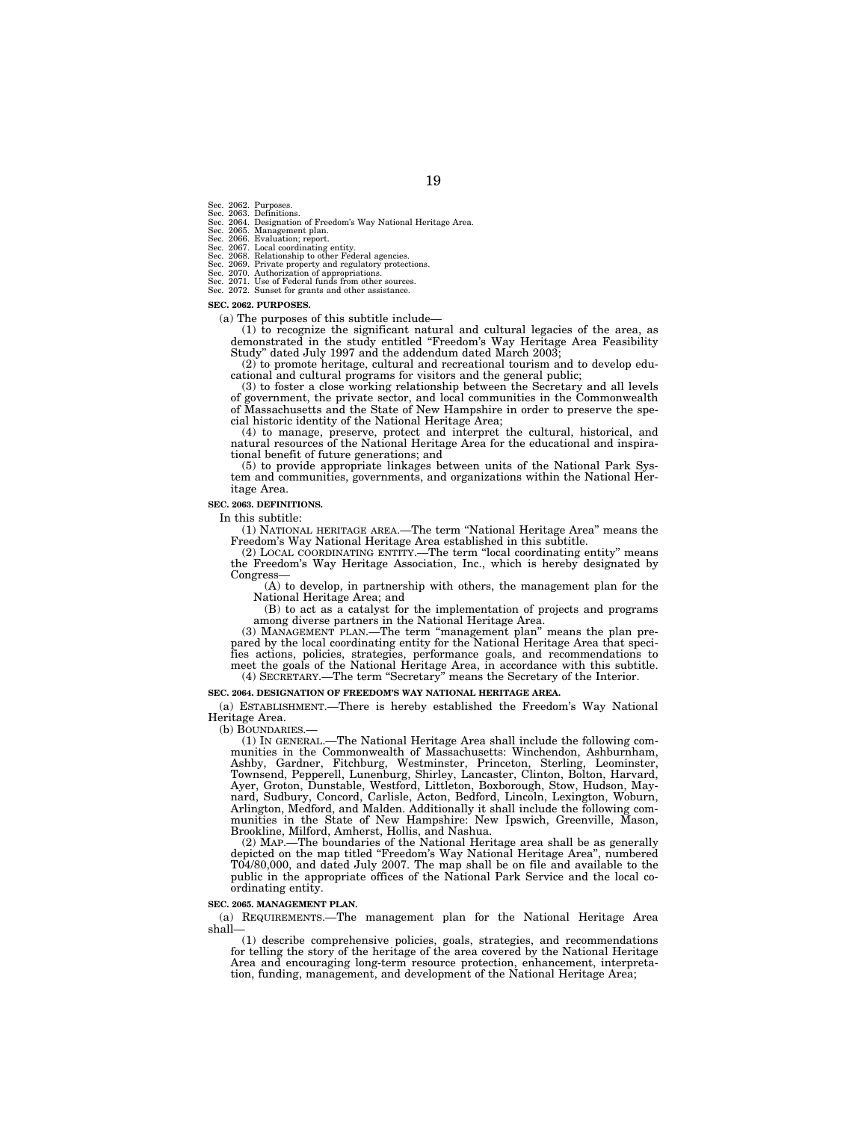- Sec. 2062. Purposes.<br>Sec. 2063. Definitions.
- Sec. 2063. Definitions.<br>Sec. 2064. Designation of Freedom's Way National Heritage Area.<br>Sec. 2065. Management plan.<br>Sec. 2066. Evaluation; report.<br>Sec. 2067. Local coordinating entity.<br>Sec. 2067. Local coordinating entity.
- 
- 
- 
- 
- 
- Sec. 2072. Sunset for grants and other assistance.

#### **SEC. 2062. PURPOSES.**

(a) The purposes of this subtitle include—

(1) to recognize the significant natural and cultural legacies of the area, as demonstrated in the study entitled ''Freedom's Way Heritage Area Feasibility Study'' dated July 1997 and the addendum dated March 2003;

(2) to promote heritage, cultural and recreational tourism and to develop educational and cultural programs for visitors and the general public;

(3) to foster a close working relationship between the Secretary and all levels of government, the private sector, and local communities in the Commonwealth of Massachusetts and the State of New Hampshire in order to preserve the special historic identity of the National Heritage Area;

(4) to manage, preserve, protect and interpret the cultural, historical, and natural resources of the National Heritage Area for the educational and inspirational benefit of future generations; and

(5) to provide appropriate linkages between units of the National Park System and communities, governments, and organizations within the National Heritage Area.

#### **SEC. 2063. DEFINITIONS.**

In this subtitle:

(1) NATIONAL HERITAGE AREA.—The term ''National Heritage Area'' means the Freedom's Way National Heritage Area established in this subtitle.

(2) LOCAL COORDINATING ENTITY.—The term ''local coordinating entity'' means the Freedom's Way Heritage Association, Inc., which is hereby designated by Congress—

(A) to develop, in partnership with others, the management plan for the National Heritage Area; and

(B) to act as a catalyst for the implementation of projects and programs among diverse partners in the National Heritage Area.

(3) MANAGEMENT PLAN.—The term ''management plan'' means the plan prepared by the local coordinating entity for the National Heritage Area that specifies actions, policies, strategies, performance goals, and recommendations to meet the goals of the National Heritage Area, in accordance with this subtitle. (4) SECRETARY.—The term ''Secretary'' means the Secretary of the Interior.

#### **SEC. 2064. DESIGNATION OF FREEDOM'S WAY NATIONAL HERITAGE AREA.**

(a) ESTABLISHMENT.—There is hereby established the Freedom's Way National Heritage Area.

(b) BOUNDARIES.

(1) IN GENERAL.—The National Heritage Area shall include the following communities in the Commonwealth of Massachusetts: Winchendon, Ashburnham, Ashby, Gardner, Fitchburg, Westminster, Princeton, Sterling, Leominster, Townsend, Pepperell, Lunenburg, Shirley, Lancaster, Clinton, Bolton, Harvard, Ayer, Groton, Dunstable, Westford, Littleton, Boxborough, Stow, Hudson, Maynard, Sudbury, Concord, Carlisle, Acton, Bedford, Lincoln, Lexington, Woburn, Arlington, Medford, and Malden. Additionally it shall include the following communities in the State of New Hampshire: New Ipswich, Greenville, Mason, Brookline, Milford, Amherst, Hollis, and Nashua.

(2) MAP.—The boundaries of the National Heritage area shall be as generally depicted on the map titled ''Freedom's Way National Heritage Area'', numbered T04/80,000, and dated July 2007. The map shall be on file and available to the public in the appropriate offices of the National Park Service and the local coordinating entity.

#### **SEC. 2065. MANAGEMENT PLAN.**

(a) REQUIREMENTS.—The management plan for the National Heritage Area shall—

(1) describe comprehensive policies, goals, strategies, and recommendations for telling the story of the heritage of the area covered by the National Heritage Area and encouraging long-term resource protection, enhancement, interpretation, funding, management, and development of the National Heritage Area;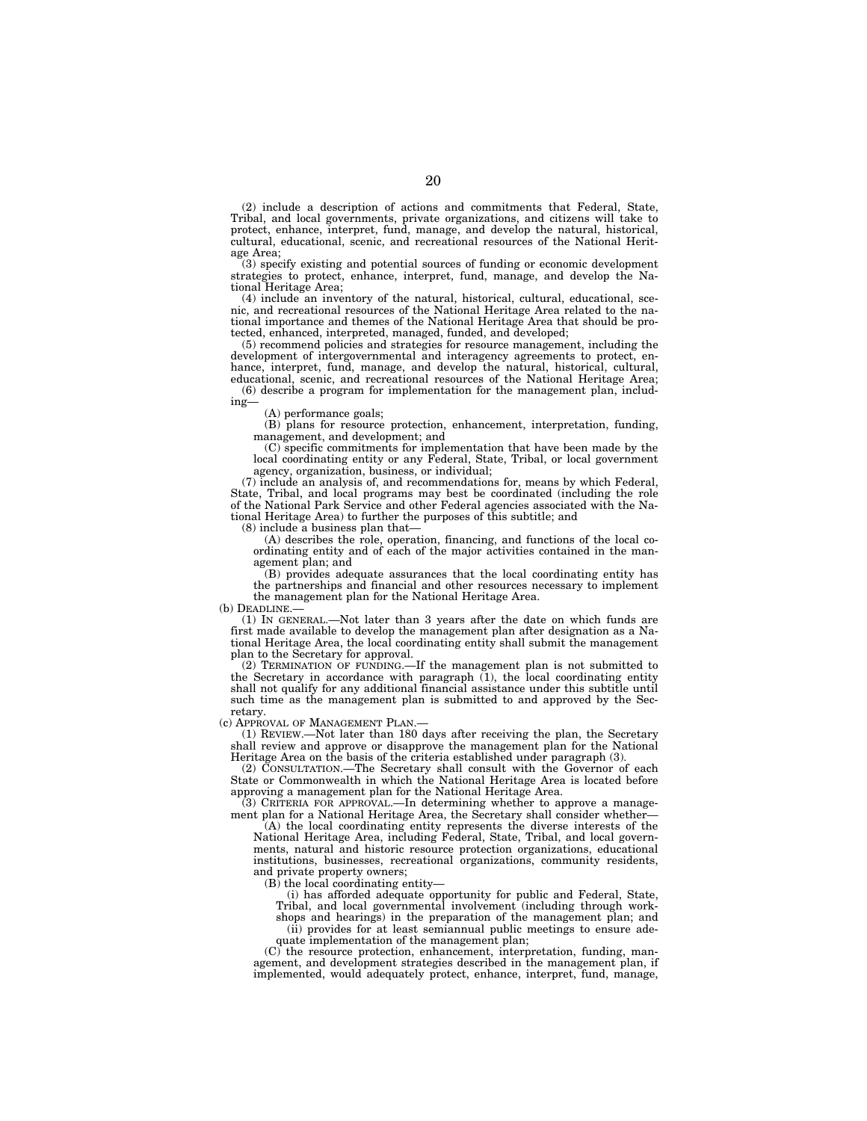(2) include a description of actions and commitments that Federal, State, Tribal, and local governments, private organizations, and citizens will take to protect, enhance, interpret, fund, manage, and develop the natural, historical, cultural, educational, scenic, and recreational resources of the National Heritage Area;

(3) specify existing and potential sources of funding or economic development strategies to protect, enhance, interpret, fund, manage, and develop the National Heritage Area;

(4) include an inventory of the natural, historical, cultural, educational, scenic, and recreational resources of the National Heritage Area related to the national importance and themes of the National Heritage Area that should be protected, enhanced, interpreted, managed, funded, and developed;

(5) recommend policies and strategies for resource management, including the development of intergovernmental and interagency agreements to protect, enhance, interpret, fund, manage, and develop the natural, historical, cultural, educational, scenic, and recreational resources of the National Heritage Area;

(6) describe a program for implementation for the management plan, including—

(A) performance goals;

(B) plans for resource protection, enhancement, interpretation, funding, management, and development; and

(C) specific commitments for implementation that have been made by the local coordinating entity or any Federal, State, Tribal, or local government agency, organization, business, or individual;

(7) include an analysis of, and recommendations for, means by which Federal, State, Tribal, and local programs may best be coordinated (including the role of the National Park Service and other Federal agencies associated with the National Heritage Area) to further the purposes of this subtitle; and

(8) include a business plan that—

(A) describes the role, operation, financing, and functions of the local coordinating entity and of each of the major activities contained in the management plan; and

(B) provides adequate assurances that the local coordinating entity has the partnerships and financial and other resources necessary to implement the management plan for the National Heritage Area.

(b) DEADLINE.—

(1) IN GENERAL.—Not later than 3 years after the date on which funds are first made available to develop the management plan after designation as a National Heritage Area, the local coordinating entity shall submit the management plan to the Secretary for approval.

(2) TERMINATION OF FUNDING.—If the management plan is not submitted to the Secretary in accordance with paragraph (1), the local coordinating entity shall not qualify for any additional financial assistance under this subtitle until such time as the management plan is submitted to and approved by the Secretary.

(c) APPROVAL OF MANAGEMENT PLAN.—

(1) REVIEW.—Not later than 180 days after receiving the plan, the Secretary shall review and approve or disapprove the management plan for the National Heritage Area on the basis of the criteria established under paragraph (3).

(2) CONSULTATION.—The Secretary shall consult with the Governor of each State or Commonwealth in which the National Heritage Area is located before approving a management plan for the National Heritage Area.

(3) CRITERIA FOR APPROVAL.—In determining whether to approve a management plan for a National Heritage Area, the Secretary shall consider whether—

(A) the local coordinating entity represents the diverse interests of the National Heritage Area, including Federal, State, Tribal, and local governments, natural and historic resource protection organizations, educational institutions, businesses, recreational organizations, community residents, and private property owners;

 $(B)$  the local coordinating entity—

(i) has afforded adequate opportunity for public and Federal, State,

Tribal, and local governmental involvement (including through workshops and hearings) in the preparation of the management plan; and

(ii) provides for at least semiannual public meetings to ensure adequate implementation of the management plan;

(C) the resource protection, enhancement, interpretation, funding, management, and development strategies described in the management plan, if implemented, would adequately protect, enhance, interpret, fund, manage,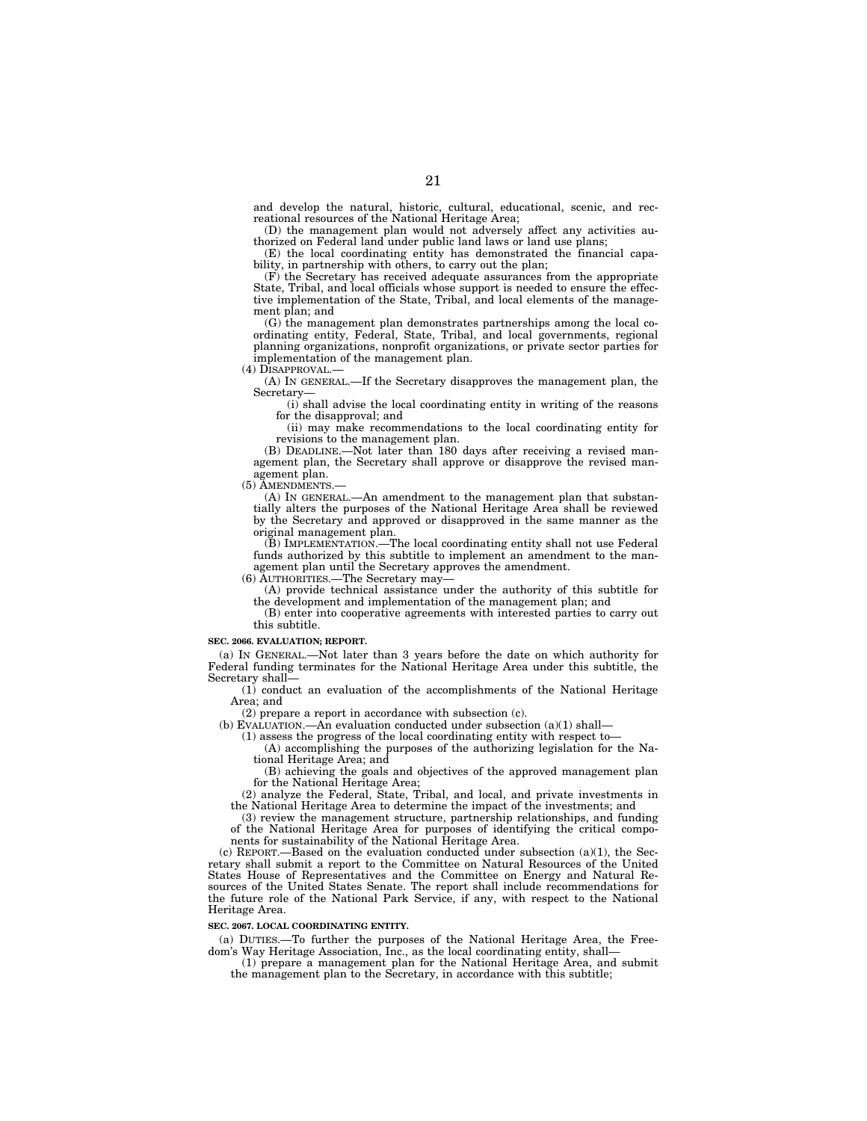and develop the natural, historic, cultural, educational, scenic, and recreational resources of the National Heritage Area;

(D) the management plan would not adversely affect any activities authorized on Federal land under public land laws or land use plans;

(E) the local coordinating entity has demonstrated the financial capability, in partnership with others, to carry out the plan;

(F) the Secretary has received adequate assurances from the appropriate State, Tribal, and local officials whose support is needed to ensure the effective implementation of the State, Tribal, and local elements of the management plan; and

(G) the management plan demonstrates partnerships among the local coordinating entity, Federal, State, Tribal, and local governments, regional planning organizations, nonprofit organizations, or private sector parties for implementation of the management plan.

(4) DISAPPROVAL.—

(A) IN GENERAL.—If the Secretary disapproves the management plan, the Secretary—

(i) shall advise the local coordinating entity in writing of the reasons for the disapproval; and

(ii) may make recommendations to the local coordinating entity for revisions to the management plan.

(B) DEADLINE.—Not later than 180 days after receiving a revised management plan, the Secretary shall approve or disapprove the revised management plan.

(5) AMENDMENTS.—

(A) IN GENERAL.—An amendment to the management plan that substantially alters the purposes of the National Heritage Area shall be reviewed by the Secretary and approved or disapproved in the same manner as the original management plan.

(B) IMPLEMENTATION.—The local coordinating entity shall not use Federal funds authorized by this subtitle to implement an amendment to the management plan until the Secretary approves the amendment.

(6) AUTHORITIES.—The Secretary may—

(A) provide technical assistance under the authority of this subtitle for the development and implementation of the management plan; and

(B) enter into cooperative agreements with interested parties to carry out this subtitle.

#### **SEC. 2066. EVALUATION; REPORT.**

(a) IN GENERAL.—Not later than 3 years before the date on which authority for Federal funding terminates for the National Heritage Area under this subtitle, the Secretary shall—

(1) conduct an evaluation of the accomplishments of the National Heritage Area; and

(2) prepare a report in accordance with subsection (c).

(b) EVALUATION.—An evaluation conducted under subsection (a)(1) shall—

(1) assess the progress of the local coordinating entity with respect to—

(A) accomplishing the purposes of the authorizing legislation for the National Heritage Area; and

(B) achieving the goals and objectives of the approved management plan for the National Heritage Area;

(2) analyze the Federal, State, Tribal, and local, and private investments in the National Heritage Area to determine the impact of the investments; and

(3) review the management structure, partnership relationships, and funding of the National Heritage Area for purposes of identifying the critical components for sustainability of the National Heritage Area.

(c) REPORT.—Based on the evaluation conducted under subsection (a)(1), the Secretary shall submit a report to the Committee on Natural Resources of the United States House of Representatives and the Committee on Energy and Natural Resources of the United States Senate. The report shall include recommendations for the future role of the National Park Service, if any, with respect to the National Heritage Area.

#### **SEC. 2067. LOCAL COORDINATING ENTITY.**

(a) DUTIES.—To further the purposes of the National Heritage Area, the Freedom's Way Heritage Association, Inc., as the local coordinating entity, shall—

(1) prepare a management plan for the National Heritage Area, and submit the management plan to the Secretary, in accordance with this subtitle;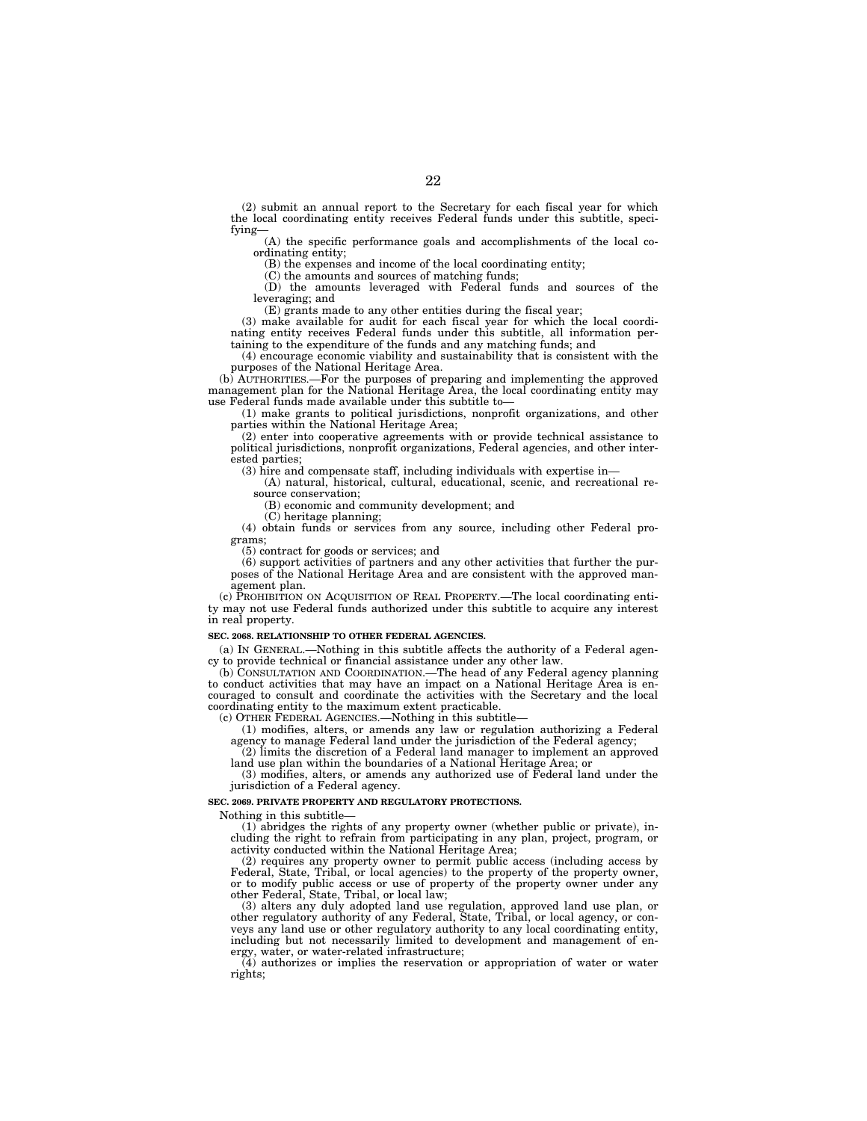(2) submit an annual report to the Secretary for each fiscal year for which the local coordinating entity receives Federal funds under this subtitle, specifying—

(A) the specific performance goals and accomplishments of the local coordinating entity;

(B) the expenses and income of the local coordinating entity;

(C) the amounts and sources of matching funds;

(D) the amounts leveraged with Federal funds and sources of the leveraging; and

(E) grants made to any other entities during the fiscal year;

(3) make available for audit for each fiscal year for which the local coordinating entity receives Federal funds under this subtitle, all information pertaining to the expenditure of the funds and any matching funds; and

(4) encourage economic viability and sustainability that is consistent with the purposes of the National Heritage Area.

(b) AUTHORITIES.—For the purposes of preparing and implementing the approved management plan for the National Heritage Area, the local coordinating entity may use Federal funds made available under this subtitle to—

(1) make grants to political jurisdictions, nonprofit organizations, and other parties within the National Heritage Area;

(2) enter into cooperative agreements with or provide technical assistance to political jurisdictions, nonprofit organizations, Federal agencies, and other interested parties;

(3) hire and compensate staff, including individuals with expertise in—

(A) natural, historical, cultural, educational, scenic, and recreational resource conservation;

(B) economic and community development; and

(C) heritage planning;

(4) obtain funds or services from any source, including other Federal programs;

(5) contract for goods or services; and

(6) support activities of partners and any other activities that further the purposes of the National Heritage Area and are consistent with the approved management plan.

(c) PROHIBITION ON ACQUISITION OF REAL PROPERTY.—The local coordinating entity may not use Federal funds authorized under this subtitle to acquire any interest in real property.

#### **SEC. 2068. RELATIONSHIP TO OTHER FEDERAL AGENCIES.**

(a) IN GENERAL.—Nothing in this subtitle affects the authority of a Federal agency to provide technical or financial assistance under any other law.

(b) CONSULTATION AND COORDINATION.—The head of any Federal agency planning to conduct activities that may have an impact on a National Heritage Area is encouraged to consult and coordinate the activities with the Secretary and the local coordinating entity to the maximum extent practicable.

(c) OTHER FEDERAL AGENCIES.—Nothing in this subtitle—

(1) modifies, alters, or amends any law or regulation authorizing a Federal agency to manage Federal land under the jurisdiction of the Federal agency;

(2) limits the discretion of a Federal land manager to implement an approved land use plan within the boundaries of a National Heritage Area; or

(3) modifies, alters, or amends any authorized use of Federal land under the jurisdiction of a Federal agency.

#### **SEC. 2069. PRIVATE PROPERTY AND REGULATORY PROTECTIONS.**

Nothing in this subtitle—

(1) abridges the rights of any property owner (whether public or private), including the right to refrain from participating in any plan, project, program, or activity conducted within the National Heritage Area;

(2) requires any property owner to permit public access (including access by Federal, State, Tribal, or local agencies) to the property of the property owner, or to modify public access or use of property of the property owner under any other Federal, State, Tribal, or local law;

(3) alters any duly adopted land use regulation, approved land use plan, or other regulatory authority of any Federal, State, Tribal, or local agency, or conveys any land use or other regulatory authority to any local coordinating entity, including but not necessarily limited to development and management of energy, water, or water-related infrastructure;

(4) authorizes or implies the reservation or appropriation of water or water rights;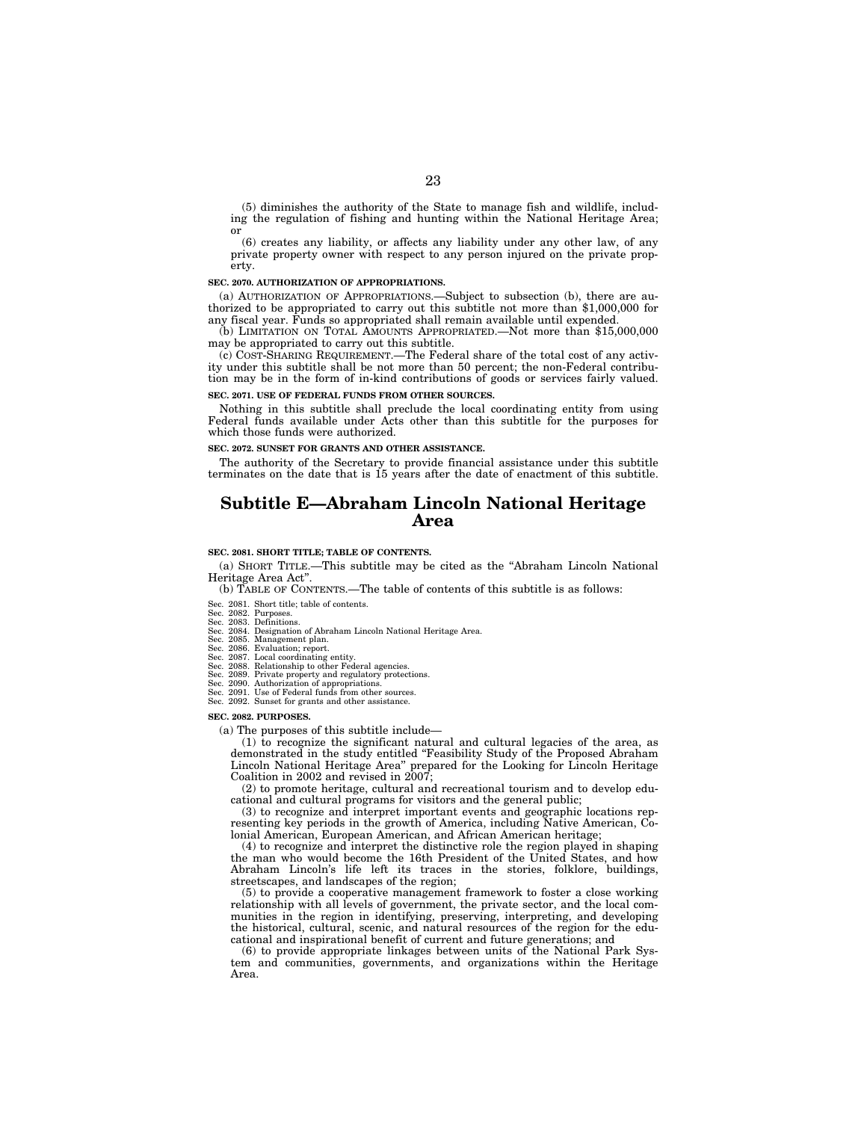(5) diminishes the authority of the State to manage fish and wildlife, including the regulation of fishing and hunting within the National Heritage Area; or

(6) creates any liability, or affects any liability under any other law, of any private property owner with respect to any person injured on the private property.

#### **SEC. 2070. AUTHORIZATION OF APPROPRIATIONS.**

(a) AUTHORIZATION OF APPROPRIATIONS.—Subject to subsection (b), there are authorized to be appropriated to carry out this subtitle not more than \$1,000,000 for any fiscal year. Funds so appropriated shall remain available until expended.

(b) LIMITATION ON TOTAL AMOUNTS APPROPRIATED.—Not more than \$15,000,000 may be appropriated to carry out this subtitle.

(c) COST-SHARING REQUIREMENT.—The Federal share of the total cost of any activity under this subtitle shall be not more than 50 percent; the non-Federal contribution may be in the form of in-kind contributions of goods or services fairly valued.

**SEC. 2071. USE OF FEDERAL FUNDS FROM OTHER SOURCES.** 

Nothing in this subtitle shall preclude the local coordinating entity from using Federal funds available under Acts other than this subtitle for the purposes for which those funds were authorized.

**SEC. 2072. SUNSET FOR GRANTS AND OTHER ASSISTANCE.** 

The authority of the Secretary to provide financial assistance under this subtitle terminates on the date that is 15 years after the date of enactment of this subtitle.

### **Subtitle E—Abraham Lincoln National Heritage Area**

#### **SEC. 2081. SHORT TITLE; TABLE OF CONTENTS.**

(a) SHORT TITLE.—This subtitle may be cited as the ''Abraham Lincoln National Heritage Area Act''.

(b) TABLE OF CONTENTS.—The table of contents of this subtitle is as follows:

- Sec. 2081. Short title; table of contents.
- 
- Sec. 2082. Purposes. Sec. 2083. Definitions. Sec. 2084. Designation of Abraham Lincoln National Heritage Area. Sec. 2085. Management plan.
- 
- 
- Sec. 2086. Evaluation; report. Sec. 2087. Local coordinating entity. Sec. 2088. Relationship to other Federal agencies.
- Sec. 2089. Private property and regulatory protections. Sec. 2090. Authorization of appropriations. Sec. 2091. Use of Federal funds from other sources.
- 
- Sec. 2092. Sunset for grants and other assistance.

#### **SEC. 2082. PURPOSES.**

(a) The purposes of this subtitle include—

(1) to recognize the significant natural and cultural legacies of the area, as demonstrated in the study entitled ''Feasibility Study of the Proposed Abraham Lincoln National Heritage Area'' prepared for the Looking for Lincoln Heritage Coalition in 2002 and revised in 2007;

(2) to promote heritage, cultural and recreational tourism and to develop educational and cultural programs for visitors and the general public;

(3) to recognize and interpret important events and geographic locations representing key periods in the growth of America, including Native American, Colonial American, European American, and African American heritage;

(4) to recognize and interpret the distinctive role the region played in shaping the man who would become the 16th President of the United States, and how Abraham Lincoln's life left its traces in the stories, folklore, buildings, streetscapes, and landscapes of the region;

(5) to provide a cooperative management framework to foster a close working relationship with all levels of government, the private sector, and the local communities in the region in identifying, preserving, interpreting, and developing the historical, cultural, scenic, and natural resources of the region for the educational and inspirational benefit of current and future generations; and

(6) to provide appropriate linkages between units of the National Park System and communities, governments, and organizations within the Heritage Area.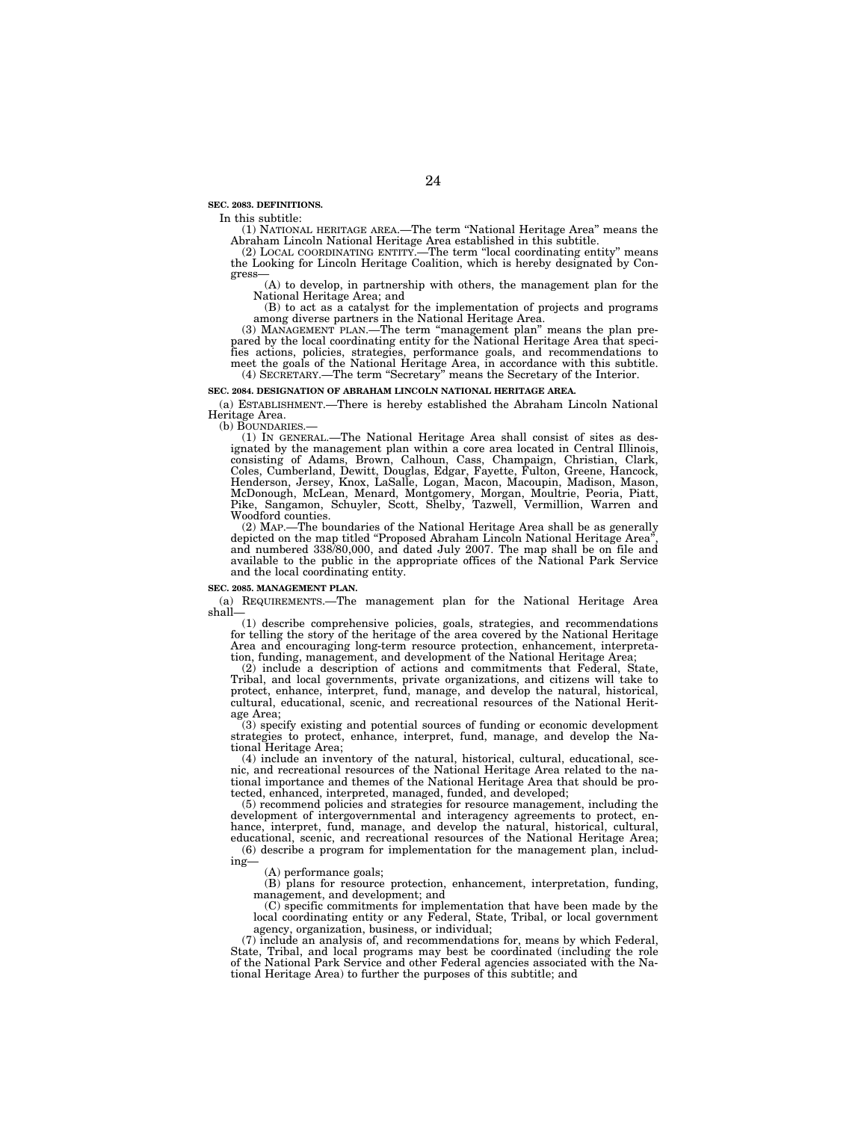**SEC. 2083. DEFINITIONS.** 

In this subtitle:

(1) NATIONAL HERITAGE AREA.—The term ''National Heritage Area'' means the Abraham Lincoln National Heritage Area established in this subtitle.<br>
(2) LOCAL COORDINATING ENTITY.—The term "local coordinating entity" means

the Looking for Lincoln Heritage Coalition, which is hereby designated by Congress—

(A) to develop, in partnership with others, the management plan for the National Heritage Area; and

(B) to act as a catalyst for the implementation of projects and programs among diverse partners in the National Heritage Area.

(3) MANAGEMENT PLAN.—The term ''management plan'' means the plan pre-pared by the local coordinating entity for the National Heritage Area that specifies actions, policies, strategies, performance goals, and recommendations to meet the goals of the National Heritage Area, in accordance with this subtitle. (4) SECRETARY.—The term ''Secretary'' means the Secretary of the Interior.

#### **SEC. 2084. DESIGNATION OF ABRAHAM LINCOLN NATIONAL HERITAGE AREA.**

(a) ESTABLISHMENT.—There is hereby established the Abraham Lincoln National Heritage Area.<br>(b) BOUNDARIES.-

(1) IN GENERAL.—The National Heritage Area shall consist of sites as designated by the management plan within a core area located in Central Illinois, consisting of Adams, Brown, Calhoun, Cass, Champaign, Christian, Clark, Coles, Cumberland, Dewitt, Douglas, Edgar, Fayette, Fulton, Greene, Hancock, Henderson, Jersey, Knox, LaSalle, Logan, Macon, Macoupin, Madison, Mason, McDonough, McLean, Menard, Montgomery, Morgan, Moultrie, Peoria, Piatt, Pike, Sangamon, Schuyler, Scott, Shelby, Tazwell, Vermillion, Warren and Woodford counties.

(2) MAP.—The boundaries of the National Heritage Area shall be as generally depicted on the map titled ''Proposed Abraham Lincoln National Heritage Area'', and numbered 338/80,000, and dated July 2007. The map shall be on file and available to the public in the appropriate offices of the National Park Service and the local coordinating entity.

#### **SEC. 2085. MANAGEMENT PLAN.**

(a) REQUIREMENTS.—The management plan for the National Heritage Area shall—

(1) describe comprehensive policies, goals, strategies, and recommendations for telling the story of the heritage of the area covered by the National Heritage Area and encouraging long-term resource protection, enhancement, interpretation, funding, management, and development of the National Heritage Area;

(2) include a description of actions and commitments that Federal, State, Tribal, and local governments, private organizations, and citizens will take to protect, enhance, interpret, fund, manage, and develop the natural, historical, cultural, educational, scenic, and recreational resources of the National Heritage Area;

(3) specify existing and potential sources of funding or economic development strategies to protect, enhance, interpret, fund, manage, and develop the National Heritage Area;

(4) include an inventory of the natural, historical, cultural, educational, scenic, and recreational resources of the National Heritage Area related to the national importance and themes of the National Heritage Area that should be protected, enhanced, interpreted, managed, funded, and developed;

(5) recommend policies and strategies for resource management, including the development of intergovernmental and interagency agreements to protect, enhance, interpret, fund, manage, and develop the natural, historical, cultural, educational, scenic, and recreational resources of the National Heritage Area;

(6) describe a program for implementation for the management plan, including—

(A) performance goals;

(B) plans for resource protection, enhancement, interpretation, funding, management, and development; and

(C) specific commitments for implementation that have been made by the local coordinating entity or any Federal, State, Tribal, or local government agency, organization, business, or individual;

(7) include an analysis of, and recommendations for, means by which Federal, State, Tribal, and local programs may best be coordinated (including the role of the National Park Service and other Federal agencies associated with the National Heritage Area) to further the purposes of this subtitle; and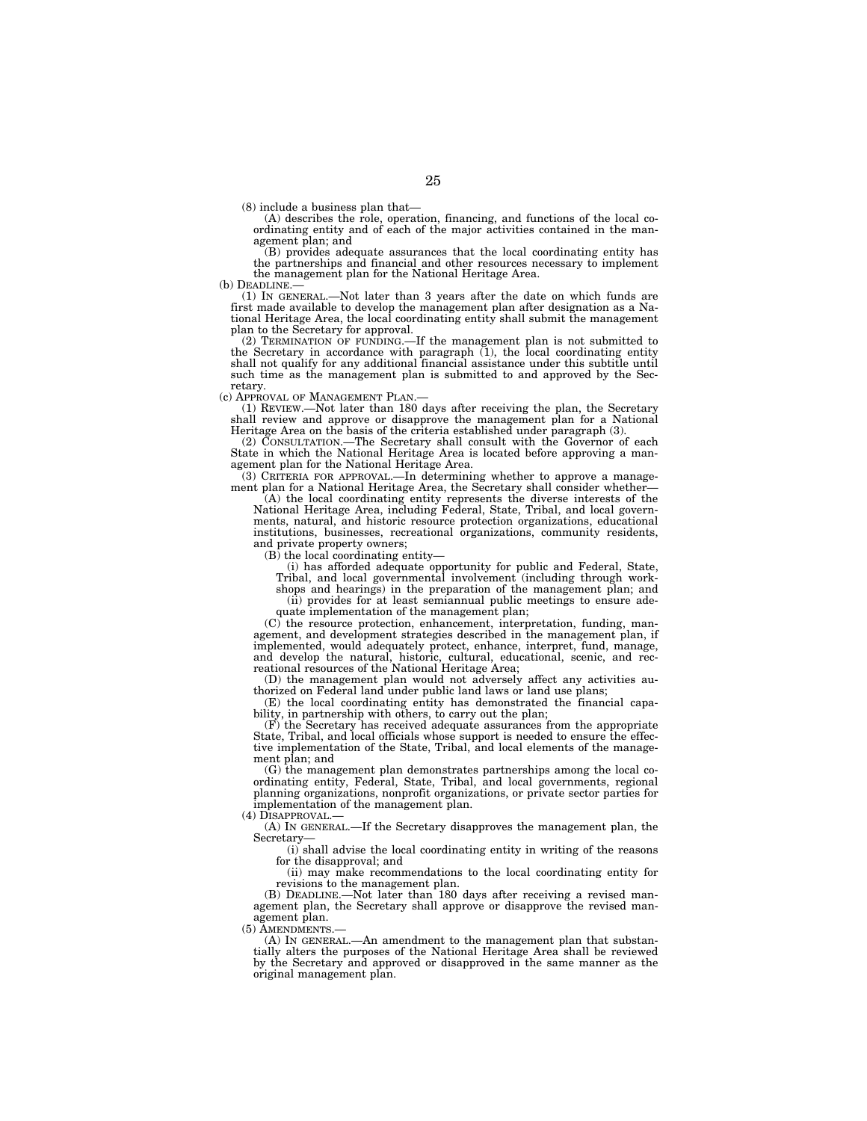(8) include a business plan that— (A) describes the role, operation, financing, and functions of the local coordinating entity and of each of the major activities contained in the management plan; and

(B) provides adequate assurances that the local coordinating entity has the partnerships and financial and other resources necessary to implement the management plan for the National Heritage Area.<br>(b) DEADLINE

(1) IN GENERAL.—Not later than 3 years after the date on which funds are first made available to develop the management plan after designation as a National Heritage Area, the local coordinating entity shall submit the management plan to the Secretary for approval.

(2) TERMINATION OF FUNDING.—If the management plan is not submitted to the Secretary in accordance with paragraph (1), the local coordinating entity shall not qualify for any additional financial assistance under this subtitle until such time as the management plan is submitted to and approved by the Secretary.

(c) APPROVAL OF MANAGEMENT PLAN.— (1) REVIEW.—Not later than 180 days after receiving the plan, the Secretary shall review and approve or disapprove the management plan for a National Heritage Area on the basis of the criteria established under paragraph (3).

(2) CONSULTATION.—The Secretary shall consult with the Governor of each State in which the National Heritage Area is located before approving a management plan for the National Heritage Area.

(3) CRITERIA FOR APPROVAL.—In determining whether to approve a management plan for a National Heritage Area, the Secretary shall consider whether—

(A) the local coordinating entity represents the diverse interests of the National Heritage Area, including Federal, State, Tribal, and local governments, natural, and historic resource protection organizations, educational institutions, businesses, recreational organizations, community residents, and private property owners;

 $(B)$  the local coordinating entity—

(i) has afforded adequate opportunity for public and Federal, State, Tribal, and local governmental involvement (including through work-

shops and hearings) in the preparation of the management plan; and (ii) provides for at least semiannual public meetings to ensure ade-

quate implementation of the management plan;

(C) the resource protection, enhancement, interpretation, funding, management, and development strategies described in the management plan, if implemented, would adequately protect, enhance, interpret, fund, manage, and develop the natural, historic, cultural, educational, scenic, and recreational resources of the National Heritage Area;

(D) the management plan would not adversely affect any activities authorized on Federal land under public land laws or land use plans;

(E) the local coordinating entity has demonstrated the financial capability, in partnership with others, to carry out the plan;

(F) the Secretary has received adequate assurances from the appropriate State, Tribal, and local officials whose support is needed to ensure the effective implementation of the State, Tribal, and local elements of the management plan; and

(G) the management plan demonstrates partnerships among the local coordinating entity, Federal, State, Tribal, and local governments, regional planning organizations, nonprofit organizations, or private sector parties for implementation of the management plan.

(4) DISAPPROVAL.—

(A) IN GENERAL.—If the Secretary disapproves the management plan, the Secretary—

(i) shall advise the local coordinating entity in writing of the reasons for the disapproval; and

(ii) may make recommendations to the local coordinating entity for revisions to the management plan.

(B) DEADLINE.—Not later than 180 days after receiving a revised management plan, the Secretary shall approve or disapprove the revised management plan.

(5) AMENDMENTS

(A) IN GENERAL.—An amendment to the management plan that substantially alters the purposes of the National Heritage Area shall be reviewed by the Secretary and approved or disapproved in the same manner as the original management plan.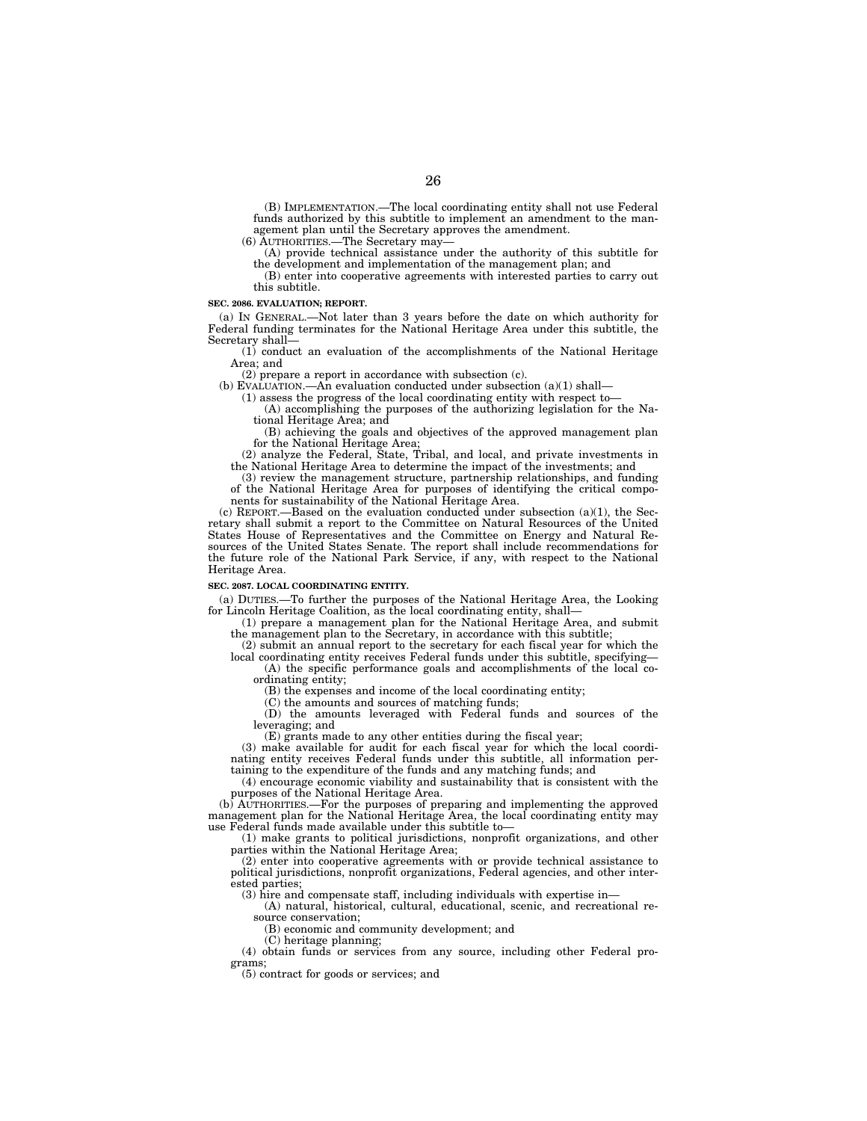(B) IMPLEMENTATION.—The local coordinating entity shall not use Federal funds authorized by this subtitle to implement an amendment to the management plan until the Secretary approves the amendment.

(6) AUTHORITIES.—The Secretary may—

(A) provide technical assistance under the authority of this subtitle for the development and implementation of the management plan; and (B) enter into cooperative agreements with interested parties to carry out

this subtitle.

#### **SEC. 2086. EVALUATION; REPORT.**

(a) IN GENERAL.—Not later than 3 years before the date on which authority for Federal funding terminates for the National Heritage Area under this subtitle, the Secretary shall-

(1) conduct an evaluation of the accomplishments of the National Heritage Area; and

(2) prepare a report in accordance with subsection (c).

(b) EVALUATION.—An evaluation conducted under subsection (a)(1) shall—

(1) assess the progress of the local coordinating entity with respect to—

(A) accomplishing the purposes of the authorizing legislation for the National Heritage Area; and

(B) achieving the goals and objectives of the approved management plan for the National Heritage Area;

(2) analyze the Federal, State, Tribal, and local, and private investments in the National Heritage Area to determine the impact of the investments; and

(3) review the management structure, partnership relationships, and funding of the National Heritage Area for purposes of identifying the critical components for sustainability of the National Heritage Area.

(c) REPORT.—Based on the evaluation conducted under subsection  $(a)(1)$ , the Secretary shall submit a report to the Committee on Natural Resources of the United States House of Representatives and the Committee on Energy and Natural Resources of the United States Senate. The report shall include recommendations for the future role of the National Park Service, if any, with respect to the National Heritage Area.

#### **SEC. 2087. LOCAL COORDINATING ENTITY.**

(a) DUTIES.—To further the purposes of the National Heritage Area, the Looking for Lincoln Heritage Coalition, as the local coordinating entity, shall—

(1) prepare a management plan for the National Heritage Area, and submit the management plan to the Secretary, in accordance with this subtitle;

(2) submit an annual report to the secretary for each fiscal year for which the local coordinating entity receives Federal funds under this subtitle, specifying-

(A) the specific performance goals and accomplishments of the local coordinating entity;

(B) the expenses and income of the local coordinating entity;

(C) the amounts and sources of matching funds;

(D) the amounts leveraged with Federal funds and sources of the leveraging; and

(E) grants made to any other entities during the fiscal year;

(3) make available for audit for each fiscal year for which the local coordinating entity receives Federal funds under this subtitle, all information pertaining to the expenditure of the funds and any matching funds; and

(4) encourage economic viability and sustainability that is consistent with the purposes of the National Heritage Area.

(b) AUTHORITIES.—For the purposes of preparing and implementing the approved management plan for the National Heritage Area, the local coordinating entity may use Federal funds made available under this subtitle to—

(1) make grants to political jurisdictions, nonprofit organizations, and other parties within the National Heritage Area;

(2) enter into cooperative agreements with or provide technical assistance to political jurisdictions, nonprofit organizations, Federal agencies, and other interested parties;

(3) hire and compensate staff, including individuals with expertise in—

(A) natural, historical, cultural, educational, scenic, and recreational resource conservation;

(B) economic and community development; and

(C) heritage planning;

(4) obtain funds or services from any source, including other Federal programs;

(5) contract for goods or services; and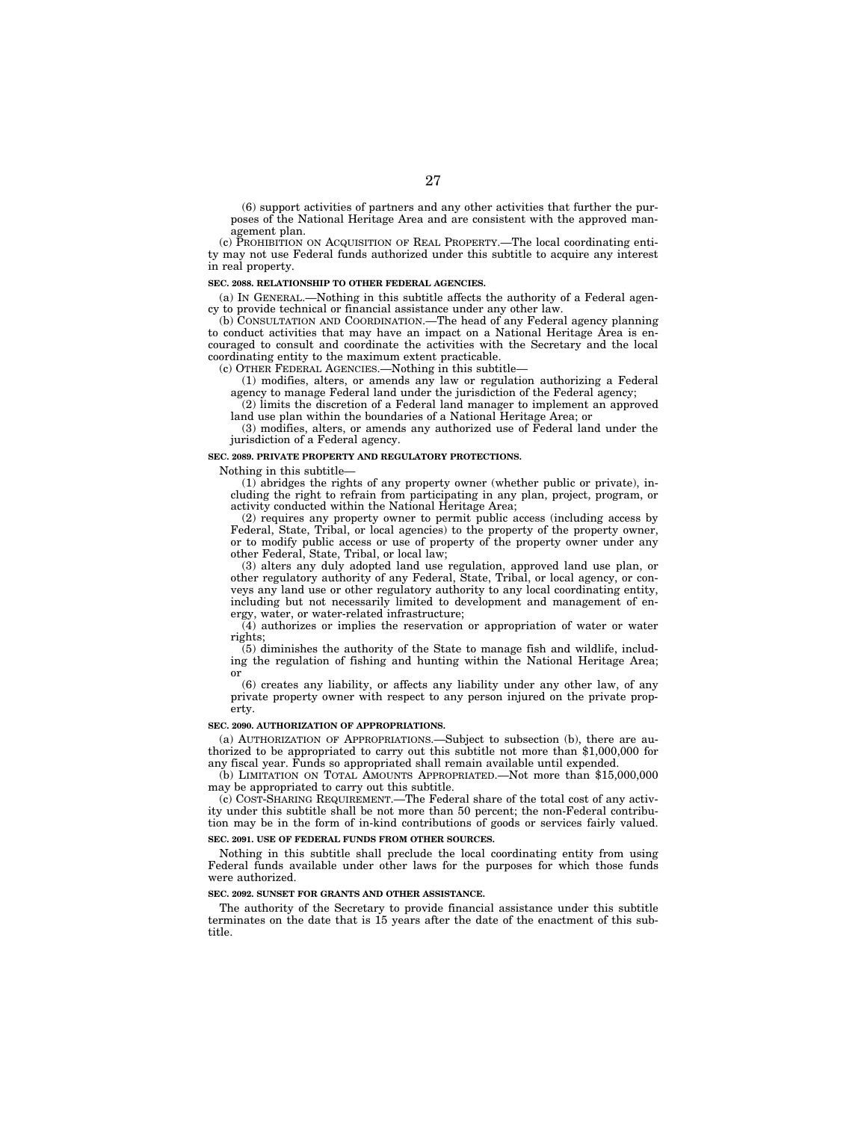(6) support activities of partners and any other activities that further the purposes of the National Heritage Area and are consistent with the approved management plan.

(c) PROHIBITION ON ACQUISITION OF REAL PROPERTY.—The local coordinating entity may not use Federal funds authorized under this subtitle to acquire any interest in real property.

#### **SEC. 2088. RELATIONSHIP TO OTHER FEDERAL AGENCIES.**

(a) IN GENERAL.—Nothing in this subtitle affects the authority of a Federal agency to provide technical or financial assistance under any other law.

(b) CONSULTATION AND COORDINATION.—The head of any Federal agency planning to conduct activities that may have an impact on a National Heritage Area is encouraged to consult and coordinate the activities with the Secretary and the local coordinating entity to the maximum extent practicable.

(c) OTHER FEDERAL AGENCIES.—Nothing in this subtitle—

(1) modifies, alters, or amends any law or regulation authorizing a Federal agency to manage Federal land under the jurisdiction of the Federal agency;

(2) limits the discretion of a Federal land manager to implement an approved land use plan within the boundaries of a National Heritage Area; or

(3) modifies, alters, or amends any authorized use of Federal land under the jurisdiction of a Federal agency.

#### **SEC. 2089. PRIVATE PROPERTY AND REGULATORY PROTECTIONS.**

Nothing in this subtitle—

(1) abridges the rights of any property owner (whether public or private), including the right to refrain from participating in any plan, project, program, or activity conducted within the National Heritage Area;

(2) requires any property owner to permit public access (including access by Federal, State, Tribal, or local agencies) to the property of the property owner, or to modify public access or use of property of the property owner under any other Federal, State, Tribal, or local law;

(3) alters any duly adopted land use regulation, approved land use plan, or other regulatory authority of any Federal, State, Tribal, or local agency, or conveys any land use or other regulatory authority to any local coordinating entity, including but not necessarily limited to development and management of energy, water, or water-related infrastructure;

(4) authorizes or implies the reservation or appropriation of water or water rights;

(5) diminishes the authority of the State to manage fish and wildlife, including the regulation of fishing and hunting within the National Heritage Area; or

(6) creates any liability, or affects any liability under any other law, of any private property owner with respect to any person injured on the private property.

#### **SEC. 2090. AUTHORIZATION OF APPROPRIATIONS.**

(a) AUTHORIZATION OF APPROPRIATIONS.—Subject to subsection (b), there are authorized to be appropriated to carry out this subtitle not more than \$1,000,000 for any fiscal year. Funds so appropriated shall remain available until expended.

(b) LIMITATION ON TOTAL AMOUNTS APPROPRIATED.—Not more than \$15,000,000 may be appropriated to carry out this subtitle.

(c) COST-SHARING REQUIREMENT.—The Federal share of the total cost of any activity under this subtitle shall be not more than 50 percent; the non-Federal contribution may be in the form of in-kind contributions of goods or services fairly valued.

#### **SEC. 2091. USE OF FEDERAL FUNDS FROM OTHER SOURCES.**

Nothing in this subtitle shall preclude the local coordinating entity from using Federal funds available under other laws for the purposes for which those funds were authorized.

#### **SEC. 2092. SUNSET FOR GRANTS AND OTHER ASSISTANCE.**

The authority of the Secretary to provide financial assistance under this subtitle terminates on the date that is 15 years after the date of the enactment of this subtitle.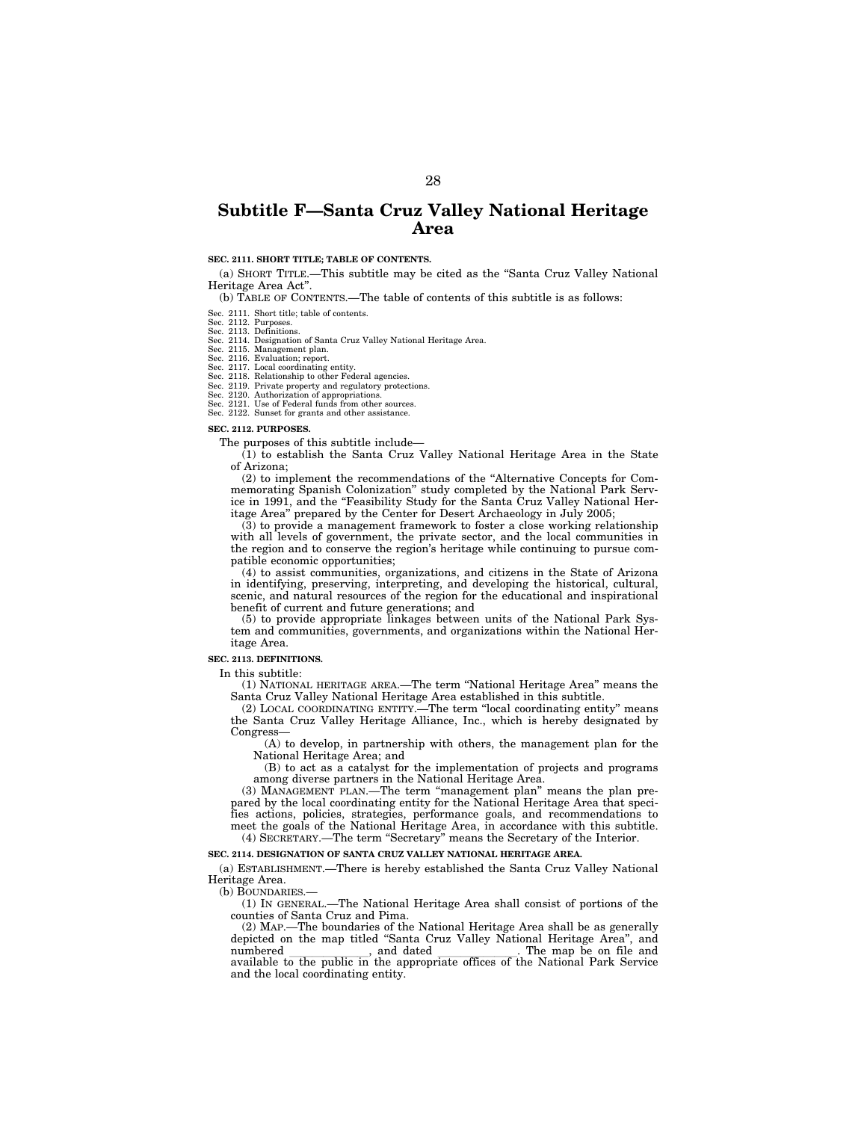### **Subtitle F—Santa Cruz Valley National Heritage Area**

#### **SEC. 2111. SHORT TITLE; TABLE OF CONTENTS.**

(a) SHORT TITLE.—This subtitle may be cited as the ''Santa Cruz Valley National Heritage Area Act''.

(b) TABLE OF CONTENTS.—The table of contents of this subtitle is as follows:

Sec. 2111. Short title; table of contents. Sec. 2112. Purposes.

- 
- Sec. 2113. Definitions. Sec. 2114. Designation of Santa Cruz Valley National Heritage Area.
- 

Sec. 2115. Management plan. Sec. 2116. Evaluation; report. Sec. 2117. Local coordinating entity.

Sec. 2118. Relationship to other Federal agencies. Sec. 2119. Private property and regulatory protections.

Sec. 2120. Authorization of appropriations. Sec. 2121. Use of Federal funds from other sources.

Sec. 2122. Sunset for grants and other assistance.

#### **SEC. 2112. PURPOSES.**

The purposes of this subtitle include—

(1) to establish the Santa Cruz Valley National Heritage Area in the State of Arizona;

(2) to implement the recommendations of the ''Alternative Concepts for Commemorating Spanish Colonization'' study completed by the National Park Service in 1991, and the ''Feasibility Study for the Santa Cruz Valley National Heritage Area'' prepared by the Center for Desert Archaeology in July 2005;

(3) to provide a management framework to foster a close working relationship with all levels of government, the private sector, and the local communities in the region and to conserve the region's heritage while continuing to pursue compatible economic opportunities;

(4) to assist communities, organizations, and citizens in the State of Arizona in identifying, preserving, interpreting, and developing the historical, cultural, scenic, and natural resources of the region for the educational and inspirational benefit of current and future generations; and

(5) to provide appropriate linkages between units of the National Park System and communities, governments, and organizations within the National Heritage Area.

#### **SEC. 2113. DEFINITIONS.**

In this subtitle:

(1) NATIONAL HERITAGE AREA.—The term ''National Heritage Area'' means the Santa Cruz Valley National Heritage Area established in this subtitle.

(2) LOCAL COORDINATING ENTITY.—The term ''local coordinating entity'' means the Santa Cruz Valley Heritage Alliance, Inc., which is hereby designated by Congress—

(A) to develop, in partnership with others, the management plan for the National Heritage Area; and

(B) to act as a catalyst for the implementation of projects and programs among diverse partners in the National Heritage Area.

(3) MANAGEMENT PLAN.—The term ''management plan'' means the plan prepared by the local coordinating entity for the National Heritage Area that specifies actions, policies, strategies, performance goals, and recommendations to meet the goals of the National Heritage Area, in accordance with this subtitle. (4) SECRETARY.—The term ''Secretary'' means the Secretary of the Interior.

#### **SEC. 2114. DESIGNATION OF SANTA CRUZ VALLEY NATIONAL HERITAGE AREA.**

(a) ESTABLISHMENT.—There is hereby established the Santa Cruz Valley National Heritage Area.

(b) BOUNDARIES.

(1) IN GENERAL.—The National Heritage Area shall consist of portions of the counties of Santa Cruz and Pima.

(2) MAP.—The boundaries of the National Heritage Area shall be as generally depicted on the map titled "Santa Cruz Valley National Heritage Area", and numbered \_\_\_\_\_\_\_\_, and dated \_\_\_\_\_\_\_\_\_. The map be on file and numbered \_\_\_\_\_\_\_\_\_\_\_\_, and dated \_\_\_\_\_\_\_\_\_\_\_\_\_. The map be on file and available to the public in the appropriate offices of the National Park Service and the local coordinating entity.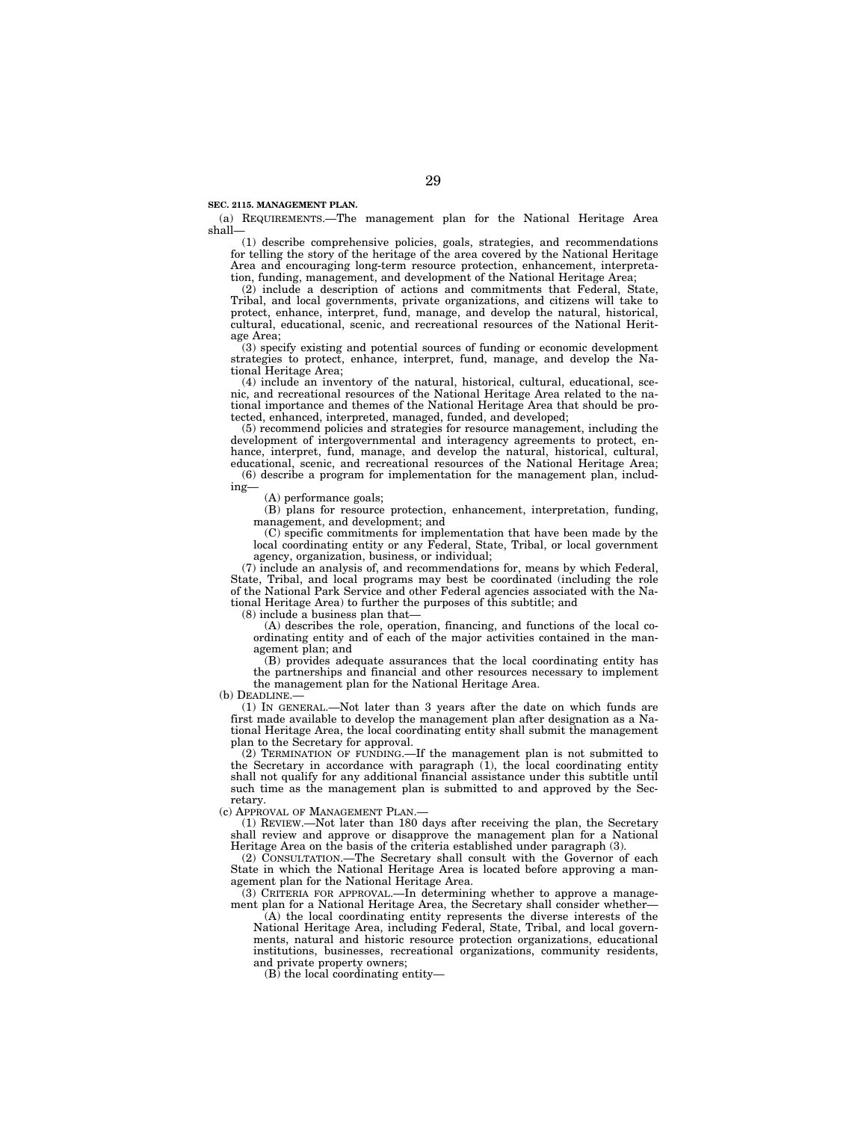#### **SEC. 2115. MANAGEMENT PLAN.**

(a) REQUIREMENTS.—The management plan for the National Heritage Area shall—

(1) describe comprehensive policies, goals, strategies, and recommendations for telling the story of the heritage of the area covered by the National Heritage Area and encouraging long-term resource protection, enhancement, interpretation, funding, management, and development of the National Heritage Area;

(2) include a description of actions and commitments that Federal, State, Tribal, and local governments, private organizations, and citizens will take to protect, enhance, interpret, fund, manage, and develop the natural, historical, cultural, educational, scenic, and recreational resources of the National Heritage Area;

(3) specify existing and potential sources of funding or economic development strategies to protect, enhance, interpret, fund, manage, and develop the National Heritage Area;

(4) include an inventory of the natural, historical, cultural, educational, scenic, and recreational resources of the National Heritage Area related to the national importance and themes of the National Heritage Area that should be protected, enhanced, interpreted, managed, funded, and developed;

(5) recommend policies and strategies for resource management, including the development of intergovernmental and interagency agreements to protect, enhance, interpret, fund, manage, and develop the natural, historical, cultural, educational, scenic, and recreational resources of the National Heritage Area; (6) describe a program for implementation for the management plan, includ-

ing—

(A) performance goals;

(B) plans for resource protection, enhancement, interpretation, funding, management, and development; and

(C) specific commitments for implementation that have been made by the local coordinating entity or any Federal, State, Tribal, or local government agency, organization, business, or individual;

(7) include an analysis of, and recommendations for, means by which Federal, State, Tribal, and local programs may best be coordinated (including the role of the National Park Service and other Federal agencies associated with the National Heritage Area) to further the purposes of this subtitle; and

(8) include a business plan that—

(A) describes the role, operation, financing, and functions of the local coordinating entity and of each of the major activities contained in the management plan; and

(B) provides adequate assurances that the local coordinating entity has the partnerships and financial and other resources necessary to implement the management plan for the National Heritage Area.

(b) DEADLINE.—

(1) IN GENERAL.—Not later than 3 years after the date on which funds are first made available to develop the management plan after designation as a National Heritage Area, the local coordinating entity shall submit the management plan to the Secretary for approval.

(2) TERMINATION OF FUNDING.—If the management plan is not submitted to the Secretary in accordance with paragraph  $(1)$ , the local coordinating entity shall not qualify for any additional financial assistance under this subtitle until such time as the management plan is submitted to and approved by the Secretary.

(c) APPROVAL OF MANAGEMENT PLAN.—

(1) REVIEW.—Not later than 180 days after receiving the plan, the Secretary shall review and approve or disapprove the management plan for a National Heritage Area on the basis of the criteria established under paragraph (3).

(2) CONSULTATION.—The Secretary shall consult with the Governor of each State in which the National Heritage Area is located before approving a management plan for the National Heritage Area.

(3) CRITERIA FOR APPROVAL.—In determining whether to approve a management plan for a National Heritage Area, the Secretary shall consider whether-

(A) the local coordinating entity represents the diverse interests of the National Heritage Area, including Federal, State, Tribal, and local governments, natural and historic resource protection organizations, educational institutions, businesses, recreational organizations, community residents, and private property owners;

(B) the local coordinating entity—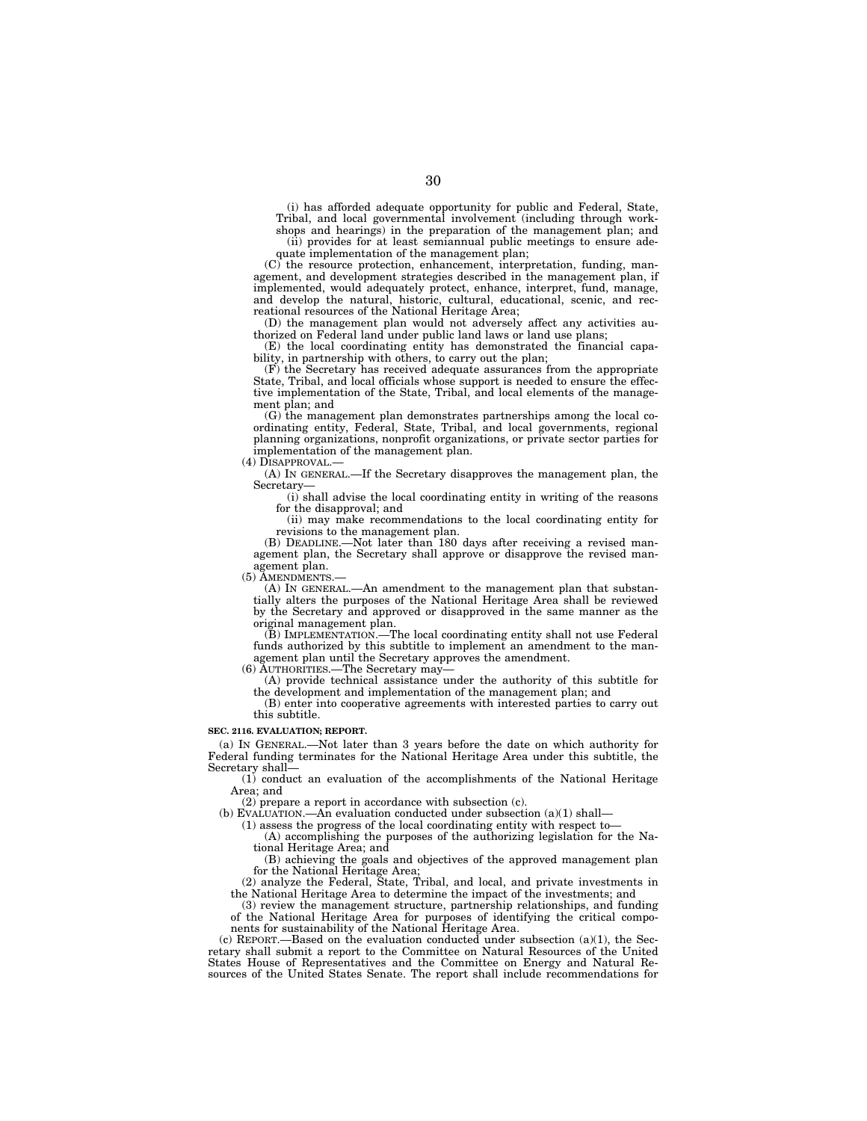(i) has afforded adequate opportunity for public and Federal, State, Tribal, and local governmental involvement (including through workshops and hearings) in the preparation of the management plan; and

(ii) provides for at least semiannual public meetings to ensure adequate implementation of the management plan;

(C) the resource protection, enhancement, interpretation, funding, management, and development strategies described in the management plan, if implemented, would adequately protect, enhance, interpret, fund, manage, and develop the natural, historic, cultural, educational, scenic, and recreational resources of the National Heritage Area;

(D) the management plan would not adversely affect any activities authorized on Federal land under public land laws or land use plans;

(E) the local coordinating entity has demonstrated the financial capability, in partnership with others, to carry out the plan;

(F) the Secretary has received adequate assurances from the appropriate State, Tribal, and local officials whose support is needed to ensure the effective implementation of the State, Tribal, and local elements of the management plan; and

(G) the management plan demonstrates partnerships among the local coordinating entity, Federal, State, Tribal, and local governments, regional planning organizations, nonprofit organizations, or private sector parties for implementation of the management plan.

(4) DISAPPROVAL.

(A) IN GENERAL.—If the Secretary disapproves the management plan, the Secretary—

(i) shall advise the local coordinating entity in writing of the reasons for the disapproval; and

(ii) may make recommendations to the local coordinating entity for revisions to the management plan.

(B) DEADLINE.—Not later than 180 days after receiving a revised management plan, the Secretary shall approve or disapprove the revised management plan.

(5) AMENDMENTS.—

(A) IN GENERAL.—An amendment to the management plan that substantially alters the purposes of the National Heritage Area shall be reviewed by the Secretary and approved or disapproved in the same manner as the original management plan.

(B) IMPLEMENTATION.—The local coordinating entity shall not use Federal funds authorized by this subtitle to implement an amendment to the management plan until the Secretary approves the amendment.

(6) AUTHORITIES.—The Secretary may—

(A) provide technical assistance under the authority of this subtitle for the development and implementation of the management plan; and

(B) enter into cooperative agreements with interested parties to carry out this subtitle.

#### **SEC. 2116. EVALUATION; REPORT.**

(a) IN GENERAL.—Not later than 3 years before the date on which authority for Federal funding terminates for the National Heritage Area under this subtitle, the Secretary shall—

(1) conduct an evaluation of the accomplishments of the National Heritage Area; and

(2) prepare a report in accordance with subsection (c).

 $(b)$  EVALUATION.—An evaluation conducted under subsection  $(a)(1)$  shall—

(1) assess the progress of the local coordinating entity with respect to— (A) accomplishing the purposes of the authorizing legislation for the National Heritage Area; and

(B) achieving the goals and objectives of the approved management plan for the National Heritage Area;

(2) analyze the Federal, State, Tribal, and local, and private investments in the National Heritage Area to determine the impact of the investments; and

(3) review the management structure, partnership relationships, and funding of the National Heritage Area for purposes of identifying the critical components for sustainability of the National Heritage Area.

 $(c)$  REPORT.—Based on the evaluation conducted under subsection  $(a)(1)$ , the Secretary shall submit a report to the Committee on Natural Resources of the United States House of Representatives and the Committee on Energy and Natural Resources of the United States Senate. The report shall include recommendations for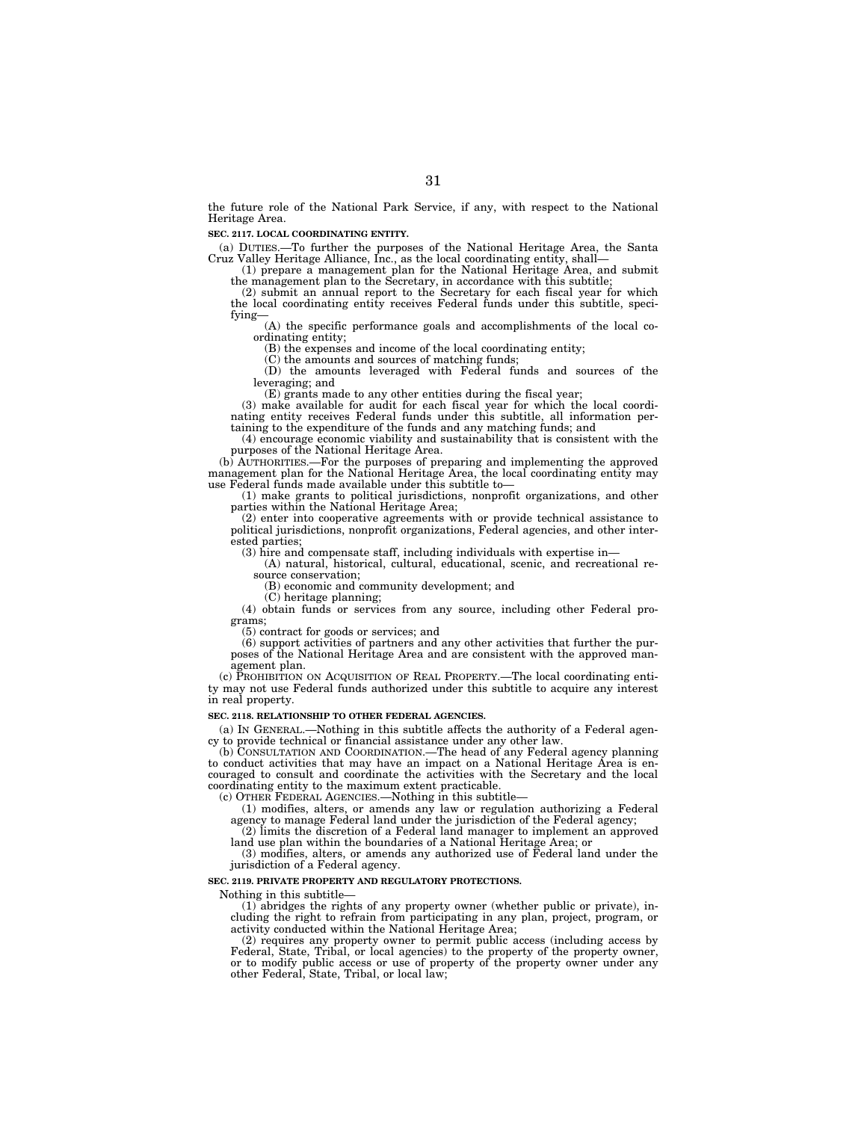the future role of the National Park Service, if any, with respect to the National Heritage Area.

#### **SEC. 2117. LOCAL COORDINATING ENTITY.**

(a) DUTIES.—To further the purposes of the National Heritage Area, the Santa

Cruz Valley Heritage Alliance, Inc., as the local coordinating entity, shall—<br>(1) prepare a management plan for the National Heritage Area, and submit<br>the management plan to the Secretary, in accordance with this subtitle;

the local coordinating entity receives Federal funds under this subtitle, specifying—

(A) the specific performance goals and accomplishments of the local coordinating entity;

(B) the expenses and income of the local coordinating entity;

(C) the amounts and sources of matching funds;

(D) the amounts leveraged with Federal funds and sources of the leveraging; and

(E) grants made to any other entities during the fiscal year; (3) make available for audit for each fiscal year for which the local coordinating entity receives Federal funds under this subtitle, all information per-

taining to the expenditure of the funds and any matching funds; and (4) encourage economic viability and sustainability that is consistent with the purposes of the National Heritage Area.

(b) AUTHORITIES.—For the purposes of preparing and implementing the approved management plan for the National Heritage Area, the local coordinating entity may use Federal funds made available under this subtitle to—

(1) make grants to political jurisdictions, nonprofit organizations, and other parties within the National Heritage Area;

(2) enter into cooperative agreements with or provide technical assistance to political jurisdictions, nonprofit organizations, Federal agencies, and other interested parties;

(3) hire and compensate staff, including individuals with expertise in—

(A) natural, historical, cultural, educational, scenic, and recreational resource conservation;

(B) economic and community development; and

(C) heritage planning;

(4) obtain funds or services from any source, including other Federal programs;

(5) contract for goods or services; and

(6) support activities of partners and any other activities that further the purposes of the National Heritage Area and are consistent with the approved management plan.

(c) PROHIBITION ON ACQUISITION OF REAL PROPERTY.—The local coordinating entity may not use Federal funds authorized under this subtitle to acquire any interest in real property.

#### **SEC. 2118. RELATIONSHIP TO OTHER FEDERAL AGENCIES.**

(a) IN GENERAL.—Nothing in this subtitle affects the authority of a Federal agency to provide technical or financial assistance under any other law.

(b) CONSULTATION AND COORDINATION.—The head of any Federal agency planning to conduct activities that may have an impact on a National Heritage Area is encouraged to consult and coordinate the activities with the Secretary and the local coordinating entity to the maximum extent practicable.

(c) OTHER FEDERAL AGENCIES.—Nothing in this subtitle—

(1) modifies, alters, or amends any law or regulation authorizing a Federal agency to manage Federal land under the jurisdiction of the Federal agency;

(2) limits the discretion of a Federal land manager to implement an approved land use plan within the boundaries of a National Heritage Area; or

(3) modifies, alters, or amends any authorized use of Federal land under the jurisdiction of a Federal agency.

### **SEC. 2119. PRIVATE PROPERTY AND REGULATORY PROTECTIONS.**

Nothing in this subtitle—

(1) abridges the rights of any property owner (whether public or private), including the right to refrain from participating in any plan, project, program, or activity conducted within the National Heritage Area;

(2) requires any property owner to permit public access (including access by Federal, State, Tribal, or local agencies) to the property of the property owner, or to modify public access or use of property of the property owner under any other Federal, State, Tribal, or local law;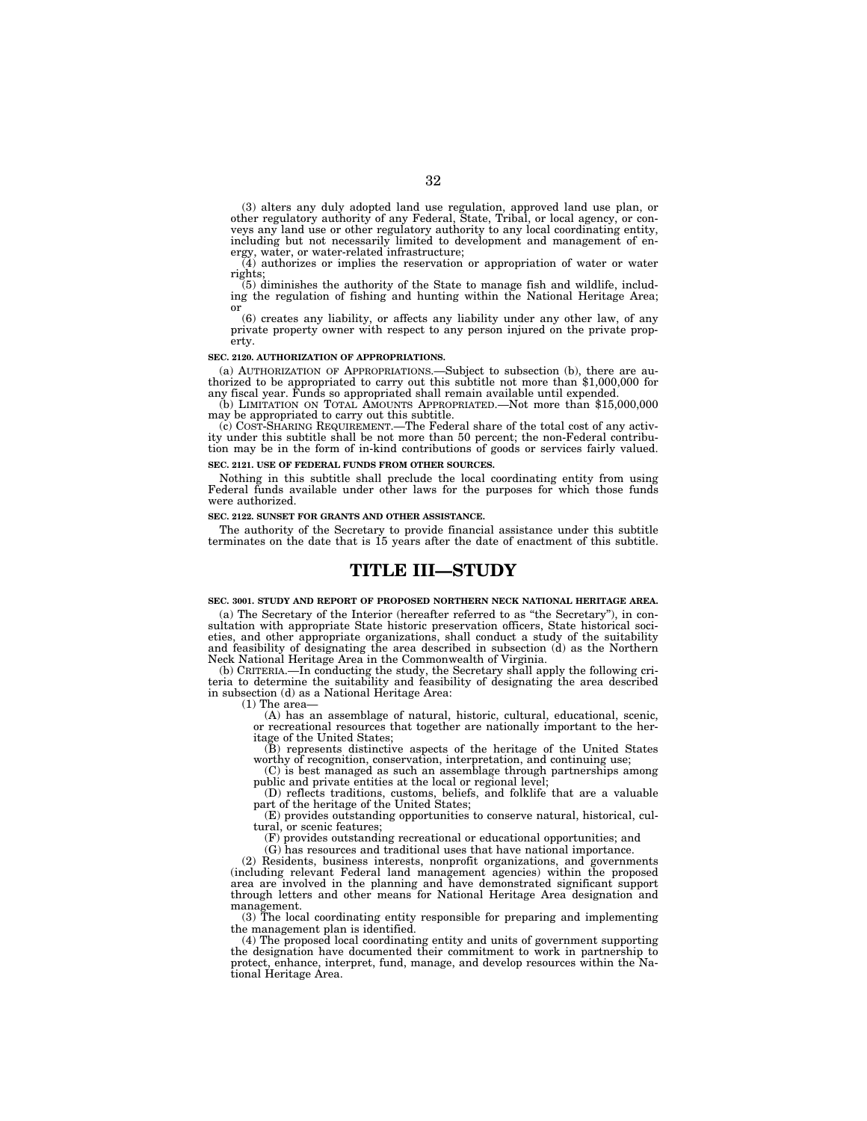(3) alters any duly adopted land use regulation, approved land use plan, or other regulatory authority of any Federal, State, Tribal, or local agency, or conveys any land use or other regulatory authority to any local coordinating entity, including but not necessarily limited to development and management of energy, water, or water-related infrastructure;

(4) authorizes or implies the reservation or appropriation of water or water rights; (5) diminishes the authority of the State to manage fish and wildlife, includ-

ing the regulation of fishing and hunting within the National Heritage Area; or (6) creates any liability, or affects any liability under any other law, of any

private property owner with respect to any person injured on the private property.

#### **SEC. 2120. AUTHORIZATION OF APPROPRIATIONS.**

(a) AUTHORIZATION OF APPROPRIATIONS.—Subject to subsection (b), there are au- thorized to be appropriated to carry out this subtitle not more than \$1,000,000 for any fiscal year. Funds so appropriated shall remain available until expended.

(b) LIMITATION ON TOTAL AMOUNTS APPROPRIATED.—Not more than \$15,000,000 may be appropriated to carry out this subtitle.

(c) COST-SHARING REQUIREMENT.—The Federal share of the total cost of any activ-ity under this subtitle shall be not more than 50 percent; the non-Federal contribution may be in the form of in-kind contributions of goods or services fairly valued. **SEC. 2121. USE OF FEDERAL FUNDS FROM OTHER SOURCES.** 

Nothing in this subtitle shall preclude the local coordinating entity from using Federal funds available under other laws for the purposes for which those funds were authorized.

#### **SEC. 2122. SUNSET FOR GRANTS AND OTHER ASSISTANCE.**

The authority of the Secretary to provide financial assistance under this subtitle terminates on the date that is 15 years after the date of enactment of this subtitle.

### **TITLE III—STUDY**

#### **SEC. 3001. STUDY AND REPORT OF PROPOSED NORTHERN NECK NATIONAL HERITAGE AREA.**

(a) The Secretary of the Interior (hereafter referred to as ''the Secretary''), in consultation with appropriate State historic preservation officers, State historical societies, and other appropriate organizations, shall conduct a study of the suitability and feasibility of designating the area described in subsection (d) as the Northern

Neck National Heritage Area in the Commonwealth of Virginia. (b) CRITERIA.—In conducting the study, the Secretary shall apply the following criteria to determine the suitability and feasibility of designating the area described in subsection (d) as a National Heritage Area:

(A) has an assemblage of natural, historic, cultural, educational, scenic, or recreational resources that together are nationally important to the heritage of the United States;

(B) represents distinctive aspects of the heritage of the United States worthy of recognition, conservation, interpretation, and continuing use:

(C) is best managed as such an assemblage through partnerships among public and private entities at the local or regional level;

(D) reflects traditions, customs, beliefs, and folklife that are a valuable part of the heritage of the United States;

(E) provides outstanding opportunities to conserve natural, historical, cultural, or scenic features;

(F) provides outstanding recreational or educational opportunities; and

(G) has resources and traditional uses that have national importance.

(2) Residents, business interests, nonprofit organizations, and governments (including relevant Federal land management agencies) within the proposed area are involved in the planning and have demonstrated significant support through letters and other means for National Heritage Area designation and management.

(3) The local coordinating entity responsible for preparing and implementing the management plan is identified.

(4) The proposed local coordinating entity and units of government supporting the designation have documented their commitment to work in partnership to protect, enhance, interpret, fund, manage, and develop resources within the National Heritage Area.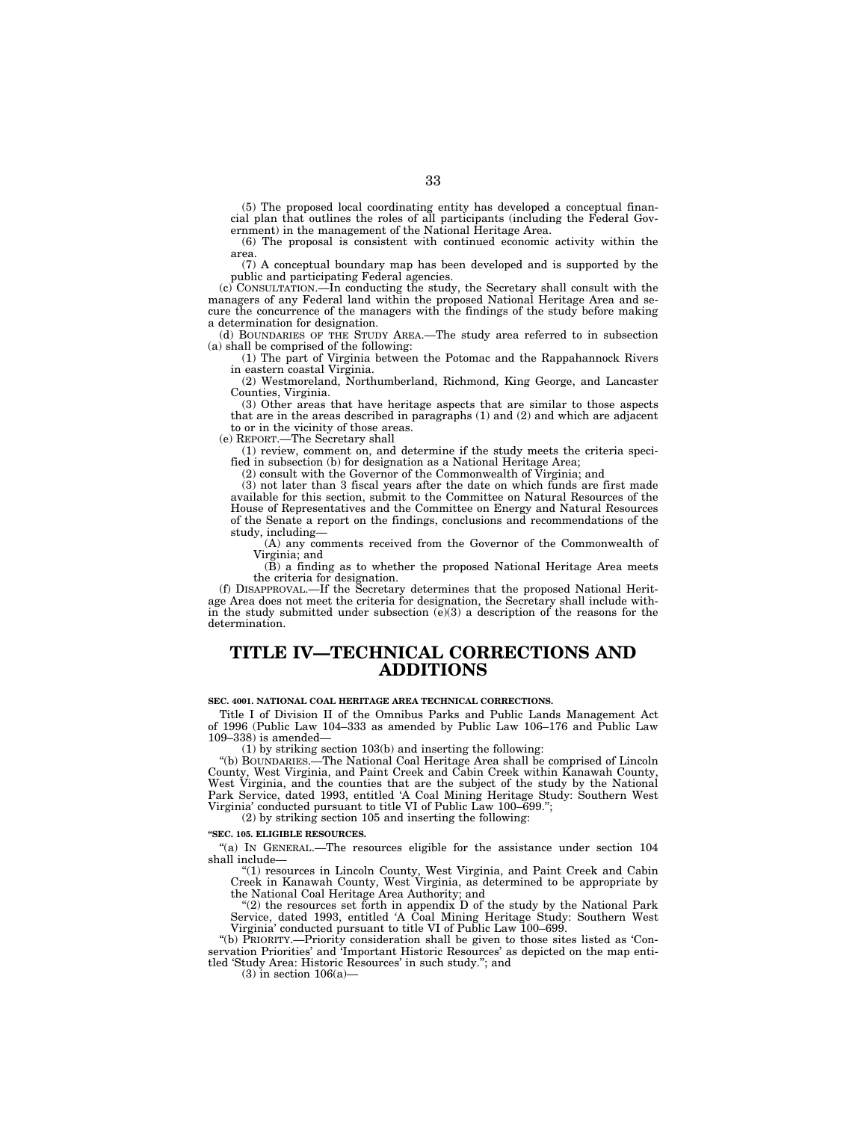(5) The proposed local coordinating entity has developed a conceptual financial plan that outlines the roles of all participants (including the Federal Government) in the management of the National Heritage Area.

(6) The proposal is consistent with continued economic activity within the area.

(7) A conceptual boundary map has been developed and is supported by the public and participating Federal agencies.

(c) CONSULTATION.—In conducting the study, the Secretary shall consult with the managers of any Federal land within the proposed National Heritage Area and secure the concurrence of the managers with the findings of the study before making a determination for designation.

(d) BOUNDARIES OF THE STUDY AREA.—The study area referred to in subsection (a) shall be comprised of the following:

(1) The part of Virginia between the Potomac and the Rappahannock Rivers in eastern coastal Virginia.

(2) Westmoreland, Northumberland, Richmond, King George, and Lancaster Counties, Virginia.

(3) Other areas that have heritage aspects that are similar to those aspects that are in the areas described in paragraphs (1) and (2) and which are adjacent to or in the vicinity of those areas.

(e) REPORT.—The Secretary shall

(1) review, comment on, and determine if the study meets the criteria specified in subsection (b) for designation as a National Heritage Area;

(2) consult with the Governor of the Commonwealth of Virginia; and

(3) not later than 3 fiscal years after the date on which funds are first made available for this section, submit to the Committee on Natural Resources of the House of Representatives and the Committee on Energy and Natural Resources of the Senate a report on the findings, conclusions and recommendations of the study, including—

(A) any comments received from the Governor of the Commonwealth of Virginia; and

(B) a finding as to whether the proposed National Heritage Area meets the criteria for designation.

(f) DISAPPROVAL.—If the Secretary determines that the proposed National Heritage Area does not meet the criteria for designation, the Secretary shall include within the study submitted under subsection  $(e)(3)$  a description of the reasons for the determination.

### **TITLE IV—TECHNICAL CORRECTIONS AND ADDITIONS**

**SEC. 4001. NATIONAL COAL HERITAGE AREA TECHNICAL CORRECTIONS.** 

Title I of Division II of the Omnibus Parks and Public Lands Management Act of 1996 (Public Law 104–333 as amended by Public Law 106–176 and Public Law 109–338) is amended—

(1) by striking section 103(b) and inserting the following:

''(b) BOUNDARIES.—The National Coal Heritage Area shall be comprised of Lincoln County, West Virginia, and Paint Creek and Cabin Creek within Kanawah County, West Virginia, and the counties that are the subject of the study by the National Park Service, dated 1993, entitled 'A Coal Mining Heritage Study: Southern West Virginia' conducted pursuant to title VI of Public Law 100–699.'';

(2) by striking section 105 and inserting the following:

**''SEC. 105. ELIGIBLE RESOURCES.** 

''(a) IN GENERAL.—The resources eligible for the assistance under section 104 shall include—

''(1) resources in Lincoln County, West Virginia, and Paint Creek and Cabin Creek in Kanawah County, West Virginia, as determined to be appropriate by the National Coal Heritage Area Authority; and

" $(2)$  the resources set forth in appendix D of the study by the National Park Service, dated 1993, entitled 'A Coal Mining Heritage Study: Southern West Virginia' conducted pursuant to title VI of Public Law 100–699.

''(b) PRIORITY.—Priority consideration shall be given to those sites listed as 'Conservation Priorities' and 'Important Historic Resources' as depicted on the map entitled 'Study Area: Historic Resources' in such study.''; and

 $(3)$  in section  $106(a)$ —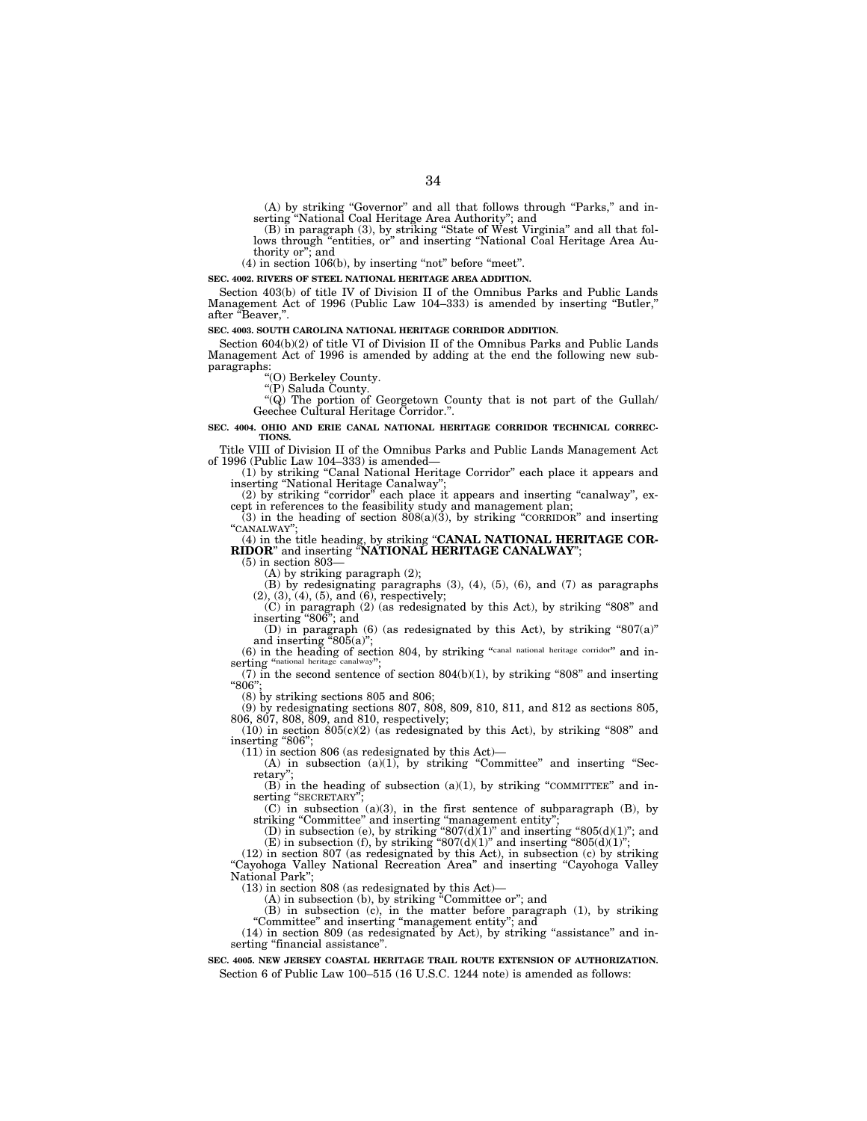(A) by striking ''Governor'' and all that follows through ''Parks,'' and in-serting ''National Coal Heritage Area Authority''; and (B) in paragraph (3), by striking ''State of West Virginia'' and all that fol-

lows through "entities, or" and inserting "National Coal Heritage Area Authority or''; and

 $(4)$  in section 106 $(b)$ , by inserting "not" before "meet".

**SEC. 4002. RIVERS OF STEEL NATIONAL HERITAGE AREA ADDITION.** 

Section 403(b) of title IV of Division II of the Omnibus Parks and Public Lands Management Act of 1996 (Public Law 104–333) is amended by inserting "Butler," after "Beaver.".

#### **SEC. 4003. SOUTH CAROLINA NATIONAL HERITAGE CORRIDOR ADDITION.**

Section 604(b)(2) of title VI of Division II of the Omnibus Parks and Public Lands Management Act of 1996 is amended by adding at the end the following new subparagraphs:<br>
"(O) Berkeley County.<br>
County

''(P) Saluda County.

''(Q) The portion of Georgetown County that is not part of the Gullah/ Geechee Cultural Heritage Corridor.''.

#### **SEC. 4004. OHIO AND ERIE CANAL NATIONAL HERITAGE CORRIDOR TECHNICAL CORREC-TIONS.**

Title VIII of Division II of the Omnibus Parks and Public Lands Management Act

(1) by striking "Canal National Heritage Corridor" each place it appears and inserting "National Heritage Canalway"

(2) by striking "corridor" each place it appears and inserting "canalway", ex-

cept in references to the feasibility study and management plan; (3) in the heading of section 808(a)(3), by striking ''CORRIDOR'' and inserting ''CANALWAY'';

(4) in the title heading, by striking ''**CANAL NATIONAL HERITAGE COR-RIDOR**'' and inserting ''**NATIONAL HERITAGE CANALWAY**'';

(5) in section 803— (A) by striking paragraph (2);

 $(B)$  by redesignating paragraphs (3), (4), (5), (6), and (7) as paragraphs  $(2), (3), (4), (5),$  and  $(6),$  respectively;

(C) in paragraph (2) (as redesignated by this Act), by striking ''808'' and inserting ''806''; and

(D) in paragraph  $(6)$  (as redesignated by this Act), by striking "807(a)" and inserting "805(a)";

(6) in the heading of section 804, by striking ''canal national heritage corridor'' and in-serting ''national heritage canalway'';

(7) in the second sentence of section  $804(b)(1)$ , by striking "808" and inserting "806":

(8) by striking sections 805 and 806;

(9) by redesignating sections 807, 808, 809, 810, 811, and 812 as sections 805, 806, 807, 808, 809, and 810, respectively;<br>(10) in section  $805(c)(2)$  (as redesignated by this Act), by striking "808" and

inserting "806";<br>(11) in section 806 (as redesignated by this Act)-

(A) in subsection (a)(1), by striking "Committee" and inserting "Secretary

 $(B)$  in the heading of subsection (a)(1), by striking "COMMITTEE" and inserting "SECRETARY"

(C) in subsection (a)(3), in the first sentence of subparagraph (B), by striking "Committee" and inserting "management entity";

(D) in subsection (e), by striking " $807(d)(1)$ " and inserting " $805(d)(1)$ "; and (E) in subsection (f), by striking " $807(d)(1)$ " and inserting " $805(d)(1)$ ";

(12) in section 807 (as redesignated by this Act), in subsection (c) by striking ''Cayohoga Valley National Recreation Area'' and inserting ''Cayohoga Valley National Park'';

(13) in section 808 (as redesignated by this Act)—

(A) in subsection (b), by striking ''Committee or''; and

(B) in subsection (c), in the matter before paragraph (1), by striking ''Committee'' and inserting ''management entity''; and

(14) in section 809 (as redesignated by Act), by striking ''assistance'' and inserting "financial assistance".

**SEC. 4005. NEW JERSEY COASTAL HERITAGE TRAIL ROUTE EXTENSION OF AUTHORIZATION.**  Section 6 of Public Law 100–515 (16 U.S.C. 1244 note) is amended as follows: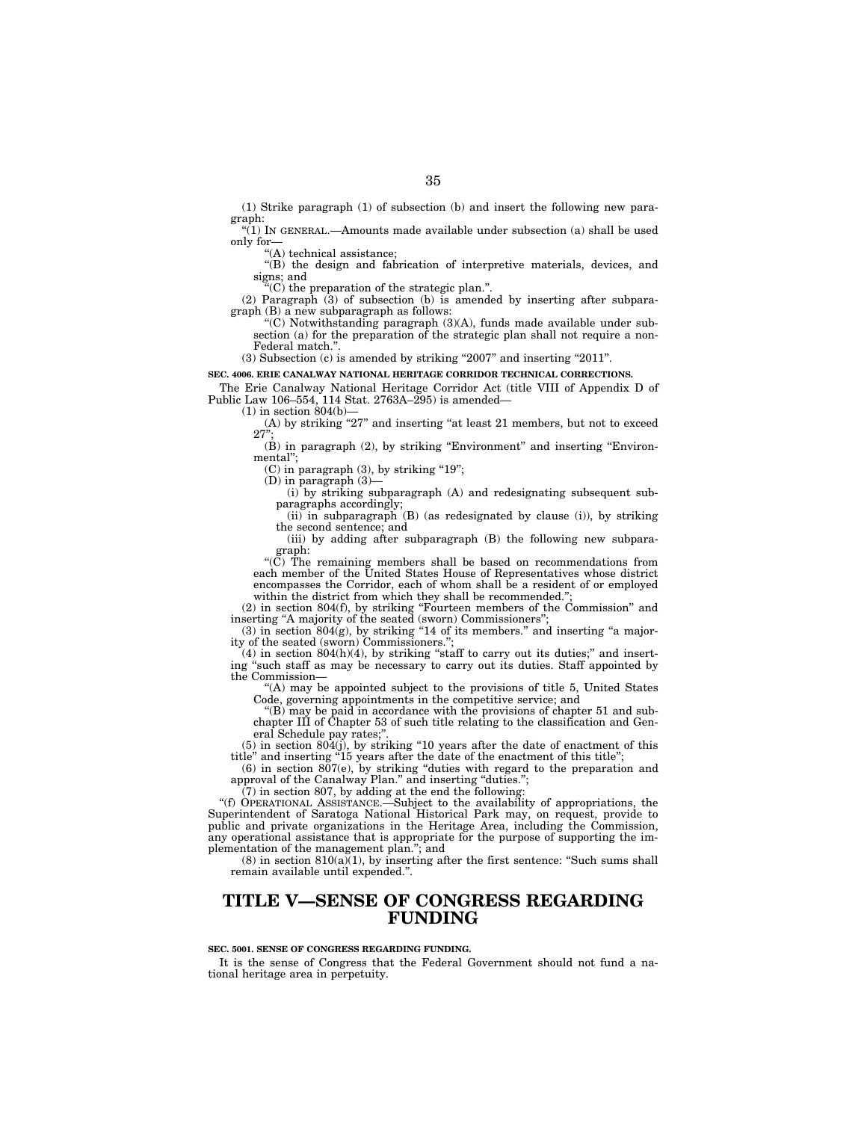(1) Strike paragraph (1) of subsection (b) and insert the following new paragraph:

 $\sqrt[n]{(1)}$  In GENERAL.—Amounts made available under subsection (a) shall be used only for—

''(A) technical assistance;

''(B) the design and fabrication of interpretive materials, devices, and signs; and

''(C) the preparation of the strategic plan.''.

(2) Paragraph  $(3)$  of subsection  $(b)$  is amended by inserting after subparagraph (B) a new subparagraph as follows:

''(C) Notwithstanding paragraph (3)(A), funds made available under subsection (a) for the preparation of the strategic plan shall not require a non-Federal match."

(3) Subsection (c) is amended by striking "2007" and inserting "2011".

**SEC. 4006. ERIE CANALWAY NATIONAL HERITAGE CORRIDOR TECHNICAL CORRECTIONS.** 

The Erie Canalway National Heritage Corridor Act (title VIII of Appendix D of Public Law 106–554, 114 Stat. 2763A–295) is amended—

 $(1)$  in section 804(b)-

(A) by striking "27" and inserting "at least 21 members, but not to exceed  $27^{\circ}$ 

 $(B)$  in paragraph  $(2)$ , by striking "Environment" and inserting "Environmental'';

 $(C)$  in paragraph  $(3)$ , by striking "19";

 $(D)$  in paragraph  $(3)$ -

(i) by striking subparagraph (A) and redesignating subsequent subparagraphs accordingly;

 $(ii)$  in subparagraph  $(B)$  (as redesignated by clause (i)), by striking the second sentence; and

(iii) by adding after subparagraph (B) the following new subparagraph:

''(C) The remaining members shall be based on recommendations from each member of the United States House of Representatives whose district encompasses the Corridor, each of whom shall be a resident of or employed within the district from which they shall be recommended.

(2) in section 804(f), by striking ''Fourteen members of the Commission'' and inserting "A majority of the seated (sworn) Commissioners";

 $(3)$  in section  $804(g)$ , by striking "14 of its members." and inserting "a majority of the seated (sworn) Commissioners.'';

 $(4)$  in section  $804(h)(4)$ , by striking "staff to carry out its duties;" and inserting ''such staff as may be necessary to carry out its duties. Staff appointed by the Commission—

 $(A)$  may be appointed subject to the provisions of title 5. United States Code, governing appointments in the competitive service; and

''(B) may be paid in accordance with the provisions of chapter 51 and subchapter III of Chapter 53 of such title relating to the classification and General Schedule pay rates;"

 $(5)$  in section  $804(j)$ , by striking "10 years after the date of enactment of this title'' and inserting ''15 years after the date of the enactment of this title'';

(6) in section 807(e), by striking ''duties with regard to the preparation and approval of the Canalway Plan." and inserting "duties.";

(7) in section 807, by adding at the end the following:

''(f) OPERATIONAL ASSISTANCE.—Subject to the availability of appropriations, the Superintendent of Saratoga National Historical Park may, on request, provide to public and private organizations in the Heritage Area, including the Commission, any operational assistance that is appropriate for the purpose of supporting the implementation of the management plan.''; and

(8) in section  $810(a)(1)$ , by inserting after the first sentence: "Such sums shall remain available until expended.''.

### **TITLE V—SENSE OF CONGRESS REGARDING FUNDING**

#### **SEC. 5001. SENSE OF CONGRESS REGARDING FUNDING.**

It is the sense of Congress that the Federal Government should not fund a national heritage area in perpetuity.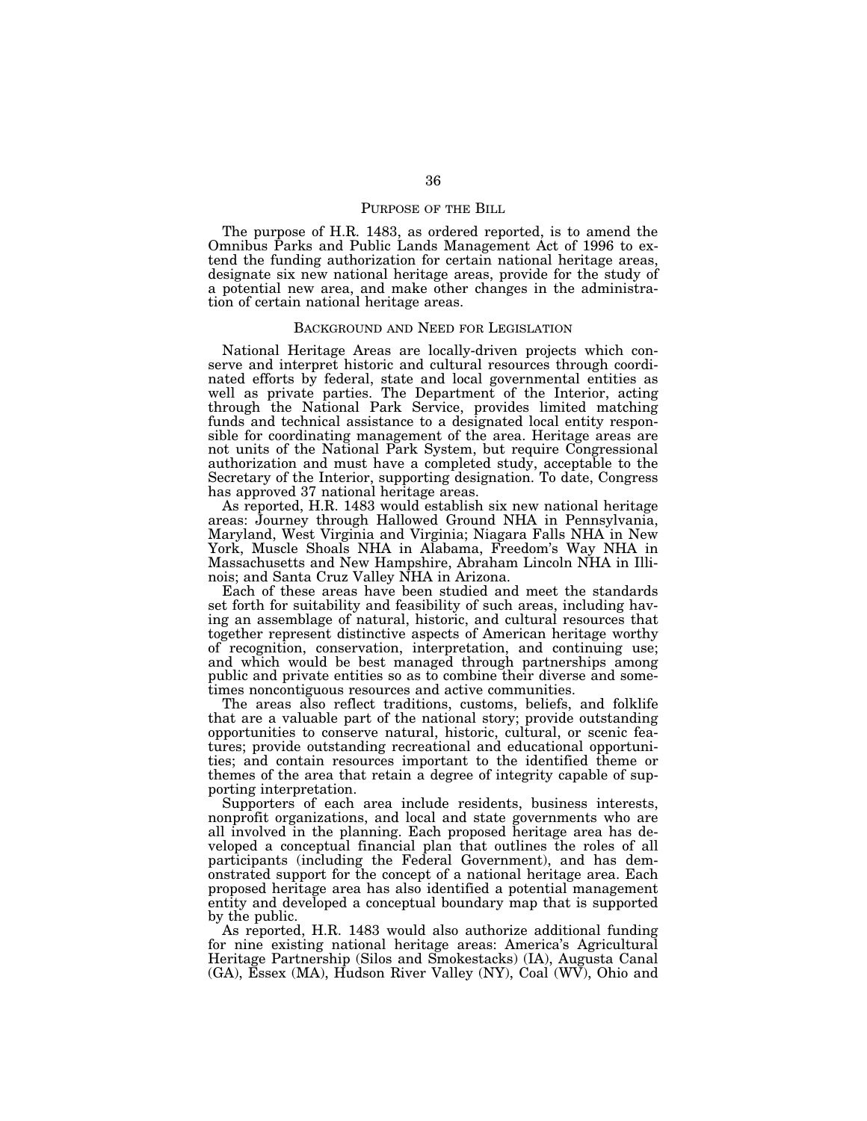#### PURPOSE OF THE BILL

The purpose of H.R. 1483, as ordered reported, is to amend the Omnibus Parks and Public Lands Management Act of 1996 to extend the funding authorization for certain national heritage areas, designate six new national heritage areas, provide for the study of a potential new area, and make other changes in the administration of certain national heritage areas.

#### BACKGROUND AND NEED FOR LEGISLATION

National Heritage Areas are locally-driven projects which conserve and interpret historic and cultural resources through coordinated efforts by federal, state and local governmental entities as well as private parties. The Department of the Interior, acting through the National Park Service, provides limited matching funds and technical assistance to a designated local entity responsible for coordinating management of the area. Heritage areas are not units of the National Park System, but require Congressional authorization and must have a completed study, acceptable to the Secretary of the Interior, supporting designation. To date, Congress has approved 37 national heritage areas.

As reported, H.R. 1483 would establish six new national heritage areas: Journey through Hallowed Ground NHA in Pennsylvania, Maryland, West Virginia and Virginia; Niagara Falls NHA in New York, Muscle Shoals NHA in Alabama, Freedom's Way NHA in Massachusetts and New Hampshire, Abraham Lincoln NHA in Illinois; and Santa Cruz Valley NHA in Arizona.

Each of these areas have been studied and meet the standards set forth for suitability and feasibility of such areas, including having an assemblage of natural, historic, and cultural resources that together represent distinctive aspects of American heritage worthy of recognition, conservation, interpretation, and continuing use; and which would be best managed through partnerships among public and private entities so as to combine their diverse and sometimes noncontiguous resources and active communities.

The areas also reflect traditions, customs, beliefs, and folklife that are a valuable part of the national story; provide outstanding opportunities to conserve natural, historic, cultural, or scenic features; provide outstanding recreational and educational opportunities; and contain resources important to the identified theme or themes of the area that retain a degree of integrity capable of supporting interpretation.

Supporters of each area include residents, business interests, nonprofit organizations, and local and state governments who are all involved in the planning. Each proposed heritage area has developed a conceptual financial plan that outlines the roles of all participants (including the Federal Government), and has demonstrated support for the concept of a national heritage area. Each proposed heritage area has also identified a potential management entity and developed a conceptual boundary map that is supported by the public.

As reported, H.R. 1483 would also authorize additional funding for nine existing national heritage areas: America's Agricultural Heritage Partnership (Silos and Smokestacks) (IA), Augusta Canal (GA), Essex (MA), Hudson River Valley (NY), Coal (WV), Ohio and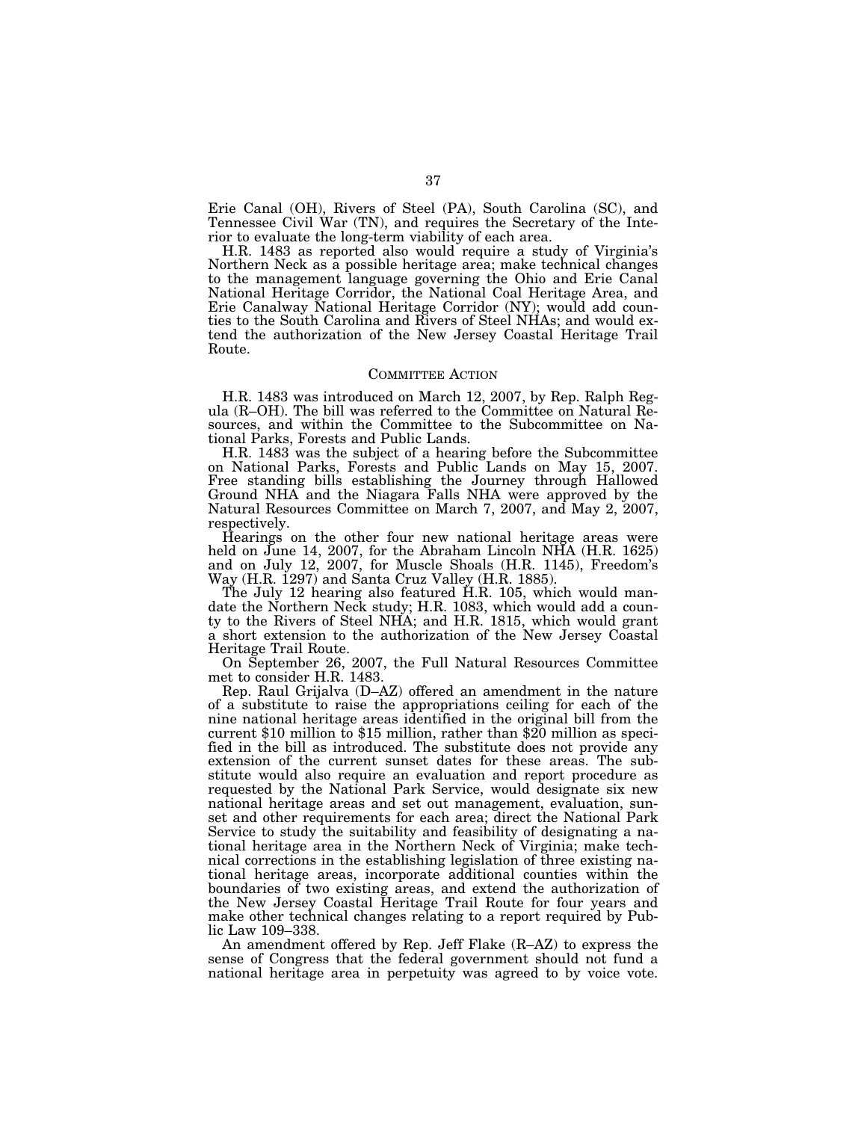Erie Canal (OH), Rivers of Steel (PA), South Carolina (SC), and Tennessee Civil War (TN), and requires the Secretary of the Interior to evaluate the long-term viability of each area.

H.R. 1483 as reported also would require a study of Virginia's Northern Neck as a possible heritage area; make technical changes to the management language governing the Ohio and Erie Canal National Heritage Corridor, the National Coal Heritage Area, and Erie Canalway National Heritage Corridor (NY); would add counties to the South Carolina and Rivers of Steel NHAs; and would extend the authorization of the New Jersey Coastal Heritage Trail Route.

#### COMMITTEE ACTION

H.R. 1483 was introduced on March 12, 2007, by Rep. Ralph Regula (R–OH). The bill was referred to the Committee on Natural Resources, and within the Committee to the Subcommittee on National Parks, Forests and Public Lands.

H.R. 1483 was the subject of a hearing before the Subcommittee on National Parks, Forests and Public Lands on May 15, 2007. Free standing bills establishing the Journey through Hallowed Ground NHA and the Niagara Falls NHA were approved by the Natural Resources Committee on March 7, 2007, and May 2, 2007, respectively.

Hearings on the other four new national heritage areas were held on June 14, 2007, for the Abraham Lincoln NHA (H.R. 1625) and on July 12, 2007, for Muscle Shoals (H.R. 1145), Freedom's Way (H.R. 1297) and Santa Cruz Valley (H.R. 1885).

The July 12 hearing also featured H.R. 105, which would mandate the Northern Neck study; H.R. 1083, which would add a county to the Rivers of Steel NHA; and H.R. 1815, which would grant a short extension to the authorization of the New Jersey Coastal Heritage Trail Route.

On September 26, 2007, the Full Natural Resources Committee met to consider H.R. 1483.

Rep. Raul Grijalva (D–AZ) offered an amendment in the nature of a substitute to raise the appropriations ceiling for each of the nine national heritage areas identified in the original bill from the current \$10 million to \$15 million, rather than \$20 million as specified in the bill as introduced. The substitute does not provide any extension of the current sunset dates for these areas. The substitute would also require an evaluation and report procedure as requested by the National Park Service, would designate six new national heritage areas and set out management, evaluation, sunset and other requirements for each area; direct the National Park Service to study the suitability and feasibility of designating a national heritage area in the Northern Neck of Virginia; make technical corrections in the establishing legislation of three existing national heritage areas, incorporate additional counties within the boundaries of two existing areas, and extend the authorization of the New Jersey Coastal Heritage Trail Route for four years and make other technical changes relating to a report required by Public Law 109–338.

An amendment offered by Rep. Jeff Flake (R–AZ) to express the sense of Congress that the federal government should not fund a national heritage area in perpetuity was agreed to by voice vote.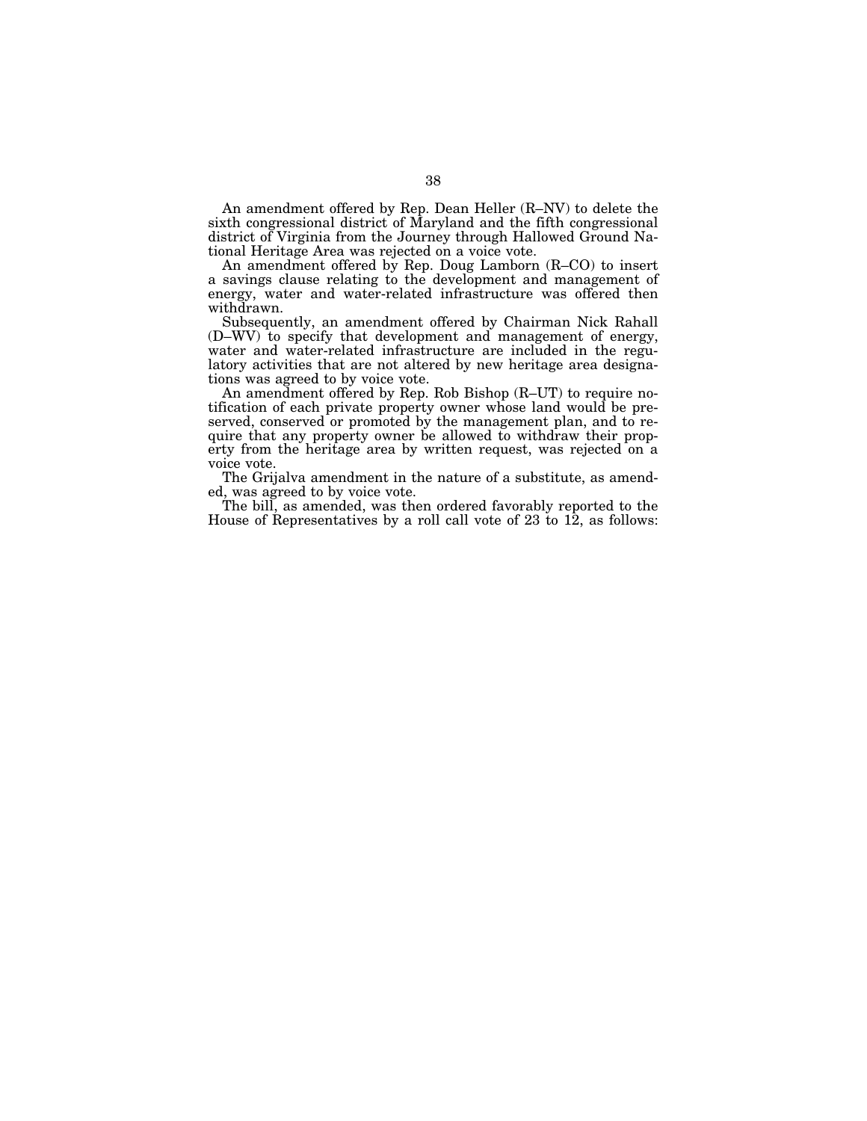An amendment offered by Rep. Dean Heller (R–NV) to delete the sixth congressional district of Maryland and the fifth congressional district of Virginia from the Journey through Hallowed Ground National Heritage Area was rejected on a voice vote.

An amendment offered by Rep. Doug Lamborn (R–CO) to insert a savings clause relating to the development and management of energy, water and water-related infrastructure was offered then withdrawn.

Subsequently, an amendment offered by Chairman Nick Rahall (D–WV) to specify that development and management of energy, water and water-related infrastructure are included in the regulatory activities that are not altered by new heritage area designations was agreed to by voice vote.

An amendment offered by Rep. Rob Bishop (R–UT) to require notification of each private property owner whose land would be preserved, conserved or promoted by the management plan, and to require that any property owner be allowed to withdraw their property from the heritage area by written request, was rejected on a voice vote.

The Grijalva amendment in the nature of a substitute, as amended, was agreed to by voice vote.

The bill, as amended, was then ordered favorably reported to the House of Representatives by a roll call vote of 23 to 12, as follows: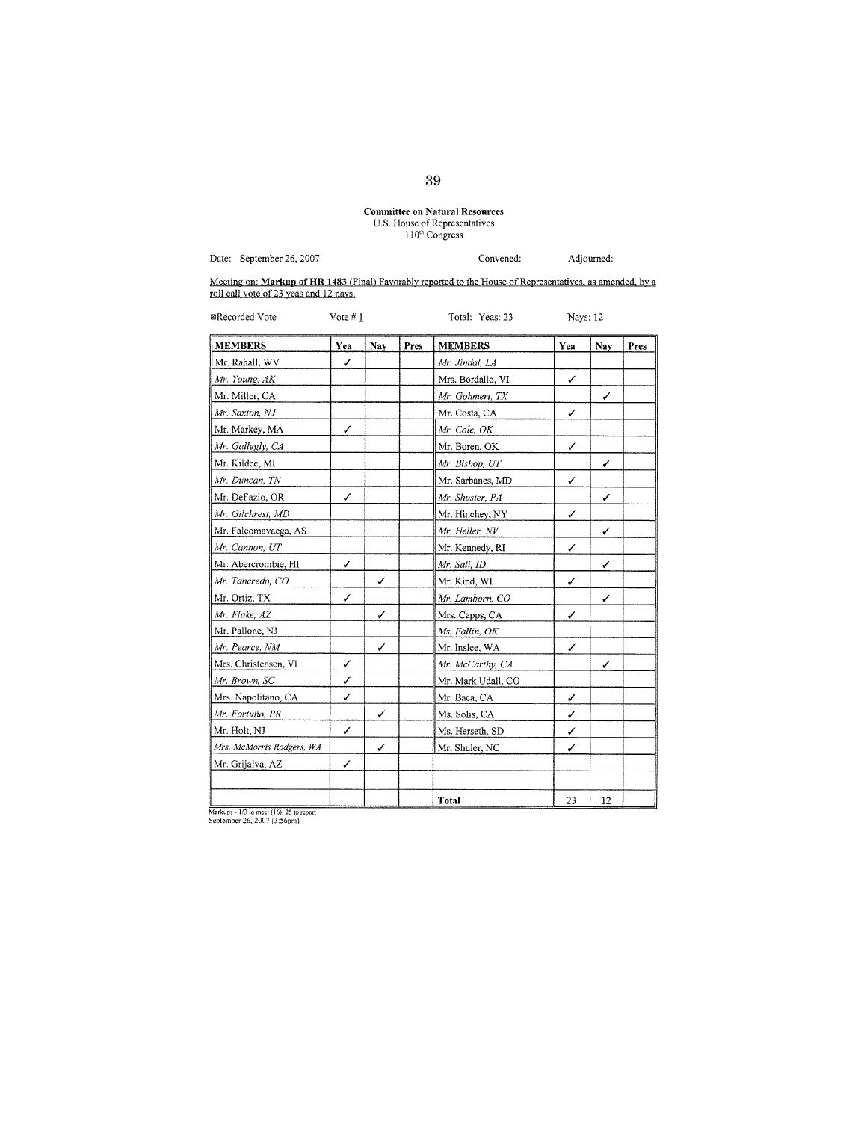# **Committee on Natural Resources**<br>U.S. House of Representatives<br> $110^{th}$  Congress

Convened:

Adjourned:

Date: September 26, 2007

Meeting on: Markup of HR 1483 (Final) Favorably reported to the House of Representatives, as amended, by a roll call vote of 23 yeas and 12 nays.

| <b>MEMBERS</b>            | Yea | Nay | Pres | <b>MEMBERS</b>     | Yea | Nay | Pres |
|---------------------------|-----|-----|------|--------------------|-----|-----|------|
| Mr. Rahall, WV            | ✓   |     |      | Mr. Jindal, LA     |     |     |      |
| Mr. Young, AK             |     |     |      | Mrs. Bordallo, VI  | ✓   |     |      |
| Mr. Miller, CA            |     |     |      | Mr. Gohmert, TX    |     | ✓   |      |
| Mr. Saxton, NJ            |     |     |      | Mr. Costa, CA      | ✓   |     |      |
| Mr. Markey, MA            | ✓   |     |      | Mr. Cole, OK       |     |     |      |
| Mr. Gallegly, CA          |     |     |      | Mr. Boren, OK      | ✓   |     |      |
| Mr. Kildee, MI            |     |     |      | Mr. Bishop, UT     |     | ✓   |      |
| Mr. Duncan, TN            |     |     |      | Mr. Sarbanes, MD   | ✓   |     |      |
| Mr. DeFazio, OR           | ✓   |     |      | Mr. Shuster, PA    |     | ✓   |      |
| Mr. Gilchrest, MD         |     |     |      | Mr. Hinchey, NY    | ✓   |     |      |
| Mr. Faleomavaega, AS      |     |     |      | Mr. Heller, NV     |     | ✓   |      |
| Mr. Cannon, UT            |     |     |      | Mr. Kennedy, RI    | ✓   |     |      |
| Mr. Abercrombie, HI       | ✓   |     |      | Mr. Sali, ID       |     | ✓   |      |
| Mr. Tancredo, CO          |     | ✓   |      | Mr. Kind, WI       | ✓   |     |      |
| Mr. Ortiz, TX             | ✓   |     |      | Mr. Lamborn, CO    |     | ✓   |      |
| Mr. Flake, AZ             |     | ✓   |      | Mrs. Capps, CA     | ✓   |     |      |
| Mr. Pallone, NJ           |     |     |      | Ms. Fallin, OK     |     |     |      |
| Mr. Pearce, NM            |     | ✓   |      | Mr. Inslee, WA     | ✓   |     |      |
| Mrs. Christensen, VI      | ✓   |     |      | Mr. McCarthy, CA   |     | ✓   |      |
| Mr. Brown, SC             | ✓   |     |      | Mr. Mark Udall, CO |     |     |      |
| Mrs. Napolitano, CA       | ✓   |     |      | Mr. Baca, CA       | ✓   |     |      |
| Mr. Fortuño, PR           |     | ✓   |      | Ms. Solis, CA      | ✓   |     |      |
| Mr. Holt, NJ              | ✓   |     |      | Ms. Herseth, SD    | ✓   |     |      |
| Mrs. McMorris Rodgers, WA |     | ✓   |      | Mr. Shuler, NC     | ✓   |     |      |
| Mr. Grijalva, AZ          | ✓   |     |      |                    |     |     |      |
|                           |     |     |      | Total              | 23  | 12  |      |

Markups -  $1/3$  to meet (16), 25 to report<br>September 26, 2007 (3:56pm)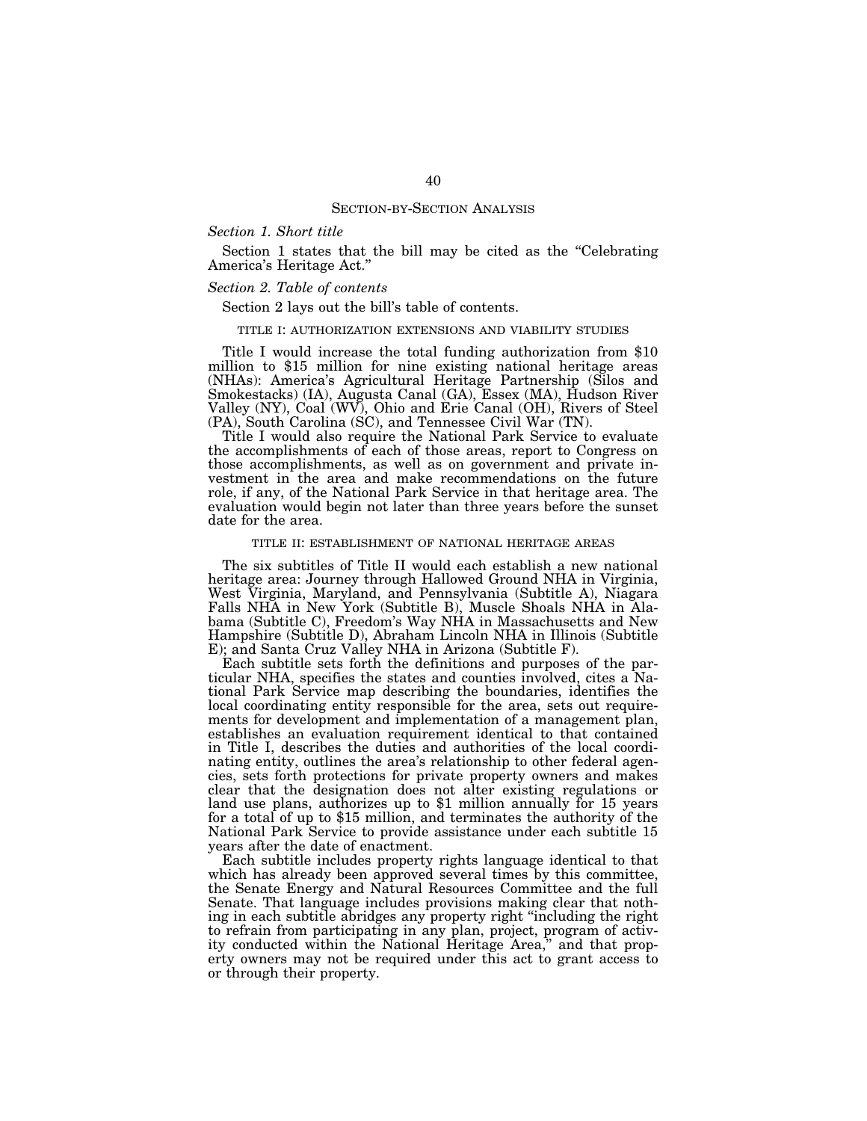#### *Section 1. Short title*

Section 1 states that the bill may be cited as the "Celebrating" America's Heritage Act.''

#### *Section 2. Table of contents*

Section 2 lays out the bill's table of contents.

#### TITLE I: AUTHORIZATION EXTENSIONS AND VIABILITY STUDIES

Title I would increase the total funding authorization from \$10 million to \$15 million for nine existing national heritage areas (NHAs): America's Agricultural Heritage Partnership (Silos and Smokestacks) (IA), Augusta Canal (GA), Essex (MA), Hudson River Valley (NY), Coal (WV), Ohio and Erie Canal (OH), Rivers of Steel (PA), South Carolina (SC), and Tennessee Civil War (TN).

Title I would also require the National Park Service to evaluate the accomplishments of each of those areas, report to Congress on those accomplishments, as well as on government and private investment in the area and make recommendations on the future role, if any, of the National Park Service in that heritage area. The evaluation would begin not later than three years before the sunset date for the area.

#### TITLE II: ESTABLISHMENT OF NATIONAL HERITAGE AREAS

The six subtitles of Title II would each establish a new national heritage area: Journey through Hallowed Ground NHA in Virginia, West Virginia, Maryland, and Pennsylvania (Subtitle A), Niagara Falls NHA in New York (Subtitle B), Muscle Shoals NHA in Alabama (Subtitle C), Freedom's Way NHA in Massachusetts and New Hampshire (Subtitle D), Abraham Lincoln NHA in Illinois (Subtitle E); and Santa Cruz Valley NHA in Arizona (Subtitle F).

Each subtitle sets forth the definitions and purposes of the particular NHA, specifies the states and counties involved, cites a National Park Service map describing the boundaries, identifies the local coordinating entity responsible for the area, sets out requirements for development and implementation of a management plan, establishes an evaluation requirement identical to that contained in Title I, describes the duties and authorities of the local coordinating entity, outlines the area's relationship to other federal agencies, sets forth protections for private property owners and makes clear that the designation does not alter existing regulations or land use plans, authorizes up to \$1 million annually for 15 years for a total of up to \$15 million, and terminates the authority of the National Park Service to provide assistance under each subtitle 15 years after the date of enactment.

Each subtitle includes property rights language identical to that which has already been approved several times by this committee, the Senate Energy and Natural Resources Committee and the full Senate. That language includes provisions making clear that nothing in each subtitle abridges any property right ''including the right to refrain from participating in any plan, project, program of activity conducted within the National Heritage Area,'' and that property owners may not be required under this act to grant access to or through their property.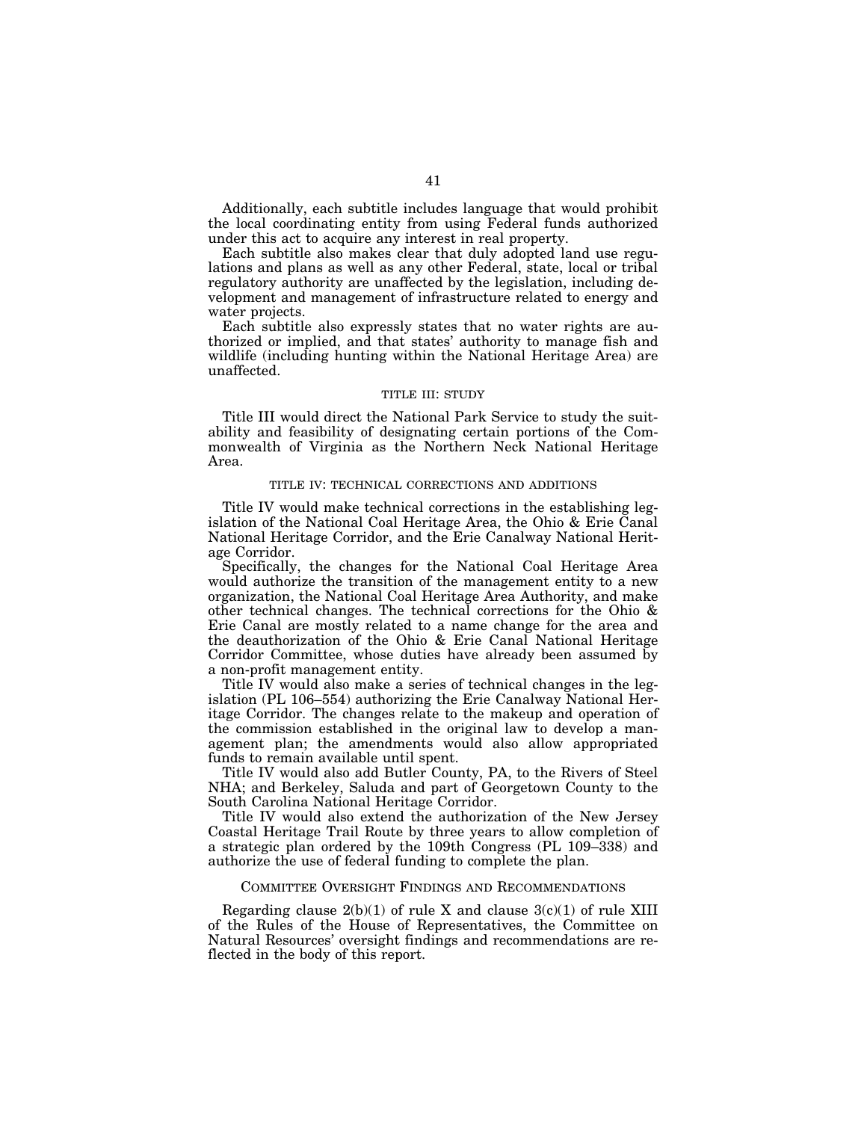Additionally, each subtitle includes language that would prohibit the local coordinating entity from using Federal funds authorized under this act to acquire any interest in real property.

Each subtitle also makes clear that duly adopted land use regulations and plans as well as any other Federal, state, local or tribal regulatory authority are unaffected by the legislation, including development and management of infrastructure related to energy and water projects.

Each subtitle also expressly states that no water rights are authorized or implied, and that states' authority to manage fish and wildlife (including hunting within the National Heritage Area) are unaffected.

#### TITLE III: STUDY

Title III would direct the National Park Service to study the suitability and feasibility of designating certain portions of the Commonwealth of Virginia as the Northern Neck National Heritage Area.

#### TITLE IV: TECHNICAL CORRECTIONS AND ADDITIONS

Title IV would make technical corrections in the establishing legislation of the National Coal Heritage Area, the Ohio & Erie Canal National Heritage Corridor, and the Erie Canalway National Heritage Corridor.

Specifically, the changes for the National Coal Heritage Area would authorize the transition of the management entity to a new organization, the National Coal Heritage Area Authority, and make other technical changes. The technical corrections for the Ohio & Erie Canal are mostly related to a name change for the area and the deauthorization of the Ohio & Erie Canal National Heritage Corridor Committee, whose duties have already been assumed by a non-profit management entity.

Title IV would also make a series of technical changes in the legislation (PL 106–554) authorizing the Erie Canalway National Heritage Corridor. The changes relate to the makeup and operation of the commission established in the original law to develop a management plan; the amendments would also allow appropriated funds to remain available until spent.

Title IV would also add Butler County, PA, to the Rivers of Steel NHA; and Berkeley, Saluda and part of Georgetown County to the South Carolina National Heritage Corridor.

Title IV would also extend the authorization of the New Jersey Coastal Heritage Trail Route by three years to allow completion of a strategic plan ordered by the 109th Congress (PL 109–338) and authorize the use of federal funding to complete the plan.

#### COMMITTEE OVERSIGHT FINDINGS AND RECOMMENDATIONS

Regarding clause  $2(b)(1)$  of rule X and clause  $3(c)(1)$  of rule XIII of the Rules of the House of Representatives, the Committee on Natural Resources' oversight findings and recommendations are reflected in the body of this report.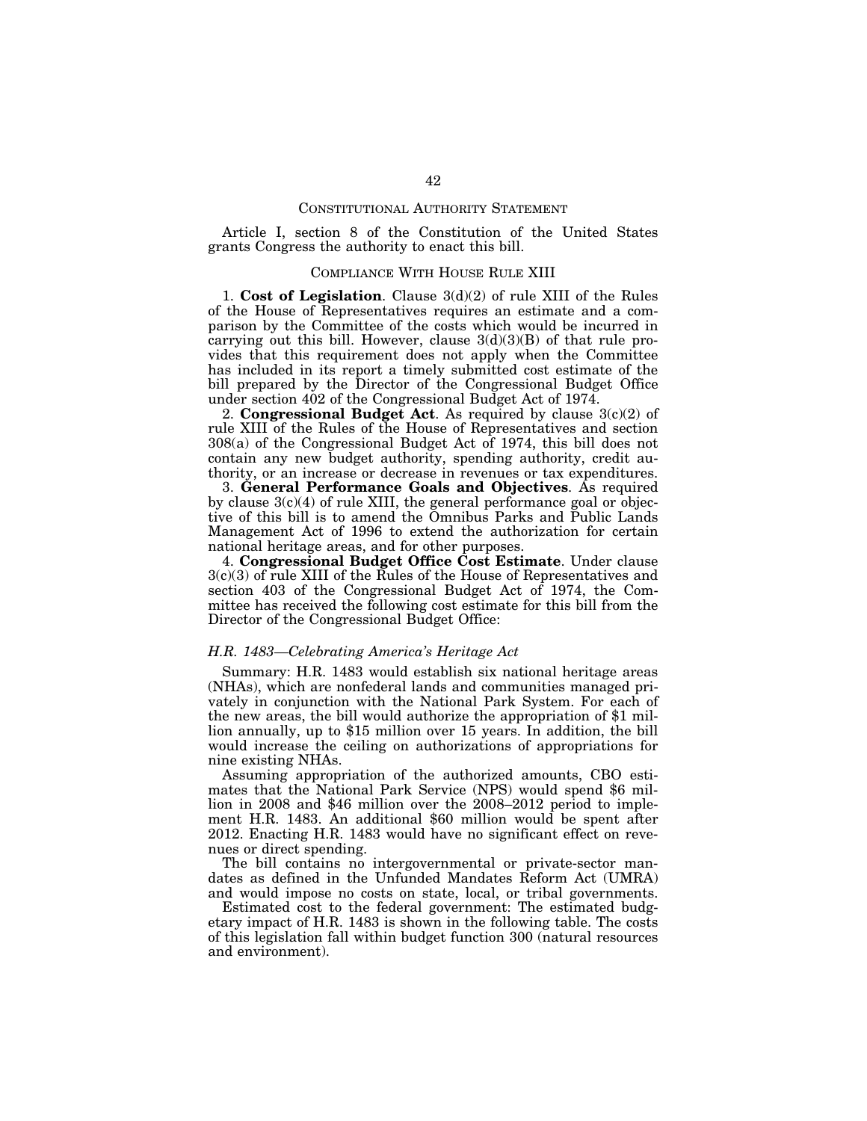#### CONSTITUTIONAL AUTHORITY STATEMENT

Article I, section 8 of the Constitution of the United States grants Congress the authority to enact this bill.

### COMPLIANCE WITH HOUSE RULE XIII

1. **Cost of Legislation**. Clause 3(d)(2) of rule XIII of the Rules of the House of Representatives requires an estimate and a comparison by the Committee of the costs which would be incurred in carrying out this bill. However, clause  $3(d)(3)(B)$  of that rule provides that this requirement does not apply when the Committee has included in its report a timely submitted cost estimate of the bill prepared by the Director of the Congressional Budget Office under section 402 of the Congressional Budget Act of 1974.

2. **Congressional Budget Act**. As required by clause 3(c)(2) of rule XIII of the Rules of the House of Representatives and section 308(a) of the Congressional Budget Act of 1974, this bill does not contain any new budget authority, spending authority, credit authority, or an increase or decrease in revenues or tax expenditures.

3. **General Performance Goals and Objectives**. As required by clause 3(c)(4) of rule XIII, the general performance goal or objective of this bill is to amend the Omnibus Parks and Public Lands Management Act of 1996 to extend the authorization for certain national heritage areas, and for other purposes.

4. **Congressional Budget Office Cost Estimate**. Under clause 3(c)(3) of rule XIII of the Rules of the House of Representatives and section 403 of the Congressional Budget Act of 1974, the Committee has received the following cost estimate for this bill from the Director of the Congressional Budget Office:

#### *H.R. 1483—Celebrating America's Heritage Act*

Summary: H.R. 1483 would establish six national heritage areas (NHAs), which are nonfederal lands and communities managed privately in conjunction with the National Park System. For each of the new areas, the bill would authorize the appropriation of \$1 million annually, up to \$15 million over 15 years. In addition, the bill would increase the ceiling on authorizations of appropriations for nine existing NHAs.

Assuming appropriation of the authorized amounts, CBO estimates that the National Park Service (NPS) would spend \$6 million in 2008 and \$46 million over the 2008–2012 period to implement H.R. 1483. An additional \$60 million would be spent after 2012. Enacting H.R. 1483 would have no significant effect on revenues or direct spending.

The bill contains no intergovernmental or private-sector mandates as defined in the Unfunded Mandates Reform Act (UMRA) and would impose no costs on state, local, or tribal governments.

Estimated cost to the federal government: The estimated budgetary impact of H.R. 1483 is shown in the following table. The costs of this legislation fall within budget function 300 (natural resources and environment).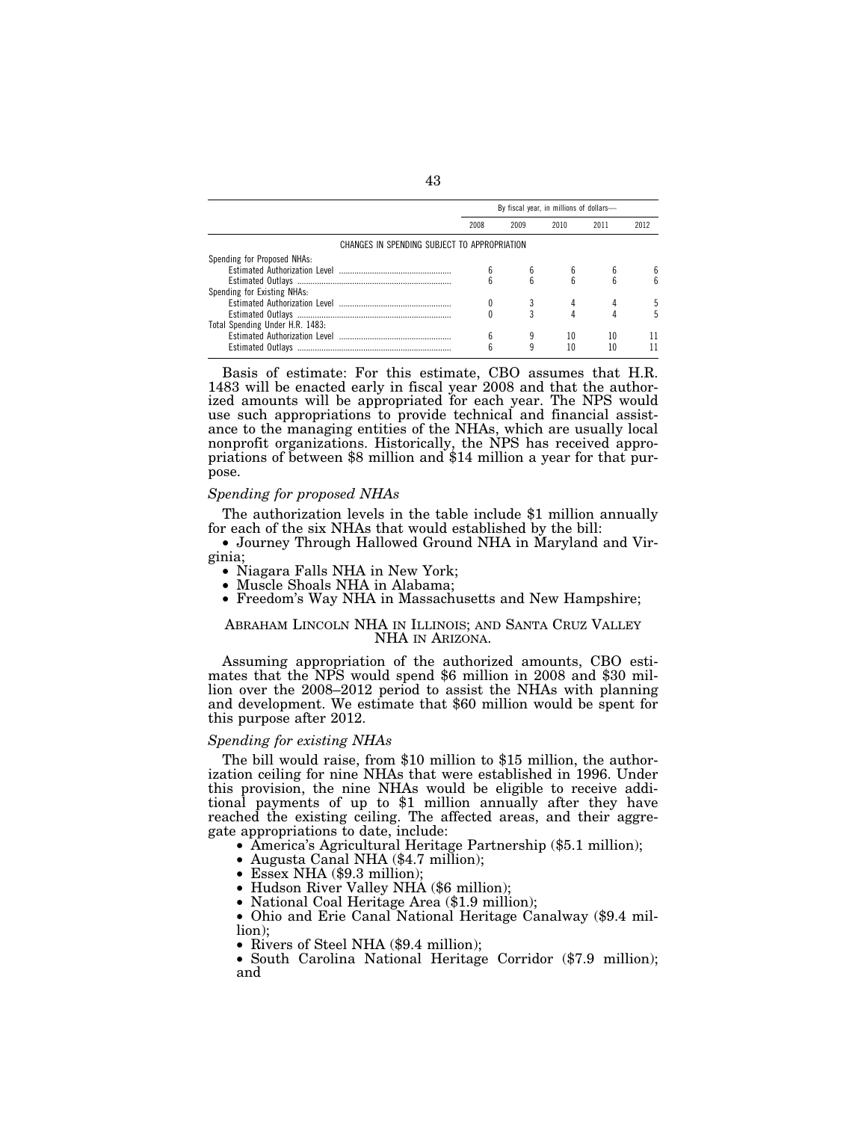|                                              | By fiscal year, in millions of dollars- |      |      |      |      |  |
|----------------------------------------------|-----------------------------------------|------|------|------|------|--|
|                                              | 2008                                    | 2009 | 2010 | 2011 | 2012 |  |
| CHANGES IN SPENDING SUBJECT TO APPROPRIATION |                                         |      |      |      |      |  |
| Spending for Proposed NHAs:                  |                                         |      |      |      |      |  |
|                                              |                                         |      |      |      |      |  |
|                                              |                                         | ĥ    | ĥ    |      |      |  |
| Spending for Existing NHAs:                  |                                         |      |      |      |      |  |
|                                              |                                         |      |      |      |      |  |
|                                              |                                         |      |      |      |      |  |
| Total Spending Under H.R. 1483:              |                                         |      |      |      |      |  |
|                                              |                                         |      | 10   | 10   |      |  |
|                                              |                                         |      | 10   |      |      |  |

Basis of estimate: For this estimate, CBO assumes that H.R. 1483 will be enacted early in fiscal year 2008 and that the authorized amounts will be appropriated for each year. The NPS would use such appropriations to provide technical and financial assistance to the managing entities of the NHAs, which are usually local nonprofit organizations. Historically, the NPS has received appropriations of between \$8 million and \$14 million a year for that purpose.

#### *Spending for proposed NHAs*

The authorization levels in the table include \$1 million annually for each of the six NHAs that would established by the bill:

• Journey Through Hallowed Ground NHA in Maryland and Virginia;<br>• Niagara Falls NHA in New York;

- 
- Muscle Shoals NHA in Alabama;<br>• Freedom's Way NHA in Massachusetts and New Hampshire;

#### ABRAHAM LINCOLN NHA IN ILLINOIS; AND SANTA CRUZ VALLEY NHA IN ARIZONA.

Assuming appropriation of the authorized amounts, CBO estimates that the NPS would spend \$6 million in 2008 and \$30 million over the 2008–2012 period to assist the NHAs with planning and development. We estimate that \$60 million would be spent for this purpose after 2012.

#### *Spending for existing NHAs*

The bill would raise, from \$10 million to \$15 million, the authorization ceiling for nine NHAs that were established in 1996. Under this provision, the nine NHAs would be eligible to receive additional payments of up to \$1 million annually after they have reached the existing ceiling. The affected areas, and their aggregate appropriations to date, include:

• America's Agricultural Heritage Partnership (\$5.1 million);

- Augusta Canal NHA (\$4.7 million); Essex NHA (\$9.3 million);
- 

• Hudson River Valley NHA (\$6 million);

• National Coal Heritage Area (\$1.9 million);

• Ohio and Erie Canal National Heritage Canalway (\$9.4 million);

• Rivers of Steel NHA (\$9.4 million);

• South Carolina National Heritage Corridor (\$7.9 million); and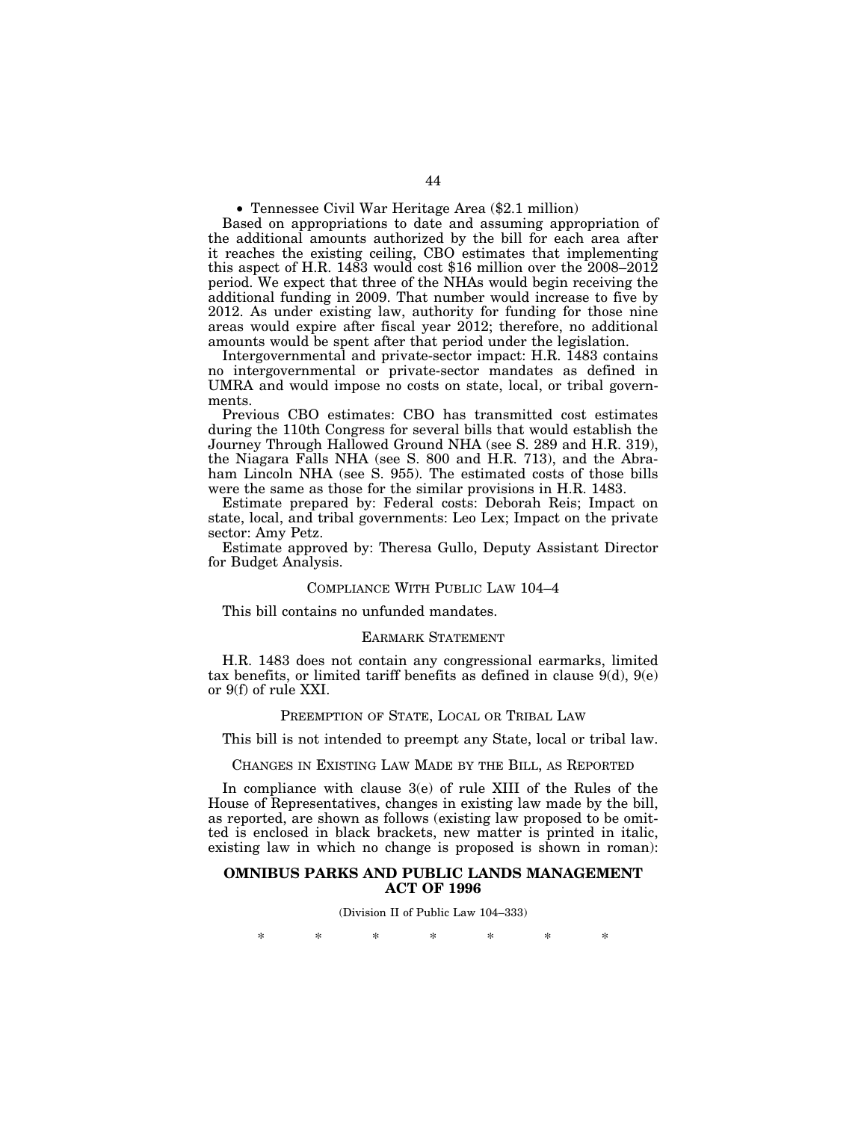• Tennessee Civil War Heritage Area (\$2.1 million)

Based on appropriations to date and assuming appropriation of the additional amounts authorized by the bill for each area after it reaches the existing ceiling, CBO estimates that implementing this aspect of H.R. 1483 would cost \$16 million over the 2008–2012 period. We expect that three of the NHAs would begin receiving the additional funding in 2009. That number would increase to five by 2012. As under existing law, authority for funding for those nine areas would expire after fiscal year 2012; therefore, no additional amounts would be spent after that period under the legislation.

Intergovernmental and private-sector impact: H.R. 1483 contains no intergovernmental or private-sector mandates as defined in UMRA and would impose no costs on state, local, or tribal governments.

Previous CBO estimates: CBO has transmitted cost estimates during the 110th Congress for several bills that would establish the Journey Through Hallowed Ground NHA (see S. 289 and H.R. 319), the Niagara Falls NHA (see S. 800 and H.R. 713), and the Abraham Lincoln NHA (see S. 955). The estimated costs of those bills were the same as those for the similar provisions in H.R. 1483.

Estimate prepared by: Federal costs: Deborah Reis; Impact on state, local, and tribal governments: Leo Lex; Impact on the private sector: Amy Petz.

Estimate approved by: Theresa Gullo, Deputy Assistant Director for Budget Analysis.

#### COMPLIANCE WITH PUBLIC LAW 104–4

This bill contains no unfunded mandates.

#### EARMARK STATEMENT

H.R. 1483 does not contain any congressional earmarks, limited tax benefits, or limited tariff benefits as defined in clause  $9(d)$ ,  $9(e)$ or 9(f) of rule XXI.

#### PREEMPTION OF STATE, LOCAL OR TRIBAL LAW

This bill is not intended to preempt any State, local or tribal law.

CHANGES IN EXISTING LAW MADE BY THE BILL, AS REPORTED

In compliance with clause 3(e) of rule XIII of the Rules of the House of Representatives, changes in existing law made by the bill, as reported, are shown as follows (existing law proposed to be omitted is enclosed in black brackets, new matter is printed in italic, existing law in which no change is proposed is shown in roman):

#### **OMNIBUS PARKS AND PUBLIC LANDS MANAGEMENT ACT OF 1996**

(Division II of Public Law 104–333)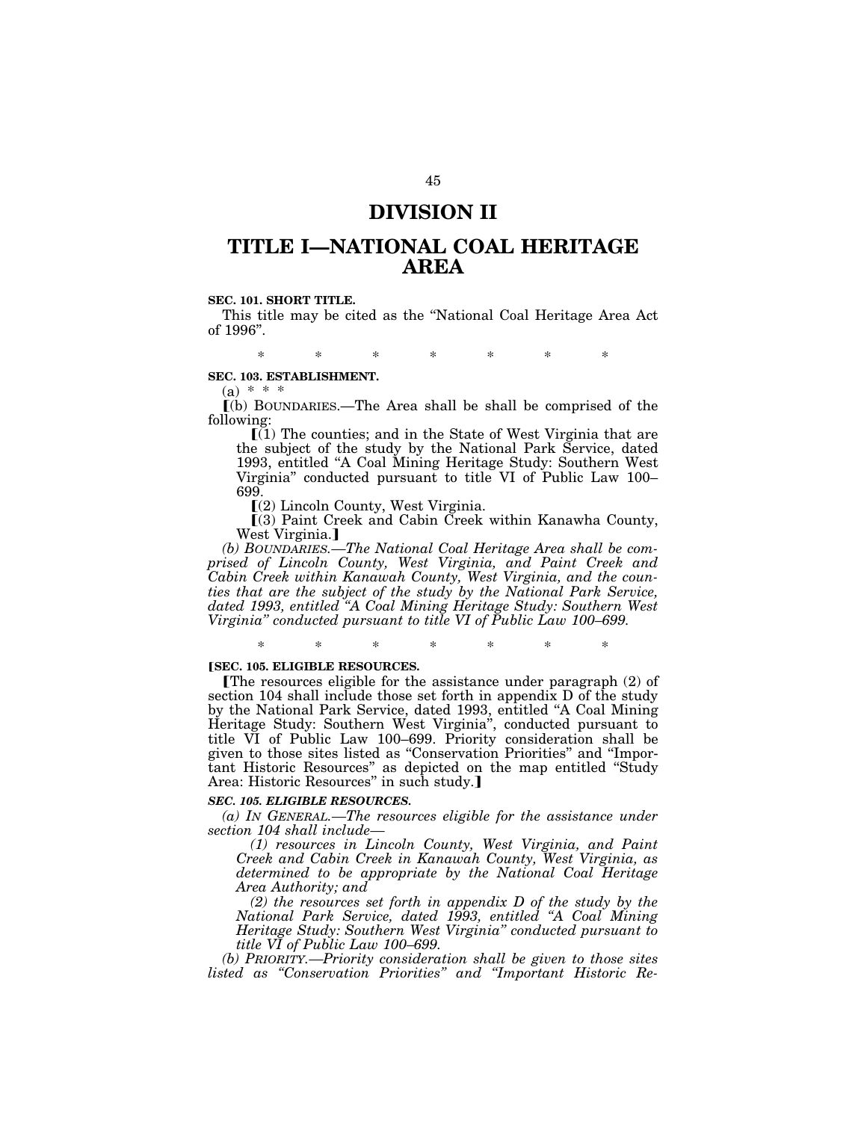### **DIVISION II**

## **TITLE I—NATIONAL COAL HERITAGE AREA**

#### **SEC. 101. SHORT TITLE.**

This title may be cited as the ''National Coal Heritage Area Act of 1996''.

\* \* \* \* \* \* \*

#### **SEC. 103. ESTABLISHMENT.**

 $(a) * * *$ 

ø(b) BOUNDARIES.—The Area shall be shall be comprised of the following:

 $\tilde{I}(1)$  The counties; and in the State of West Virginia that are the subject of the study by the National Park Service, dated 1993, entitled ''A Coal Mining Heritage Study: Southern West Virginia'' conducted pursuant to title VI of Public Law 100– 699.

 $(2)$  Lincoln County, West Virginia.

 $(3)$  Paint Creek and Cabin Creek within Kanawha County, West Virginia.]

*(b) BOUNDARIES.—The National Coal Heritage Area shall be comprised of Lincoln County, West Virginia, and Paint Creek and Cabin Creek within Kanawah County, West Virginia, and the counties that are the subject of the study by the National Park Service, dated 1993, entitled ''A Coal Mining Heritage Study: Southern West Virginia'' conducted pursuant to title VI of Public Law 100–699.* 

\* \* \* \* \* \* \*

#### **[SEC. 105. ELIGIBLE RESOURCES.**

øThe resources eligible for the assistance under paragraph (2) of section 104 shall include those set forth in appendix D of the study by the National Park Service, dated 1993, entitled ''A Coal Mining Heritage Study: Southern West Virginia'', conducted pursuant to title VI of Public Law 100–699. Priority consideration shall be given to those sites listed as ''Conservation Priorities'' and ''Important Historic Resources" as depicted on the map entitled "Study Area: Historic Resources" in such study.]

#### *SEC. 105. ELIGIBLE RESOURCES.*

*(a) IN GENERAL.—The resources eligible for the assistance under section 104 shall include—*

*(1) resources in Lincoln County, West Virginia, and Paint Creek and Cabin Creek in Kanawah County, West Virginia, as determined to be appropriate by the National Coal Heritage Area Authority; and* 

*(2) the resources set forth in appendix D of the study by the National Park Service, dated 1993, entitled ''A Coal Mining Heritage Study: Southern West Virginia'' conducted pursuant to title VI of Public Law 100–699.* 

*(b) PRIORITY.—Priority consideration shall be given to those sites listed as ''Conservation Priorities'' and ''Important Historic Re-*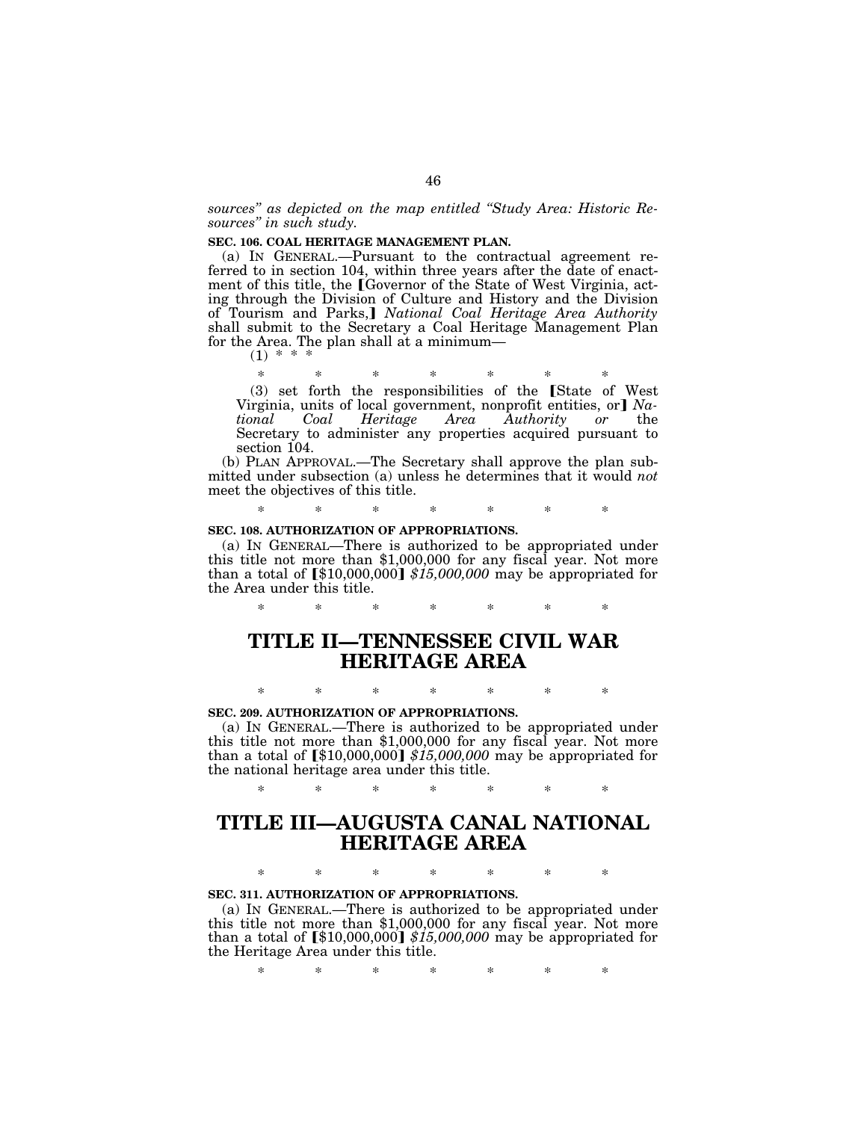*sources'' as depicted on the map entitled ''Study Area: Historic Resources'' in such study.* 

#### **SEC. 106. COAL HERITAGE MANAGEMENT PLAN.**

(a) IN GENERAL.—Pursuant to the contractual agreement referred to in section 104, within three years after the date of enactment of this title, the [Governor of the State of West Virginia, acting through the Division of Culture and History and the Division<br>of Tourism and Parks,] *National Coal Heritage Area Authority* shall submit to the Secretary a Coal Heritage Management Plan for the Area. The plan shall at a minimum-<br>(1) \* \* \*

\* \* \* \* \* \* \*  $(3)$  set forth the responsibilities of the State of West Virginia, units of local government, nonprofit entities, or *Na-*<br> *tional* Coal Heritage Area Authority or the *Coal Heritage Area Authority* Secretary to administer any properties acquired pursuant to section 104.

(b) PLAN APPROVAL.—The Secretary shall approve the plan submitted under subsection (a) unless he determines that it would *not*  meet the objectives of this title.

\* \* \* \* \* \* \*

#### **SEC. 108. AUTHORIZATION OF APPROPRIATIONS.**

(a) IN GENERAL—There is authorized to be appropriated under this title not more than \$1,000,000 for any fiscal year. Not more than a total of  $\left[ $10,000,000 \right] $15,000,000$  may be appropriated for the Area under this title.

\* \* \* \* \* \* \*

## **TITLE II—TENNESSEE CIVIL WAR HERITAGE AREA**

\* \* \* \* \* \* \*

#### **SEC. 209. AUTHORIZATION OF APPROPRIATIONS.**

(a) IN GENERAL.—There is authorized to be appropriated under this title not more than \$1,000,000 for any fiscal year. Not more than a total of [\$10,000,000] \$15,000,000 may be appropriated for the national heritage area under this title.

\* \* \* \* \* \* \*

# **TITLE III—AUGUSTA CANAL NATIONAL HERITAGE AREA**

\* \* \* \* \* \* \*

#### **SEC. 311. AUTHORIZATION OF APPROPRIATIONS.**

(a) IN GENERAL.—There is authorized to be appropriated under this title not more than \$1,000,000 for any fiscal year. Not more than a total of  $\llbracket $10,000,000 \rrbracket $15,000,000$  may be appropriated for the Heritage Area under this title.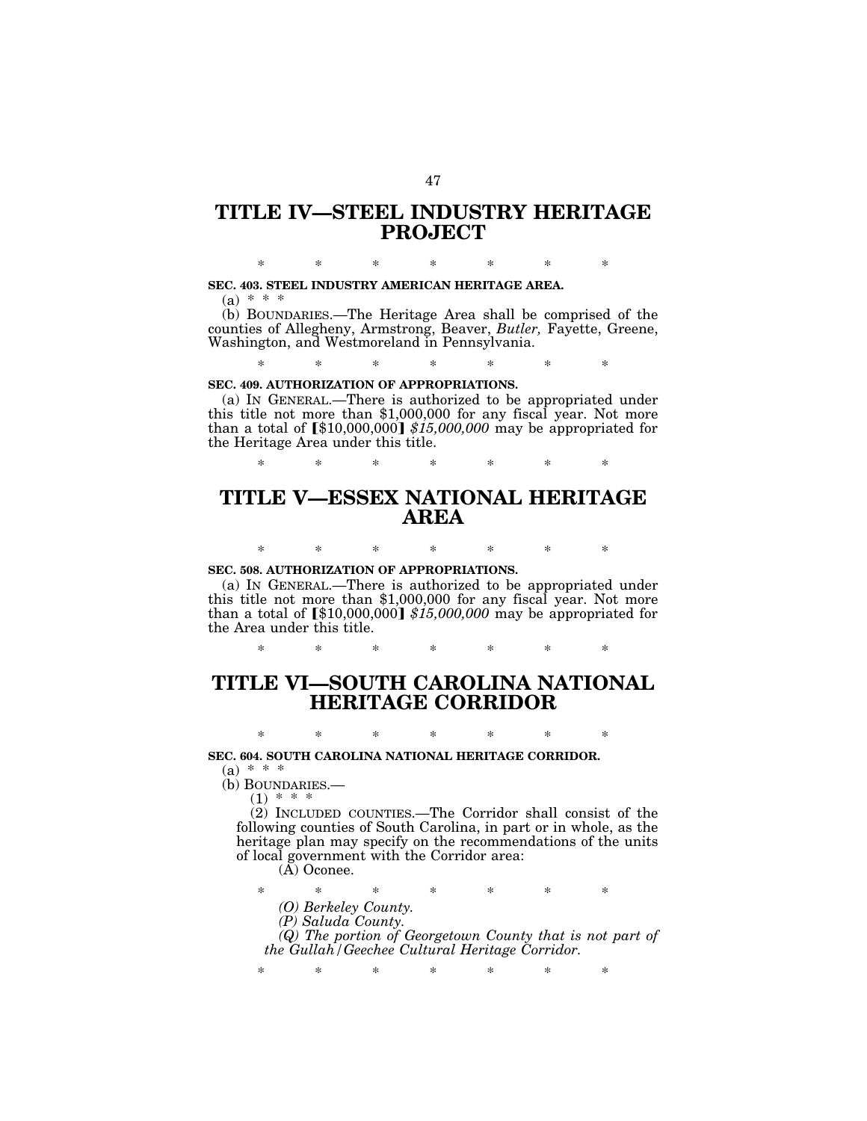### **TITLE IV—STEEL INDUSTRY HERITAGE PROJECT**

\* \* \* \* \* \* \*

#### **SEC. 403. STEEL INDUSTRY AMERICAN HERITAGE AREA.**

 $(a) * * * *$ 

(b) BOUNDARIES.—The Heritage Area shall be comprised of the counties of Allegheny, Armstrong, Beaver, *Butler,* Fayette, Greene, Washington, and Westmoreland in Pennsylvania.

\* \* \* \* \* \* \*

#### **SEC. 409. AUTHORIZATION OF APPROPRIATIONS.**

(a) IN GENERAL.—There is authorized to be appropriated under this title not more than \$1,000,000 for any fiscal year. Not more than a total of  $\llbracket $10,000,000 \rrbracket $15,000,000$  may be appropriated for the Heritage Area under this title.

\* \* \* \* \* \* \*

## **TITLE V—ESSEX NATIONAL HERITAGE AREA**

\* \* \* \* \* \* \*

#### **SEC. 508. AUTHORIZATION OF APPROPRIATIONS.**

(a) IN GENERAL.—There is authorized to be appropriated under this title not more than \$1,000,000 for any fiscal year. Not more than a total of  $\left[ $10,000,000 \right] $15,000,000$  may be appropriated for the Area under this title.

\* \* \* \* \* \* \*

### **TITLE VI—SOUTH CAROLINA NATIONAL HERITAGE CORRIDOR**

\* \* \* \* \* \* \* **SEC. 604. SOUTH CAROLINA NATIONAL HERITAGE CORRIDOR.**   $(a) * * * *$ 

(b) BOUNDARIES.—

 $(1)$  \* \*

(2) INCLUDED COUNTIES.—The Corridor shall consist of the following counties of South Carolina, in part or in whole, as the heritage plan may specify on the recommendations of the units of local government with the Corridor area:

(A) Oconee.

\* \* \* \* \* \* \* *(O) Berkeley County.* 

*(P) Saluda County.* 

*(Q) The portion of Georgetown County that is not part of the Gullah/Geechee Cultural Heritage Corridor.*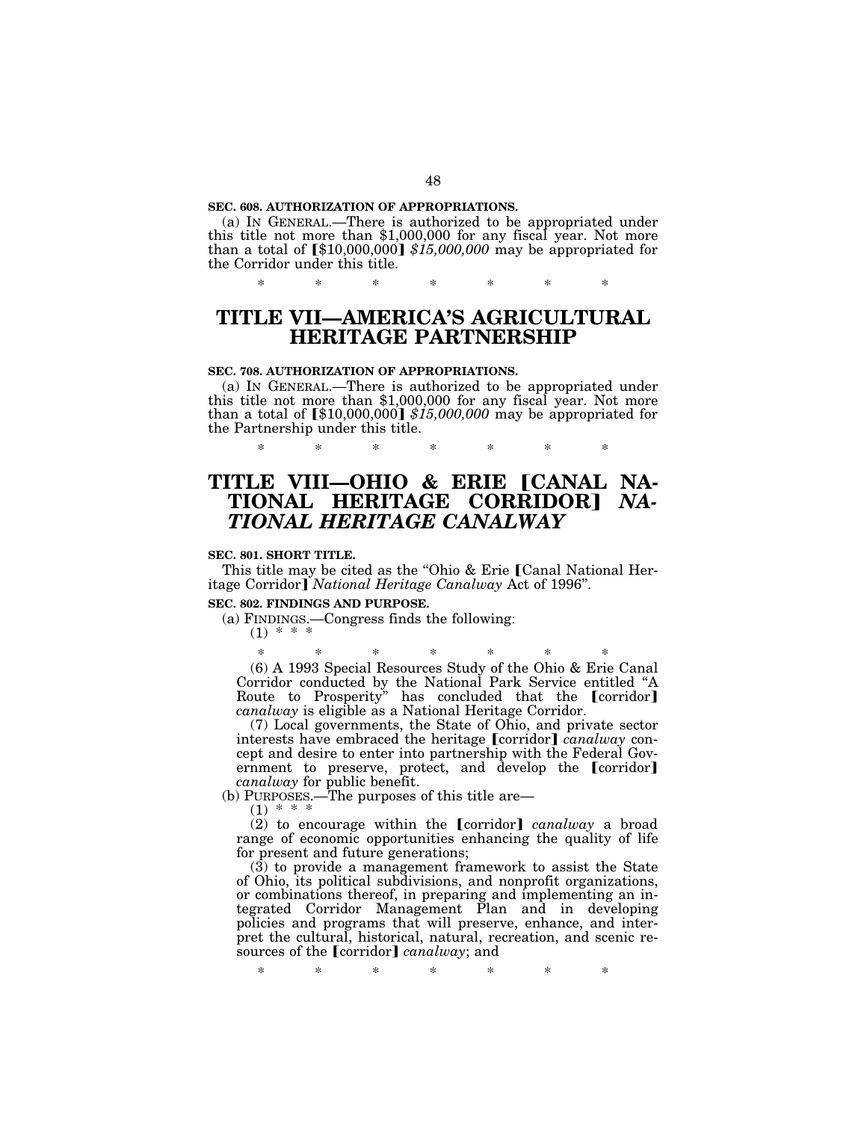#### **SEC. 608. AUTHORIZATION OF APPROPRIATIONS.**

(a) IN GENERAL.—There is authorized to be appropriated under this title not more than \$1,000,000 for any fiscal year. Not more than a total of  $\llbracket $10,000,000 \rrbracket $15,000,000$  may be appropriated for the Corridor under this title.

\* \* \* \* \* \* \*

## **TITLE VII—AMERICA'S AGRICULTURAL HERITAGE PARTNERSHIP**

#### **SEC. 708. AUTHORIZATION OF APPROPRIATIONS.**

(a) IN GENERAL.—There is authorized to be appropriated under this title not more than \$1,000,000 for any fiscal year. Not more than a total of  $\llbracket $10,000,000 \rrbracket $15,000,000$  may be appropriated for the Partnership under this title.

\* \* \* \* \* \* \*

### **TITLE VIII—OHIO & ERIE [CANAL NA-TIONAL HERITAGE CORRIDOR**¿ *NA-TIONAL HERITAGE CANALWAY*

#### **SEC. 801. SHORT TITLE.**

This title may be cited as the "Ohio & Erie [Canal National Heritage Corridor] *National Heritage Canalway* Act of 1996".

#### **SEC. 802. FINDINGS AND PURPOSE.**

(a) FINDINGS.—Congress finds the following:

### $(1) * * *$

\* \* \* \* \* \* \* (6) A 1993 Special Resources Study of the Ohio & Erie Canal Corridor conducted by the National Park Service entitled "A<br>Route to Prosperity" has concluded that the [corridor] *canalway* is eligible as a National Heritage Corridor.

(7) Local governments, the State of Ohio, and private sector interests have embraced the heritage [corridor] *canalway* concept and desire to enter into partnership with the Federal Government to preserve, protect, and develop the [corridor] *canalway* for public benefit.

(b) PURPOSES.—The purposes of this title are—<br>(1) \* \* \*

(2) to encourage within the [corridor] *canalway* a broad range of economic opportunities enhancing the quality of life for present and future generations;

 $(3)$  to provide a management framework to assist the State of Ohio, its political subdivisions, and nonprofit organizations, or combinations thereof, in preparing and implementing an integrated Corridor Management Plan and in developing policies and programs that will preserve, enhance, and interpret the cultural, historical, natural, recreation, and scenic resources of the **[**corridor**]** *canalway*; and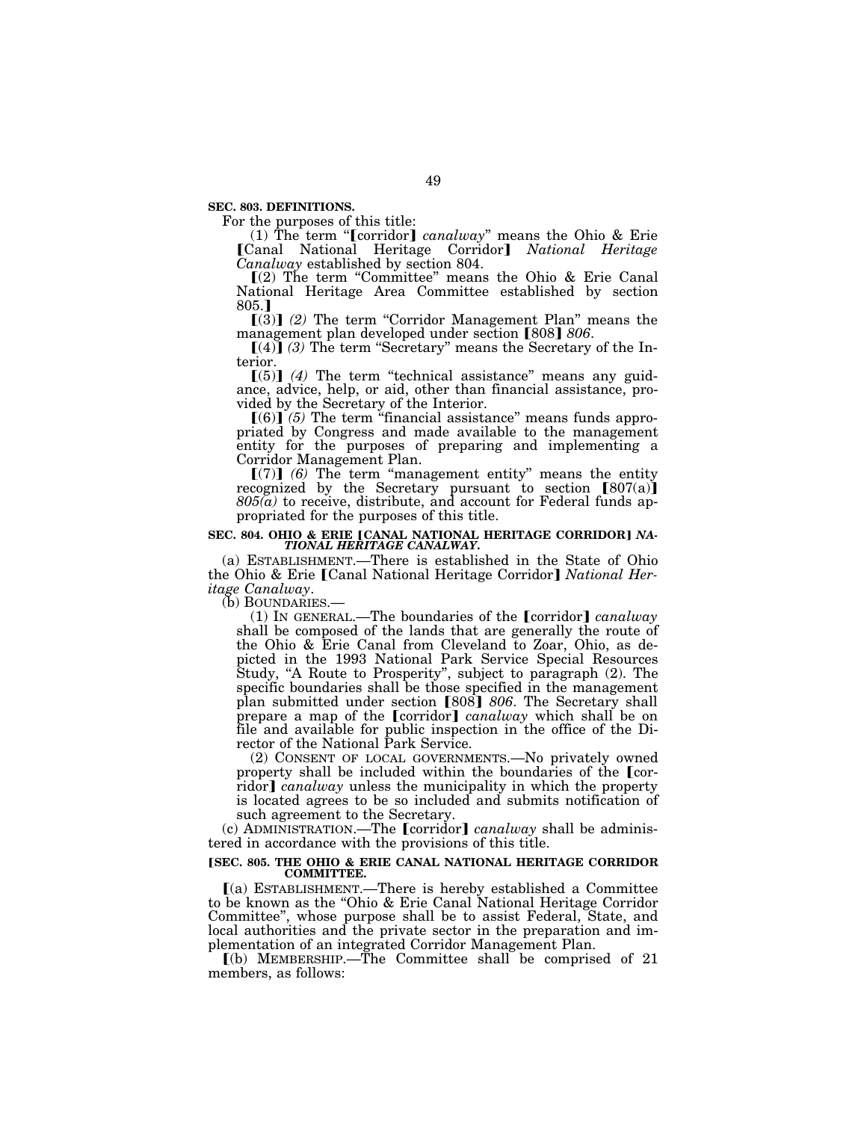**SEC. 803. DEFINITIONS.** 

For the purposes of this title:

(1) The term "[corridor] *canalway*" means the Ohio & Erie øCanal National Heritage Corridor¿ *National Heritage Canalway* established by section 804.

 $(2)$  The term "Committee" means the Ohio & Erie Canal National Heritage Area Committee established by section 805.<sub>1</sub>

[(3)] (2) The term "Corridor Management Plan" means the management plan developed under section [808] 806.<br>[(4)] (3) The term "Secretary" means the Secretary of the In-

terior.

 $[(5)]$  (4) The term "technical assistance" means any guidance, advice, help, or aid, other than financial assistance, provided by the Secretary of the Interior.<br>
[(6)] (5) The term "financial assistance" means funds appro-

priated by Congress and made available to the management entity for the purposes of preparing and implementing a Corridor Management Plan.

 $[(7)]$   $(6)$  The term "management entity" means the entity recognized by the Secretary pursuant to section  $[807(a)]$ *805(a)* to receive, distribute, and account for Federal funds appropriated for the purposes of this title.

# SEC. 804. OHIO & ERIE **[CANAL NATIONAL HERITAGE CORRIDOR**] *NA-*<br>*TIONAL HERITAGE CANALWAY.*

(a) ESTABLISHMENT.—There is established in the State of Ohio the Ohio & Erie [Canal National Heritage Corridor] *National Heritage Canalway.*<br>
(b) BOUNDARIES.—<br>
(1) IN GENERAL.—The boundaries of the **[**corridor**]** *canalway* 

shall be composed of the lands that are generally the route of the Ohio & Erie Canal from Cleveland to Zoar, Ohio, as depicted in the 1993 National Park Service Special Resources Study, "A Route to Prosperity", subject to paragraph (2). The specific boundaries shall be those specified in the management<br>plan submitted under section [808] *806*. The Secretary shall prepare a map of the [corridor] *canalway* which shall be on file and available for public inspection in the office of the Director of the National Park Service.

(2) CONSENT OF LOCAL GOVERNMENTS.—No privately owned property shall be included within the boundaries of the  $\lceil \text{cor-} \rceil$ ridor] *canalway* unless the municipality in which the property is located agrees to be so included and submits notification of such agreement to the Secretary.

(c) ADMINISTRATION.—The **[**corridor] *canalway* shall be administered in accordance with the provisions of this title.

#### **[SEC. 805. THE OHIO & ERIE CANAL NATIONAL HERITAGE CORRIDOR COMMITTEE.**

 $(a)$  ESTABLISHMENT.—There is hereby established a Committee to be known as the ''Ohio & Erie Canal National Heritage Corridor Committee'', whose purpose shall be to assist Federal, State, and local authorities and the private sector in the preparation and implementation of an integrated Corridor Management Plan.

 $\lceil$ (b) MEMBERSHIP.—The Committee shall be comprised of 21 members, as follows: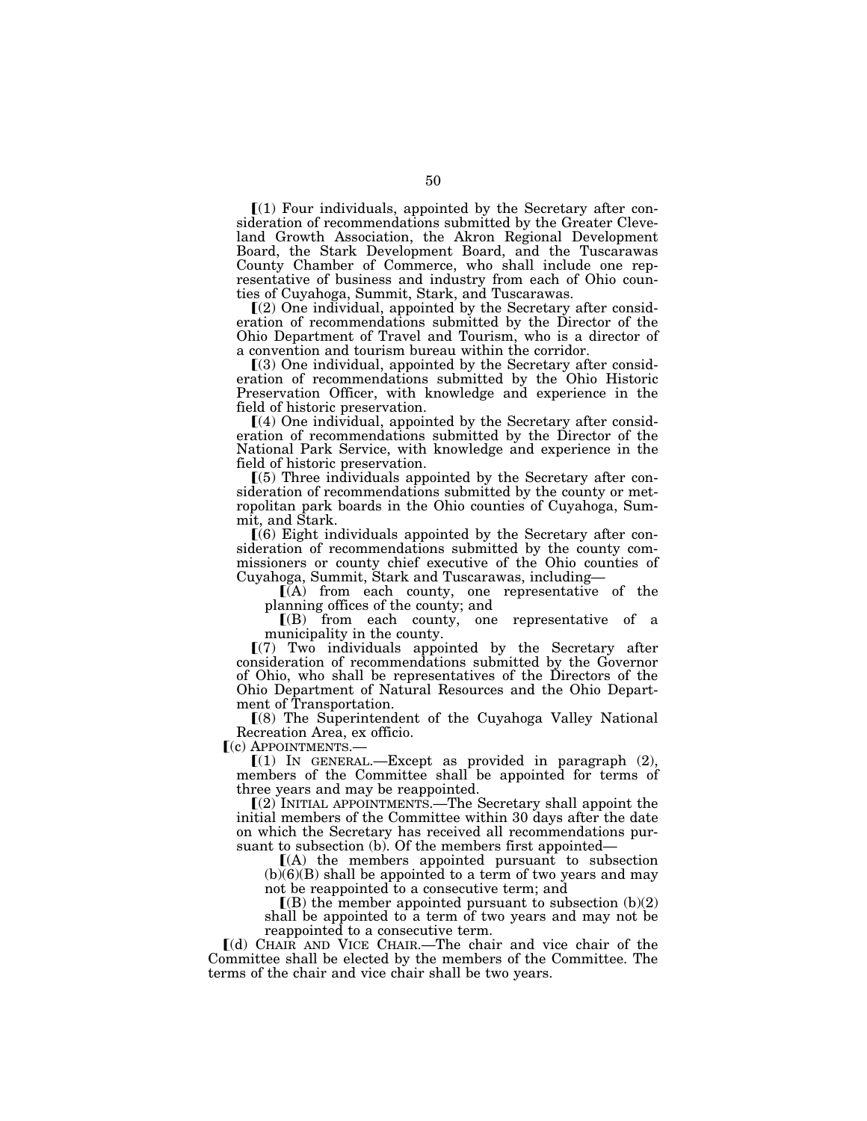$\Gamma(1)$  Four individuals, appointed by the Secretary after consideration of recommendations submitted by the Greater Cleveland Growth Association, the Akron Regional Development Board, the Stark Development Board, and the Tuscarawas County Chamber of Commerce, who shall include one representative of business and industry from each of Ohio counties of Cuyahoga, Summit, Stark, and Tuscarawas.

 $(2)$  One individual, appointed by the Secretary after consideration of recommendations submitted by the Director of the Ohio Department of Travel and Tourism, who is a director of a convention and tourism bureau within the corridor.

 $(3)$  One individual, appointed by the Secretary after consideration of recommendations submitted by the Ohio Historic Preservation Officer, with knowledge and experience in the field of historic preservation.

 $(a)$  One individual, appointed by the Secretary after consideration of recommendations submitted by the Director of the National Park Service, with knowledge and experience in the field of historic preservation.

 $(5)$  Three individuals appointed by the Secretary after consideration of recommendations submitted by the county or metropolitan park boards in the Ohio counties of Cuyahoga, Summit, and Stark.

 $(6)$  Eight individuals appointed by the Secretary after consideration of recommendations submitted by the county commissioners or county chief executive of the Ohio counties of Cuyahoga, Summit, Stark and Tuscarawas, including—

 $\overline{I(A)}$  from each county, one representative of the planning offices of the county; and

 $I(B)$  from each county, one representative of a municipality in the county.

 $(7)$  Two individuals appointed by the Secretary after consideration of recommendations submitted by the Governor of Ohio, who shall be representatives of the Directors of the Ohio Department of Natural Resources and the Ohio Department of Transportation.

ø(8) The Superintendent of the Cuyahoga Valley National Recreation Area, ex officio.<br>
[(c) APPOINTMENTS.—

 $(1)$  IN GENERAL.—Except as provided in paragraph  $(2)$ , members of the Committee shall be appointed for terms of three years and may be reappointed.

 $(2)$  INITIAL APPOINTMENTS.—The Secretary shall appoint the initial members of the Committee within 30 days after the date on which the Secretary has received all recommendations pursuant to subsection (b). Of the members first appointed—

 $(A)$  the members appointed pursuant to subsection  $(b)(6)(B)$  shall be appointed to a term of two years and may not be reappointed to a consecutive term; and

 $\mathbb{I}(B)$  the member appointed pursuant to subsection  $(b)(2)$ shall be appointed to a term of two years and may not be reappointed to a consecutive term.

ø(d) CHAIR AND VICE CHAIR.—The chair and vice chair of the Committee shall be elected by the members of the Committee. The terms of the chair and vice chair shall be two years.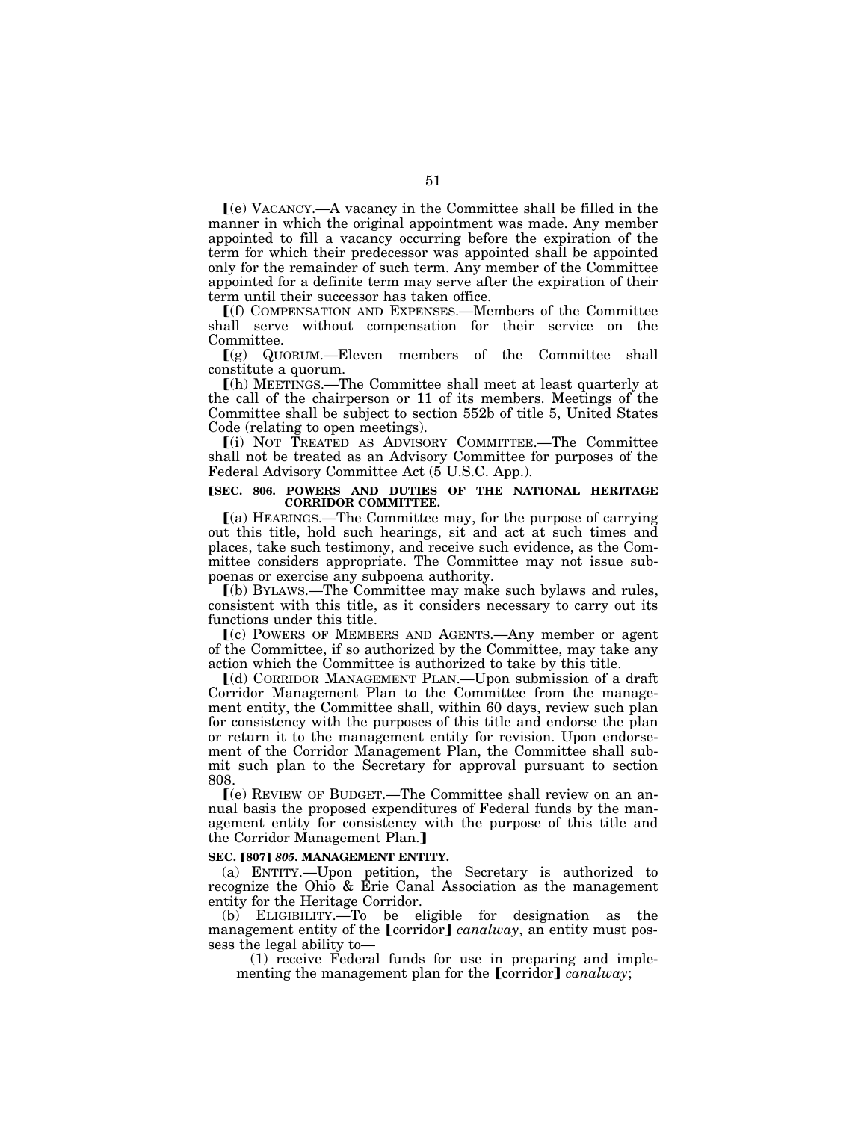$\mathbf{I}(\mathbf{e})$  VACANCY.—A vacancy in the Committee shall be filled in the manner in which the original appointment was made. Any member appointed to fill a vacancy occurring before the expiration of the term for which their predecessor was appointed shall be appointed only for the remainder of such term. Any member of the Committee appointed for a definite term may serve after the expiration of their term until their successor has taken office.

ø(f) COMPENSATION AND EXPENSES.—Members of the Committee shall serve without compensation for their service on the Committee.

 $(q)$  QUORUM.—Eleven members of the Committee shall constitute a quorum.

ø(h) MEETINGS.—The Committee shall meet at least quarterly at the call of the chairperson or 11 of its members. Meetings of the Committee shall be subject to section 552b of title 5, United States Code (relating to open meetings).

ø(i) NOT TREATED AS ADVISORY COMMITTEE.—The Committee shall not be treated as an Advisory Committee for purposes of the Federal Advisory Committee Act (5 U.S.C. App.).

#### **[SEC. 806. POWERS AND DUTIES OF THE NATIONAL HERITAGE CORRIDOR COMMITTEE.**

 $(a)$  HEARINGS.—The Committee may, for the purpose of carrying out this title, hold such hearings, sit and act at such times and places, take such testimony, and receive such evidence, as the Committee considers appropriate. The Committee may not issue subpoenas or exercise any subpoena authority.

ø(b) BYLAWS.—The Committee may make such bylaws and rules, consistent with this title, as it considers necessary to carry out its functions under this title.

ø(c) POWERS OF MEMBERS AND AGENTS.—Any member or agent of the Committee, if so authorized by the Committee, may take any action which the Committee is authorized to take by this title.

ø(d) CORRIDOR MANAGEMENT PLAN.—Upon submission of a draft Corridor Management Plan to the Committee from the management entity, the Committee shall, within 60 days, review such plan for consistency with the purposes of this title and endorse the plan or return it to the management entity for revision. Upon endorsement of the Corridor Management Plan, the Committee shall submit such plan to the Secretary for approval pursuant to section 808.

ø(e) REVIEW OF BUDGET.—The Committee shall review on an annual basis the proposed expenditures of Federal funds by the management entity for consistency with the purpose of this title and the Corridor Management Plan.]

#### **SEC. [807] 805. MANAGEMENT ENTITY.**

(a) ENTITY.—Upon petition, the Secretary is authorized to recognize the Ohio & Erie Canal Association as the management entity for the Heritage Corridor.

(b) ELIGIBILITY.—To be eligible for designation as the management entity of the [corridor] *canalway*, an entity must possess the legal ability to—

(1) receive Federal funds for use in preparing and implementing the management plan for the [corridor] *canalway*;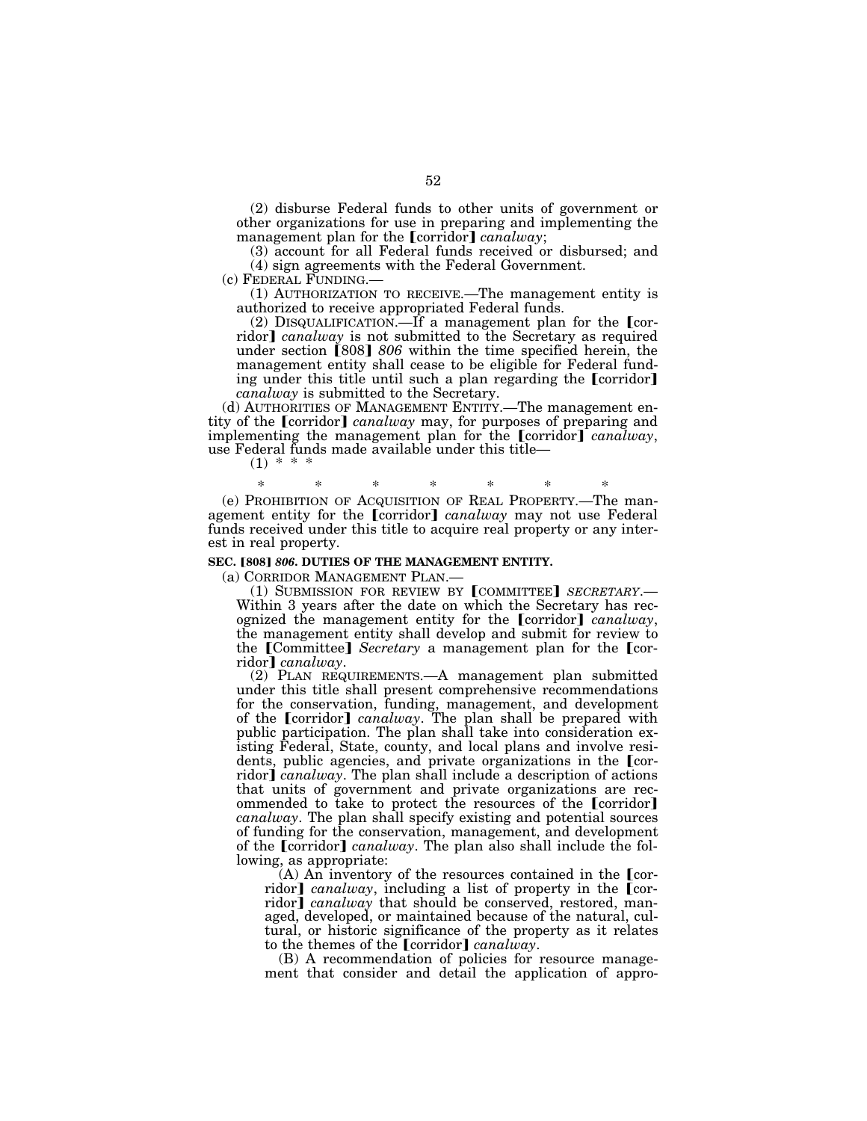(2) disburse Federal funds to other units of government or other organizations for use in preparing and implementing the management plan for the [corridor] *canalway*;

(3) account for all Federal funds received or disbursed; and (4) sign agreements with the Federal Government.

 $(1)$  AUTHORIZATION TO RECEIVE.—The management entity is authorized to receive appropriated Federal funds.

(2) DISQUALIFICATION.—If a management plan for the  $[cor$ ridor] *canalway* is not submitted to the Secretary as required under section [808] 806 within the time specified herein, the management entity shall cease to be eligible for Federal funding under this title until such a plan regarding the [corridor] *canalway* is submitted to the Secretary.

(d) AUTHORITIES OF MANAGEMENT ENTITY.—The management entity of the [corridor] *canalway* may, for purposes of preparing and implementing the management plan for the [corridor] *canalway*, use Federal funds made available under this title—

 $(1)$  \*

\* \* \* \* \* \* \*

(e) PROHIBITION OF ACQUISITION OF REAL PROPERTY.—The management entity for the [corridor] *canalway* may not use Federal funds received under this title to acquire real property or any interest in real property.

#### **SEC. [808] 806. DUTIES OF THE MANAGEMENT ENTITY.**

(a) CORRIDOR MANAGEMENT PLAN.—<br>(1) SUBMISSION FOR REVIEW BY **[COMMITTEE]** *SECRETARY*.—<br>Within 3 years after the date on which the Secretary has recognized the management entity for the **[**corridor**]** *canalway*, the management entity shall develop and submit for review to the [Committee] *Secretary* a management plan for the [cor-<br>ridor] *canalway*.

ridor¿ *canalway*. (2) PLAN REQUIREMENTS.—A management plan submitted under this title shall present comprehensive recommendations for the conservation, funding, management, and development of the *[corridor] canalway*. The plan shall be prepared with public participation. The plan shall take into consideration existing Federal, State, county, and local plans and involve residents, public agencies, and private organizations in the [corridor] *canalway*. The plan shall include a description of actions that units of government and private organizations are recommended to take to protect the resources of the **[corridor]** *canalway*. The plan shall specify existing and potential sources of funding for the conservation, management, and development of the **[corridor]** *canalway*. The plan also shall include the following, as appropriate:

(A) An inventory of the resources contained in the  $\lceil$ corridor] *canalway*, including a list of property in the [corridor] *canalway* that should be conserved, restored, managed, developed, or maintained because of the natural, cultural, or historic significance of the property as it relates to the themes of the [corridor] *canalway*.

(B) A recommendation of policies for resource management that consider and detail the application of appro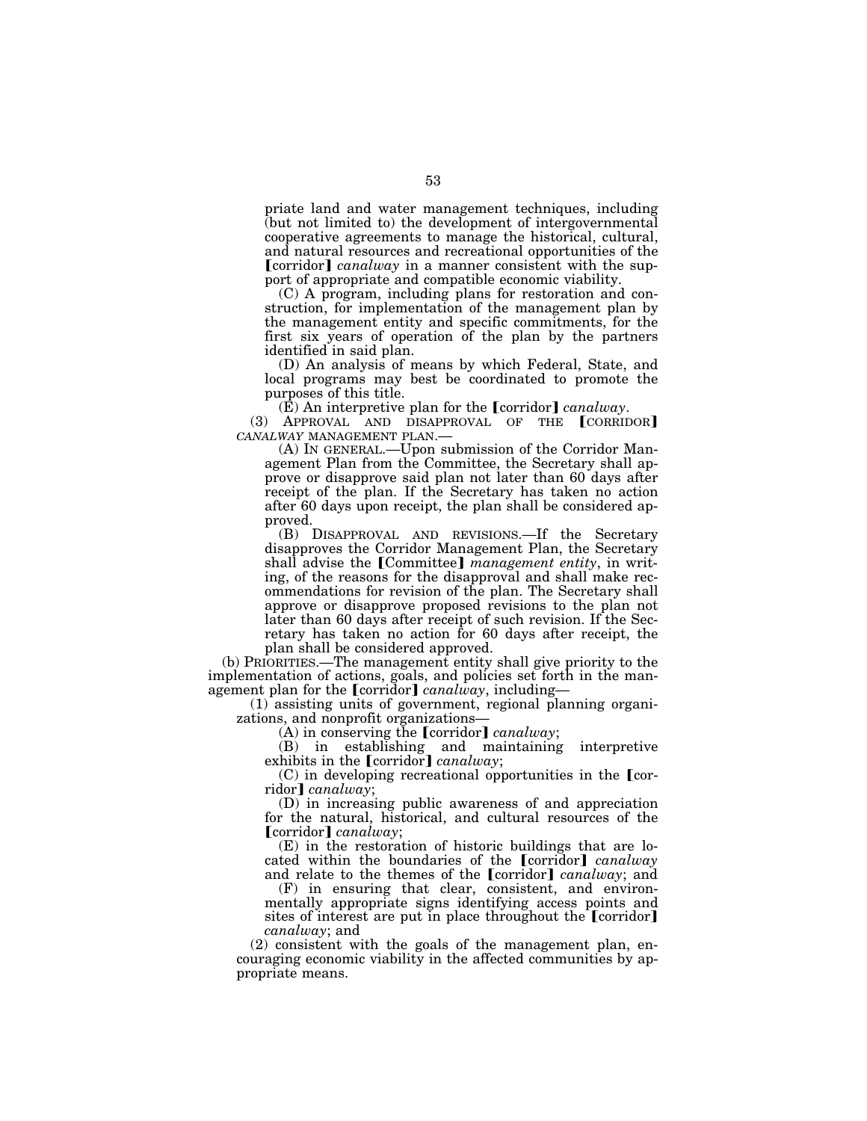priate land and water management techniques, including (but not limited to) the development of intergovernmental cooperative agreements to manage the historical, cultural, and natural resources and recreational opportunities of the **[corridor]** *canalway* in a manner consistent with the support of appropriate and compatible economic viability.

(C) A program, including plans for restoration and construction, for implementation of the management plan by the management entity and specific commitments, for the first six years of operation of the plan by the partners identified in said plan.

(D) An analysis of means by which Federal, State, and local programs may best be coordinated to promote the purposes of this title.<br>(E) An interpretive plan for the  $\lceil$  corridor  $\rceil$  canalway.

(3) APPROVAL AND DISAPPROVAL OF THE **[CORRIDOR**] *CANALWAY* MANAGEMENT PLAN.—

(A) IN GENERAL.—Upon submission of the Corridor Management Plan from the Committee, the Secretary shall approve or disapprove said plan not later than 60 days after receipt of the plan. If the Secretary has taken no action after 60 days upon receipt, the plan shall be considered approved.

(B) DISAPPROVAL AND REVISIONS.—If the Secretary disapproves the Corridor Management Plan, the Secretary shall advise the [Committee] *management entity*, in writing, of the reasons for the disapproval and shall make recommendations for revision of the plan. The Secretary shall approve or disapprove proposed revisions to the plan not later than 60 days after receipt of such revision. If the Secretary has taken no action for 60 days after receipt, the plan shall be considered approved.

(b) PRIORITIES.—The management entity shall give priority to the implementation of actions, goals, and policies set forth in the man-<br>agement plan for the [corridor] *canalway*, including—

(1) assisting units of government, regional planning organizations, and nonprofit organizations—

zations, and nonprofit organizations— (A) in conserving the øcorridor¿ *canalway*;

 $(B)$  in establishing and maintaining interpretive exhibits in the  $[corridor] can always;$ 

 $(C)$  in developing recreational opportunities in the [corridor] *canalway*;

(D) in increasing public awareness of and appreciation for the natural, historical, and cultural resources of the [corridor] *canalway*;

(E) in the restoration of historic buildings that are located within the boundaries of the [corridor] *canalway* and relate to the themes of the [corridor] *canalway*; and

(F) in ensuring that clear, consistent, and environmentally appropriate signs identifying access points and sites of interest are put in place throughout the [corridor] *canalway*; and

(2) consistent with the goals of the management plan, encouraging economic viability in the affected communities by appropriate means.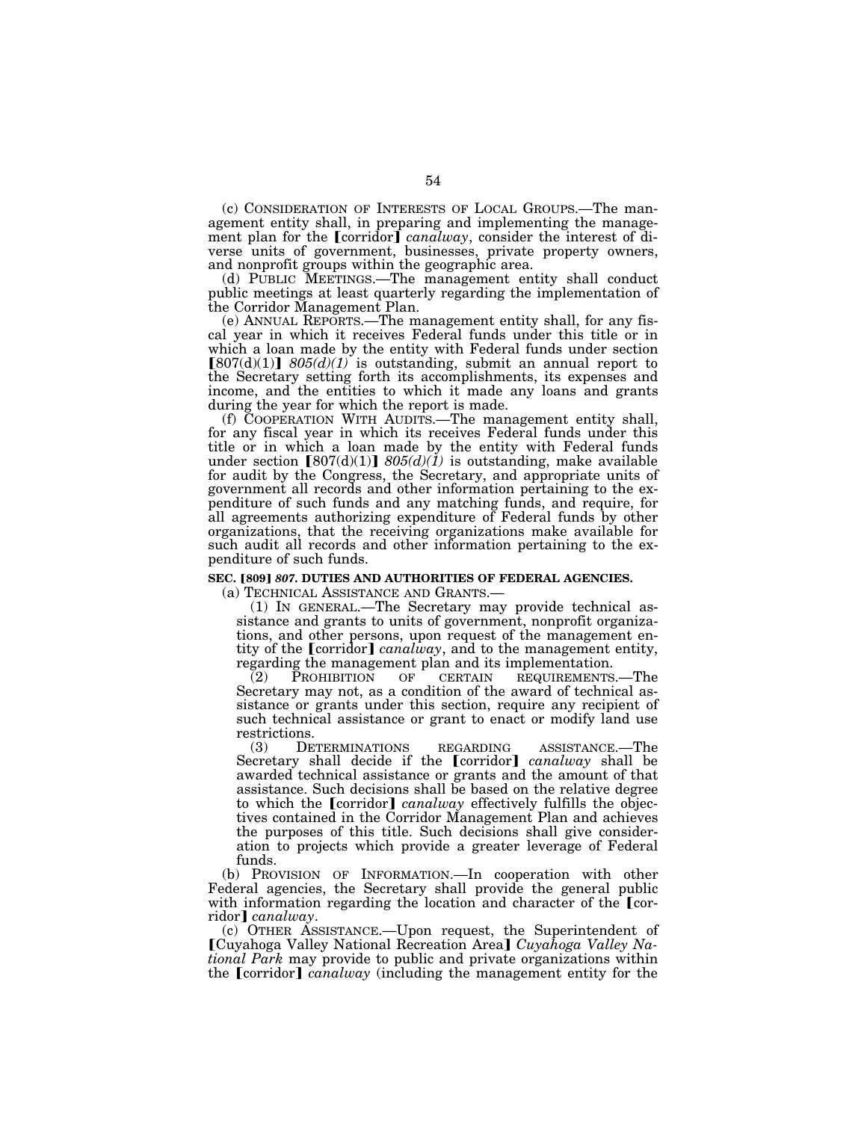(c) CONSIDERATION OF INTERESTS OF LOCAL GROUPS.—The management entity shall, in preparing and implementing the management plan for the *[corridor] canalway*, consider the interest of diverse units of government, businesses, private property owners, and nonprofit groups within the geographic area.

(d) PUBLIC MEETINGS.—The management entity shall conduct public meetings at least quarterly regarding the implementation of the Corridor Management Plan.

(e) ANNUAL REPORTS.—The management entity shall, for any fiscal year in which it receives Federal funds under this title or in which a loan made by the entity with Federal funds under section  $[807(d)(1)]$   $805(d)(1)$  is outstanding, submit an annual report to the Secretary setting forth its accomplishments, its expenses and income, and the entities to which it made any loans and grants during the year for which the report is made.

(f) COOPERATION WITH AUDITS.—The management entity shall, for any fiscal year in which its receives Federal funds under this title or in which a loan made by the entity with Federal funds under section  $[807(d)(1)]$   $805(d)(1)$  is outstanding, make available for audit by the Congress, the Secretary, and appropriate units of government all records and other information pertaining to the expenditure of such funds and any matching funds, and require, for all agreements authorizing expenditure of Federal funds by other organizations, that the receiving organizations make available for such audit all records and other information pertaining to the expenditure of such funds.

#### **SEC.** ø**809**¿ *807***. DUTIES AND AUTHORITIES OF FEDERAL AGENCIES.**

(a) TECHNICAL ASSISTANCE AND GRANTS.— (1) IN GENERAL.—The Secretary may provide technical assistance and grants to units of government, nonprofit organizations, and other persons, upon request of the management entity of the  $\lceil$  *canalway*, and to the management entity, regarding the management plan and its implementation.<br>(2) PROHIBITION OF CERTAIN REQUIREMENTS

(2) PROHIBITION OF CERTAIN REQUIREMENTS.—The Secretary may not, as a condition of the award of technical assistance or grants under this section, require any recipient of such technical assistance or grant to enact or modify land use restrictions.<br>(3) DETERMINATIONS

(3) DETERMINATIONS REGARDING ASSISTANCE.—The Secretary shall decide if the [corridor] *canalway* shall be awarded technical assistance or grants and the amount of that assistance. Such decisions shall be based on the relative degree to which the **[corridor]** *canalway* effectively fulfills the objectives contained in the Corridor Management Plan and achieves the purposes of this title. Such decisions shall give consideration to projects which provide a greater leverage of Federal funds.

(b) PROVISION OF INFORMATION.—In cooperation with other Federal agencies, the Secretary shall provide the general public with information regarding the location and character of the  $[cor$ ridor] *canalway*.

(c) OTHER ASSISTANCE.—Upon request, the Superintendent of **[Cuyahoga Valley National Recreation Area]** *Cuyahoga Valley National Park* may provide to public and private organizations within the **[corridor]** *canalway* (including the management entity for the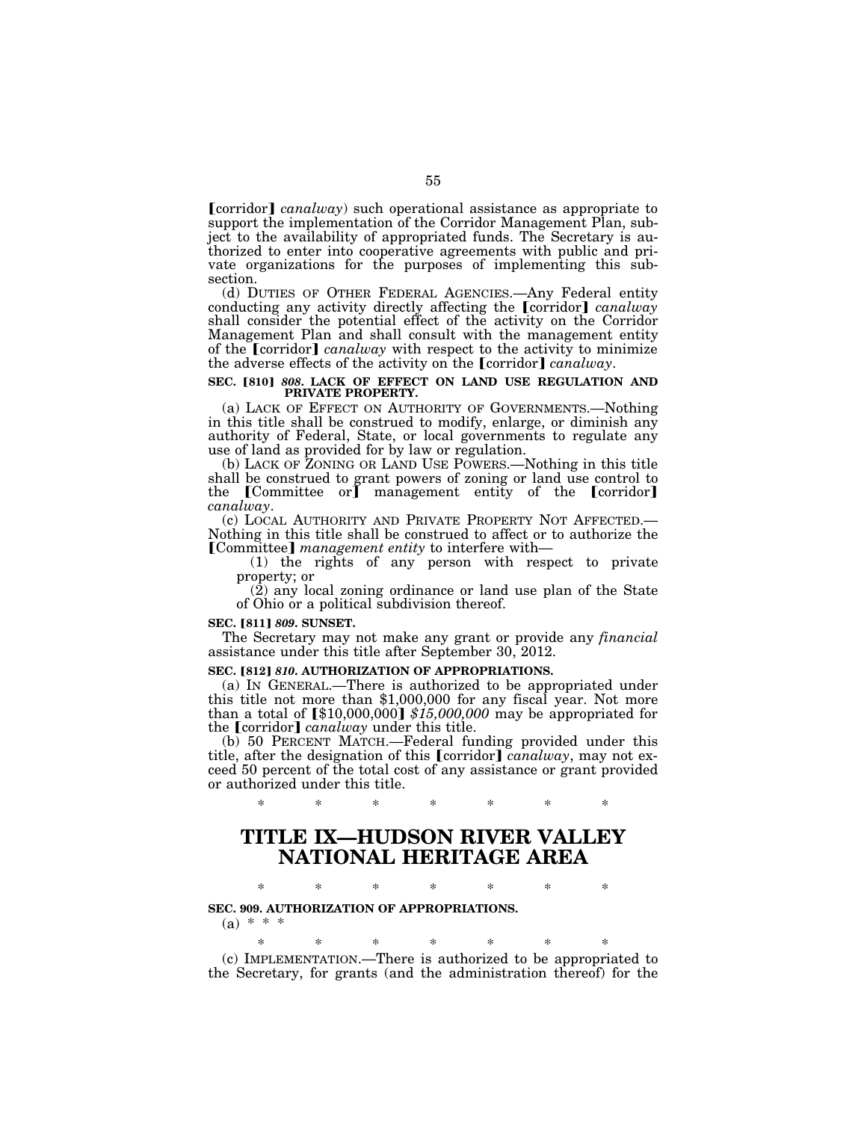**[corridor]** *canalway*) such operational assistance as appropriate to support the implementation of the Corridor Management Plan, subject to the availability of appropriated funds. The Secretary is authorized to enter into cooperative agreements with public and private organizations for the purposes of implementing this subsection.

(d) DUTIES OF OTHER FEDERAL AGENCIES.—Any Federal entity conducting any activity directly affecting the [corridor] *canalway* shall consider the potential effect of the activity on the Corridor Management Plan and shall consult with the management entity of the *[corridor] canalway* with respect to the activity to minimize the adverse effects of the activity on the [corridor] *canalway*.

# SEC. [810] 808. LACK OF EFFECT ON LAND USE REGULATION AND PRIVATE PROPERTY.

(a) LACK OF EFFECT ON AUTHORITY OF GOVERNMENTS.—Nothing in this title shall be construed to modify, enlarge, or diminish any authority of Federal, State, or local governments to regulate any use of land as provided for by law or regulation.

(b) LACK OF ZONING OR LAND USE POWERS.—Nothing in this title shall be construed to grant powers of zoning or land use control to the [Committee or] management entity of the [corridor]

*canalway*. (c) LOCAL AUTHORITY AND PRIVATE PROPERTY NOT AFFECTED.— Nothing in this title shall be construed to affect or to authorize the **[Committee]** *management entity* to interfere with—<br>(1) the rights of any person with respect to private

property; or

 $(2)$  any local zoning ordinance or land use plan of the State of Ohio or a political subdivision thereof.

#### **SEC.** ø**811**¿ *809***. SUNSET.**

The Secretary may not make any grant or provide any *financial*  assistance under this title after September 30, 2012.

**SEC. [812] 810. AUTHORIZATION OF APPROPRIATIONS.** (a) IN GENERAL.—There is authorized to be appropriated under this title not more than \$1,000,000 for any fiscal year. Not more than a total of  $\llbracket $10,000,000 \rrbracket $15,000,000$  may be appropriated for the **[corridor]** *canalway* under this title.

(b) 50 PERCENT MATCH.—Federal funding provided under this title, after the designation of this [corridor] *canalway*, may not exceed 50 percent of the total cost of any assistance or grant provided or authorized under this title.

\* \* \* \* \* \* \*

### **TITLE IX—HUDSON RIVER VALLEY NATIONAL HERITAGE AREA**

\* \* \* \* \* \* \*

### **SEC. 909. AUTHORIZATION OF APPROPRIATIONS.**

 $(a) * * * *$ 

\* \* \* \* \* \* \* (c) IMPLEMENTATION.—There is authorized to be appropriated to the Secretary, for grants (and the administration thereof) for the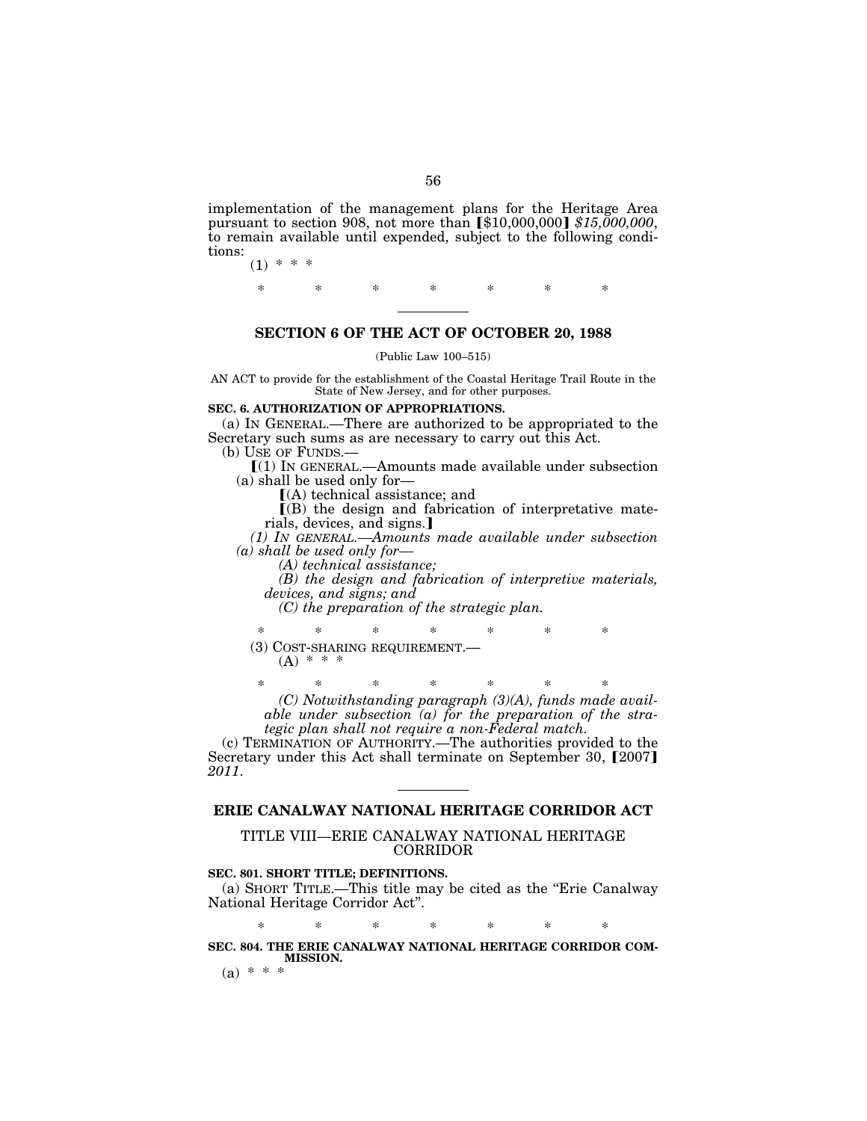implementation of the management plans for the Heritage Area pursuant to section 908, not more than [\$10,000,000] \$15,000,000, to remain available until expended, subject to the following conditions:  $(1) * *$ 

\* \* \* \* \* \* \*

#### **SECTION 6 OF THE ACT OF OCTOBER 20, 1988**

(Public Law 100–515)

AN ACT to provide for the establishment of the Coastal Heritage Trail Route in the State of New Jersey, and for other purposes.

#### **SEC. 6. AUTHORIZATION OF APPROPRIATIONS.**

(a) IN GENERAL.—There are authorized to be appropriated to the Secretary such sums as are necessary to carry out this Act.<br>(b) USE OF FUNDS.—

 $[(1)$  IN GENERAL.—Amounts made available under subsection (a) shall be used only for—

 $[(A)$  technical assistance; and

 $($ B) the design and fabrication of interpretative materials, devices, and signs.

*(1) IN GENERAL.—Amounts made available under subsection (a) shall be used only for— (A) technical assistance;* 

*(B) the design and fabrication of interpretive materials, devices, and signs; and* 

*(C) the preparation of the strategic plan.* 

\* \* \* \* \* \* \* (3) COST-SHARING REQUIREMENT.<br>  $(A)$  \* \* \*

\* \* \* \* \* \* \* *(C) Notwithstanding paragraph (3)(A), funds made available under subsection (a) for the preparation of the strategic plan shall not require a non-Federal match.* 

(c) TERMINATION OF AUTHORITY.—The authorities provided to the Secretary under this Act shall terminate on September 30, [2007] *2011*.

### **ERIE CANALWAY NATIONAL HERITAGE CORRIDOR ACT**

### TITLE VIII—ERIE CANALWAY NATIONAL HERITAGE CORRIDOR

#### **SEC. 801. SHORT TITLE; DEFINITIONS.**

(a) SHORT TITLE.—This title may be cited as the ''Erie Canalway National Heritage Corridor Act''.

\* \* \* \* \* \* \*

#### **SEC. 804. THE ERIE CANALWAY NATIONAL HERITAGE CORRIDOR COM-MISSION.**

(a) \* \* \*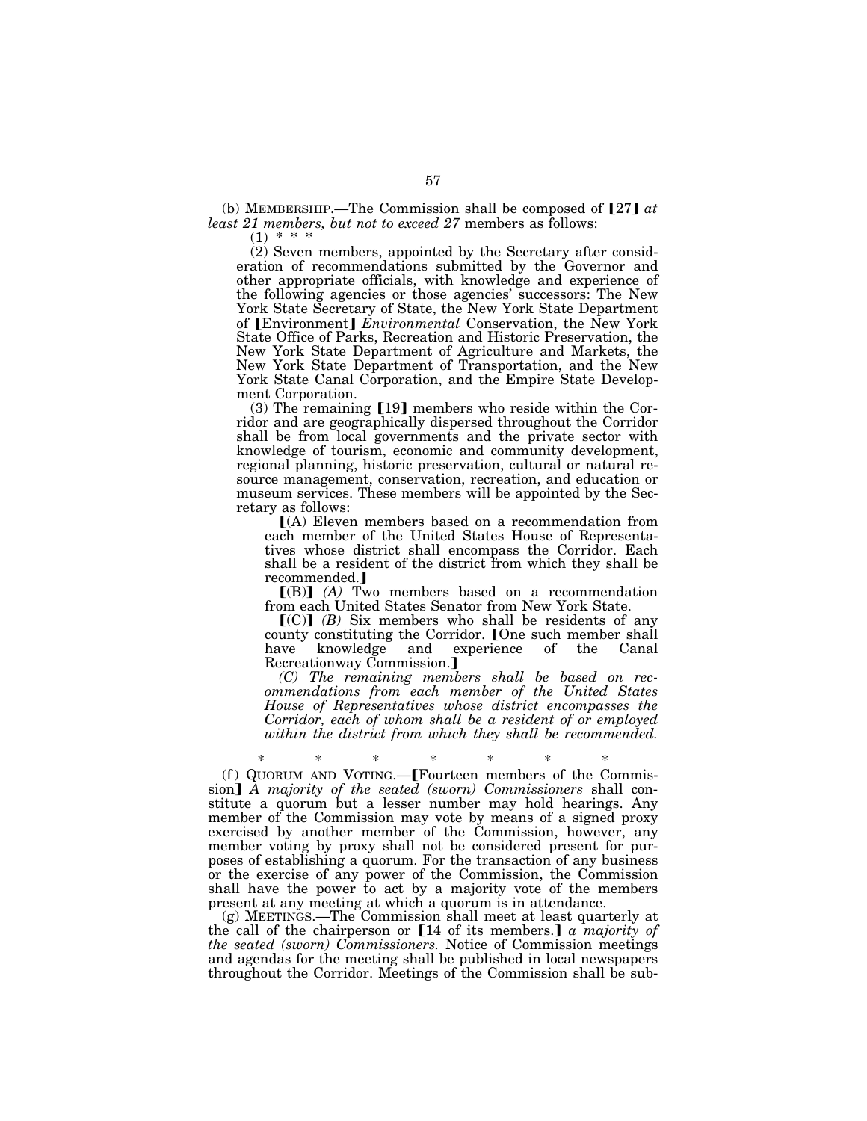(b) MEMBERSHIP.—The Commission shall be composed of  $[27]$  at *least 21 members, but not to exceed 27* members as follows:

 $(1) * *$ 

(2) Seven members, appointed by the Secretary after consideration of recommendations submitted by the Governor and other appropriate officials, with knowledge and experience of the following agencies or those agencies' successors: The New York State Secretary of State, the New York State Department of [Environment] *Environmental* Conservation, the New York State Office of Parks, Recreation and Historic Preservation, the New York State Department of Agriculture and Markets, the New York State Department of Transportation, and the New York State Canal Corporation, and the Empire State Development Corporation.

 $(3)$  The remaining [19] members who reside within the Corridor and are geographically dispersed throughout the Corridor shall be from local governments and the private sector with knowledge of tourism, economic and community development, regional planning, historic preservation, cultural or natural resource management, conservation, recreation, and education or museum services. These members will be appointed by the Secretary as follows:

ø(A) Eleven members based on a recommendation from each member of the United States House of Representatives whose district shall encompass the Corridor. Each shall be a resident of the district from which they shall be recommended.

 $[(B)]$   $(A)$  Two members based on a recommendation from each United States Senator from New York State.

 $[(C)]$   $(B)$  Six members who shall be residents of any county constituting the Corridor. [One such member shall have knowledge and experience of the Canal Recreationway Commission.

*(C) The remaining members shall be based on recommendations from each member of the United States House of Representatives whose district encompasses the Corridor, each of whom shall be a resident of or employed within the district from which they shall be recommended.* 

(f) QUORUM AND VOTING.— $[$  Fourteen members of the Commission] A majority of the seated (sworn) Commissioners shall constitute a quorum but a lesser number may hold hearings. Any member of the Commission may vote by means of a signed proxy exercised by another member of the Commission, however, any member voting by proxy shall not be considered present for purposes of establishing a quorum. For the transaction of any business or the exercise of any power of the Commission, the Commission shall have the power to act by a majority vote of the members present at any meeting at which a quorum is in attendance.

(g) MEETINGS.—The Commission shall meet at least quarterly at the call of the chairperson or  $[14$  of its members.] *a majority of the seated (sworn) Commissioners.* Notice of Commission meetings and agendas for the meeting shall be published in local newspapers throughout the Corridor. Meetings of the Commission shall be sub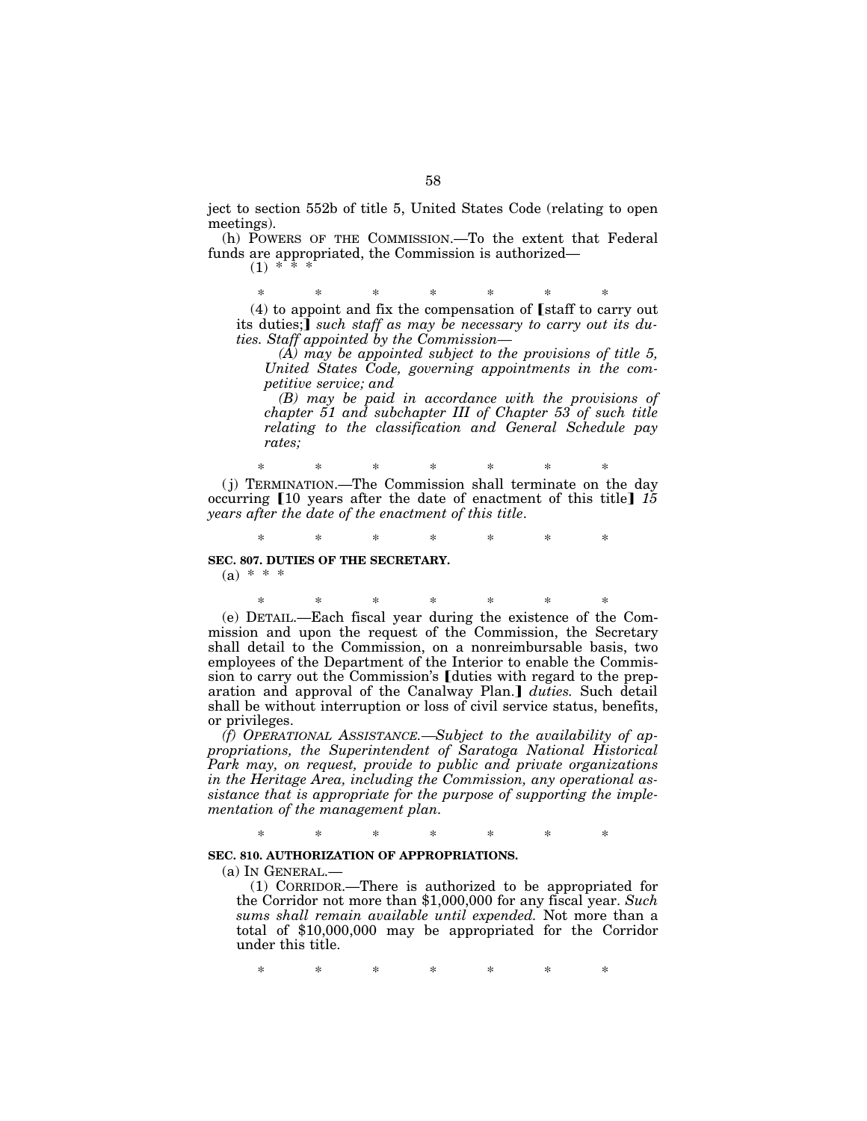ject to section 552b of title 5, United States Code (relating to open meetings).

(h) POWERS OF THE COMMISSION.—To the extent that Federal funds are appropriated, the Commission is authorized—

 $(1)$  \*

\* \* \* \* \* \* \*

 $(4)$  to appoint and fix the compensation of **S** staff to carry out its duties;*such staff as may be necessary to carry out its duties. Staff appointed by the Commission—*

*(A) may be appointed subject to the provisions of title 5, United States Code, governing appointments in the competitive service; and* 

*(B) may be paid in accordance with the provisions of chapter 51 and subchapter III of Chapter 53 of such title relating to the classification and General Schedule pay rates;* 

\* \* \* \* \* \* \* ( j) TERMINATION.—The Commission shall terminate on the day occurring  $\llbracket 10 \text{ years after the date of enactment of this title} \rrbracket$  *15 years after the date of the enactment of this title*.

\* \* \* \* \* \* \* **SEC. 807. DUTIES OF THE SECRETARY.** 

 $(a) * * * *$ 

\* \* \* \* \* \* \* (e) DETAIL.—Each fiscal year during the existence of the Commission and upon the request of the Commission, the Secretary shall detail to the Commission, on a nonreimbursable basis, two employees of the Department of the Interior to enable the Commission to carry out the Commission's [duties with regard to the preparation and approval of the Canalway Plan.] duties. Such detail shall be without interruption or loss of civil service status, benefits, or privileges.

*(f) OPERATIONAL ASSISTANCE.—Subject to the availability of appropriations, the Superintendent of Saratoga National Historical Park may, on request, provide to public and private organizations in the Heritage Area, including the Commission, any operational assistance that is appropriate for the purpose of supporting the implementation of the management plan.* 

\* \* \* \* \* \* \*

#### **SEC. 810. AUTHORIZATION OF APPROPRIATIONS.**

(a) IN GENERAL.—

(1) CORRIDOR.—There is authorized to be appropriated for the Corridor not more than \$1,000,000 for any fiscal year. *Such sums shall remain available until expended.* Not more than a total of \$10,000,000 may be appropriated for the Corridor under this title.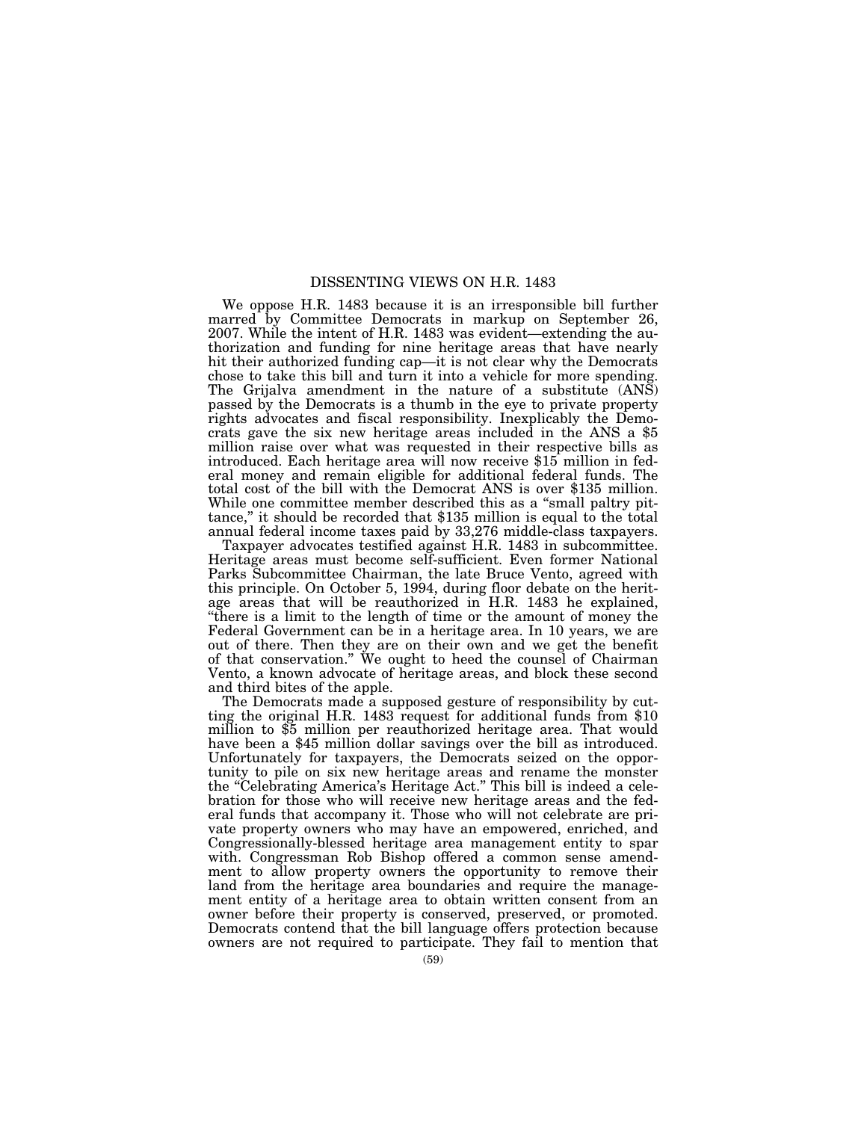#### DISSENTING VIEWS ON H.R. 1483

We oppose H.R. 1483 because it is an irresponsible bill further marred by Committee Democrats in markup on September 26, 2007. While the intent of H.R. 1483 was evident—extending the authorization and funding for nine heritage areas that have nearly hit their authorized funding cap—it is not clear why the Democrats chose to take this bill and turn it into a vehicle for more spending. The Grijalva amendment in the nature of a substitute (ANS) passed by the Democrats is a thumb in the eye to private property rights advocates and fiscal responsibility. Inexplicably the Democrats gave the six new heritage areas included in the ANS a \$5 million raise over what was requested in their respective bills as introduced. Each heritage area will now receive \$15 million in federal money and remain eligible for additional federal funds. The total cost of the bill with the Democrat ANS is over \$135 million. While one committee member described this as a "small paltry pittance,'' it should be recorded that \$135 million is equal to the total annual federal income taxes paid by 33,276 middle-class taxpayers.

Taxpayer advocates testified against H.R. 1483 in subcommittee. Heritage areas must become self-sufficient. Even former National Parks Subcommittee Chairman, the late Bruce Vento, agreed with this principle. On October 5, 1994, during floor debate on the heritage areas that will be reauthorized in H.R. 1483 he explained, ''there is a limit to the length of time or the amount of money the Federal Government can be in a heritage area. In 10 years, we are out of there. Then they are on their own and we get the benefit of that conservation.'' We ought to heed the counsel of Chairman Vento, a known advocate of heritage areas, and block these second and third bites of the apple.<br>The Democrats made a supposed gesture of responsibility by cut-

ting the original H.R. 1483 request for additional funds from  $$10$ million to \$5 million per reauthorized heritage area. That would have been a \$45 million dollar savings over the bill as introduced. Unfortunately for taxpayers, the Democrats seized on the opportunity to pile on six new heritage areas and rename the monster the ''Celebrating America's Heritage Act.'' This bill is indeed a celebration for those who will receive new heritage areas and the federal funds that accompany it. Those who will not celebrate are private property owners who may have an empowered, enriched, and Congressionally-blessed heritage area management entity to spar with. Congressman Rob Bishop offered a common sense amendment to allow property owners the opportunity to remove their land from the heritage area boundaries and require the management entity of a heritage area to obtain written consent from an owner before their property is conserved, preserved, or promoted. Democrats contend that the bill language offers protection because owners are not required to participate. They fail to mention that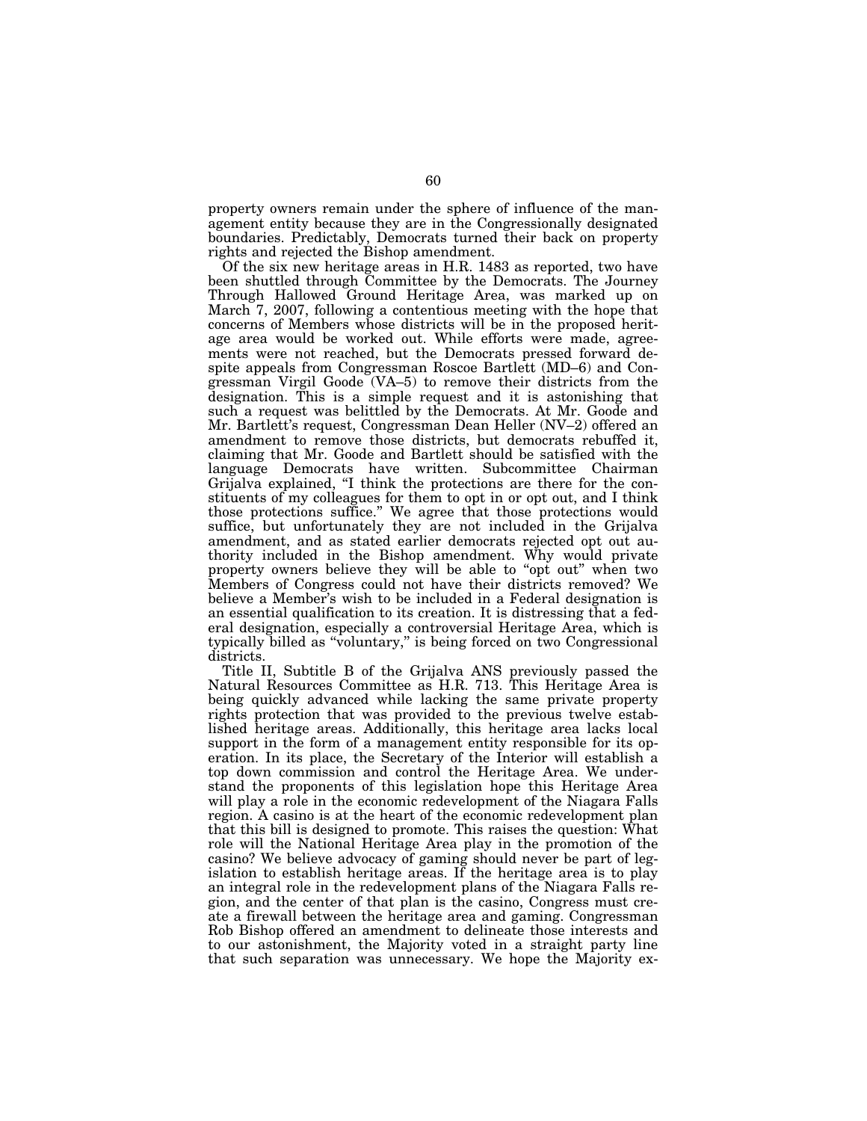property owners remain under the sphere of influence of the management entity because they are in the Congressionally designated boundaries. Predictably, Democrats turned their back on property rights and rejected the Bishop amendment.

Of the six new heritage areas in H.R. 1483 as reported, two have been shuttled through Committee by the Democrats. The Journey Through Hallowed Ground Heritage Area, was marked up on March 7, 2007, following a contentious meeting with the hope that concerns of Members whose districts will be in the proposed heritage area would be worked out. While efforts were made, agreements were not reached, but the Democrats pressed forward despite appeals from Congressman Roscoe Bartlett (MD–6) and Congressman Virgil Goode (VA–5) to remove their districts from the designation. This is a simple request and it is astonishing that such a request was belittled by the Democrats. At Mr. Goode and Mr. Bartlett's request, Congressman Dean Heller (NV–2) offered an amendment to remove those districts, but democrats rebuffed it, claiming that Mr. Goode and Bartlett should be satisfied with the language Democrats have written. Subcommittee Chairman Grijalva explained, ''I think the protections are there for the constituents of my colleagues for them to opt in or opt out, and I think those protections suffice.'' We agree that those protections would suffice, but unfortunately they are not included in the Grijalva amendment, and as stated earlier democrats rejected opt out authority included in the Bishop amendment. Why would private property owners believe they will be able to "opt out" when two Members of Congress could not have their districts removed? We believe a Member's wish to be included in a Federal designation is an essential qualification to its creation. It is distressing that a federal designation, especially a controversial Heritage Area, which is typically billed as ''voluntary,'' is being forced on two Congressional districts.

Title II, Subtitle B of the Grijalva ANS previously passed the Natural Resources Committee as H.R. 713. This Heritage Area is being quickly advanced while lacking the same private property rights protection that was provided to the previous twelve established heritage areas. Additionally, this heritage area lacks local support in the form of a management entity responsible for its operation. In its place, the Secretary of the Interior will establish a top down commission and control the Heritage Area. We understand the proponents of this legislation hope this Heritage Area will play a role in the economic redevelopment of the Niagara Falls region. A casino is at the heart of the economic redevelopment plan that this bill is designed to promote. This raises the question: What role will the National Heritage Area play in the promotion of the casino? We believe advocacy of gaming should never be part of legislation to establish heritage areas. If the heritage area is to play an integral role in the redevelopment plans of the Niagara Falls region, and the center of that plan is the casino, Congress must create a firewall between the heritage area and gaming. Congressman Rob Bishop offered an amendment to delineate those interests and to our astonishment, the Majority voted in a straight party line that such separation was unnecessary. We hope the Majority ex